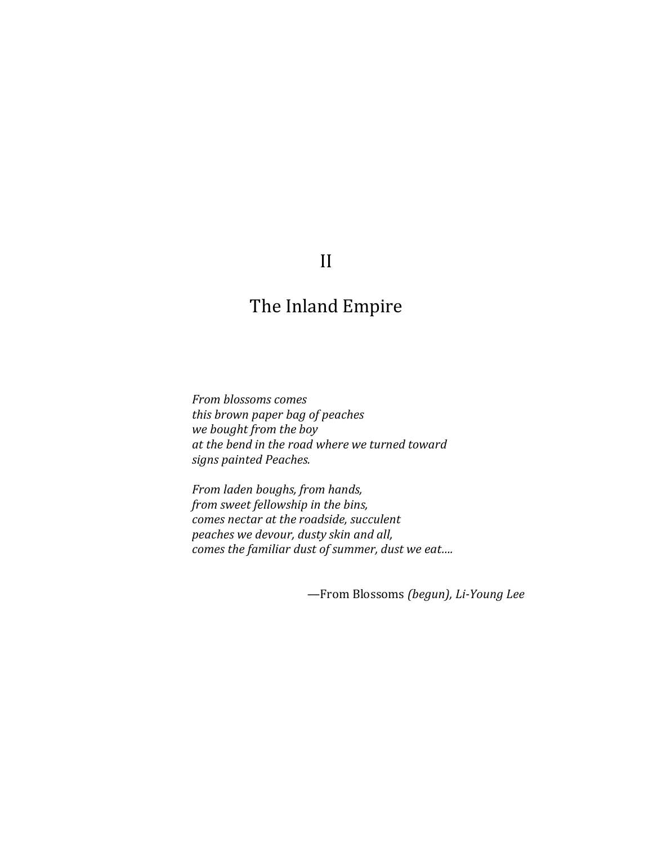## II

## The Inland Empire

*From blossoms comes this brown paper bag of peaches we bought from the boy at the bend in the road where we turned toward signs painted Peaches.*

*From laden boughs, from hands, from sweet fellowship in the bins, comes nectar at the roadside, succulent peaches we devour, dusty skin and all, comes the familiar dust of summer, dust we eat….*

*—*From Blossoms *(begun), Li-Young Lee*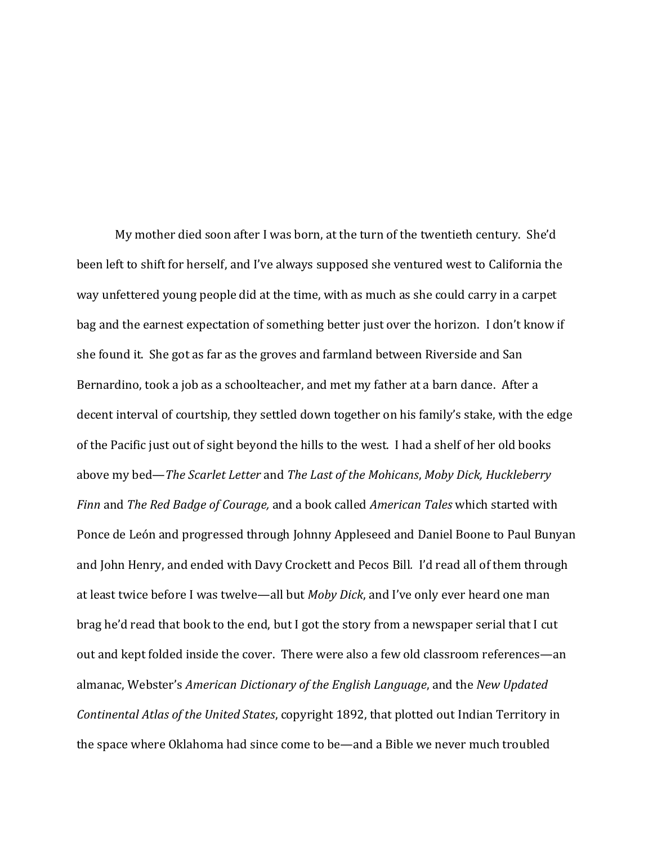My mother died soon after I was born, at the turn of the twentieth century. She'd been left to shift for herself, and I've always supposed she ventured west to California the way unfettered young people did at the time, with as much as she could carry in a carpet bag and the earnest expectation of something better just over the horizon. I don't know if she found it. She got as far as the groves and farmland between Riverside and San Bernardino, took a job as a schoolteacher, and met my father at a barn dance. After a decent interval of courtship, they settled down together on his family's stake, with the edge of the Pacific just out of sight beyond the hills to the west. I had a shelf of her old books above my bed—*The Scarlet Letter* and *The Last of the Mohicans*, *Moby Dick, Huckleberry Finn* and *The Red Badge of Courage,* and a book called *American Tales* which started with Ponce de León and progressed through Johnny Appleseed and Daniel Boone to Paul Bunyan and John Henry, and ended with Davy Crockett and Pecos Bill*.* I'd read all of them through at least twice before I was twelve—all but *Moby Dick*, and I've only ever heard one man brag he'd read that book to the end, but I got the story from a newspaper serial that I cut out and kept folded inside the cover. There were also a few old classroom references—an almanac, Webster's *American Dictionary of the English Language*, and the *New Updated Continental Atlas of the United States*, copyright 1892, that plotted out Indian Territory in the space where Oklahoma had since come to be—and a Bible we never much troubled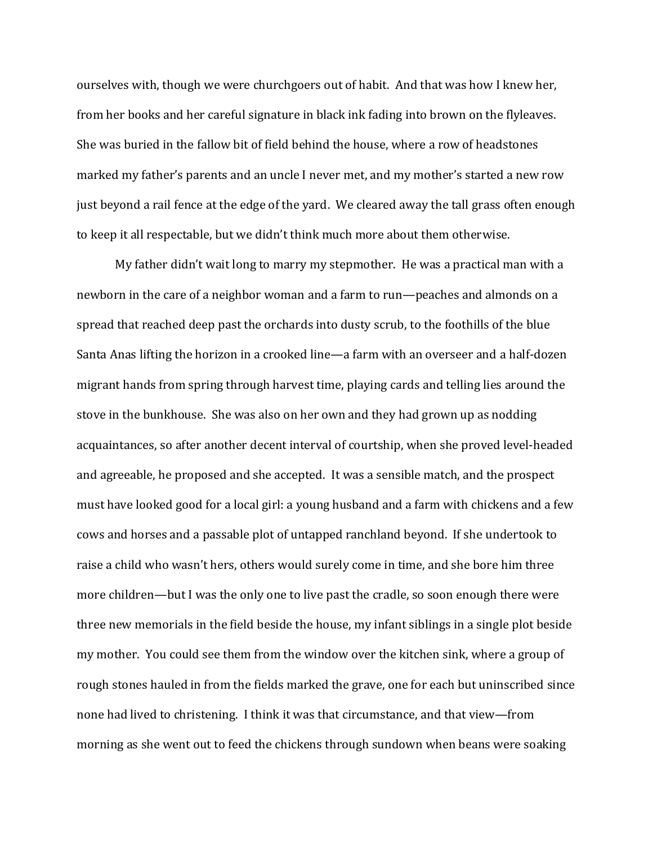ourselves with, though we were churchgoers out of habit. And that was how I knew her, from her books and her careful signature in black ink fading into brown on the flyleaves. She was buried in the fallow bit of field behind the house, where a row of headstones marked my father's parents and an uncle I never met, and my mother's started a new row just beyond a rail fence at the edge of the yard. We cleared away the tall grass often enough to keep it all respectable, but we didn't think much more about them otherwise.

My father didn't wait long to marry my stepmother. He was a practical man with a newborn in the care of a neighbor woman and a farm to run—peaches and almonds on a spread that reached deep past the orchards into dusty scrub, to the foothills of the blue Santa Anas lifting the horizon in a crooked line—a farm with an overseer and a half-dozen migrant hands from spring through harvest time, playing cards and telling lies around the stove in the bunkhouse. She was also on her own and they had grown up as nodding acquaintances, so after another decent interval of courtship, when she proved level-headed and agreeable, he proposed and she accepted. It was a sensible match, and the prospect must have looked good for a local girl: a young husband and a farm with chickens and a few cows and horses and a passable plot of untapped ranchland beyond. If she undertook to raise a child who wasn't hers, others would surely come in time, and she bore him three more children—but I was the only one to live past the cradle, so soon enough there were three new memorials in the field beside the house, my infant siblings in a single plot beside my mother. You could see them from the window over the kitchen sink, where a group of rough stones hauled in from the fields marked the grave, one for each but uninscribed since none had lived to christening. I think it was that circumstance, and that view—from morning as she went out to feed the chickens through sundown when beans were soaking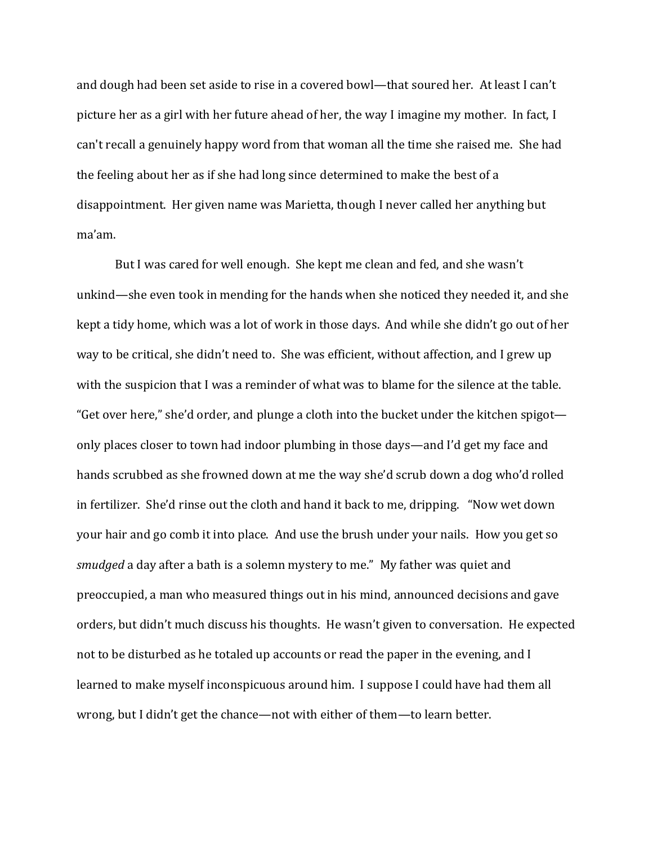and dough had been set aside to rise in a covered bowl—that soured her. At least I can't picture her as a girl with her future ahead of her, the way I imagine my mother. In fact, I can't recall a genuinely happy word from that woman all the time she raised me. She had the feeling about her as if she had long since determined to make the best of a disappointment. Her given name was Marietta, though I never called her anything but ma'am.

But I was cared for well enough. She kept me clean and fed, and she wasn't unkind—she even took in mending for the hands when she noticed they needed it, and she kept a tidy home, which was a lot of work in those days. And while she didn't go out of her way to be critical, she didn't need to. She was efficient, without affection, and I grew up with the suspicion that I was a reminder of what was to blame for the silence at the table. "Get over here," she'd order, and plunge a cloth into the bucket under the kitchen spigot only places closer to town had indoor plumbing in those days—and I'd get my face and hands scrubbed as she frowned down at me the way she'd scrub down a dog who'd rolled in fertilizer. She'd rinse out the cloth and hand it back to me, dripping. "Now wet down your hair and go comb it into place. And use the brush under your nails. How you get so *smudged* a day after a bath is a solemn mystery to me." My father was quiet and preoccupied, a man who measured things out in his mind, announced decisions and gave orders, but didn't much discuss his thoughts. He wasn't given to conversation. He expected not to be disturbed as he totaled up accounts or read the paper in the evening, and I learned to make myself inconspicuous around him. I suppose I could have had them all wrong, but I didn't get the chance—not with either of them—to learn better.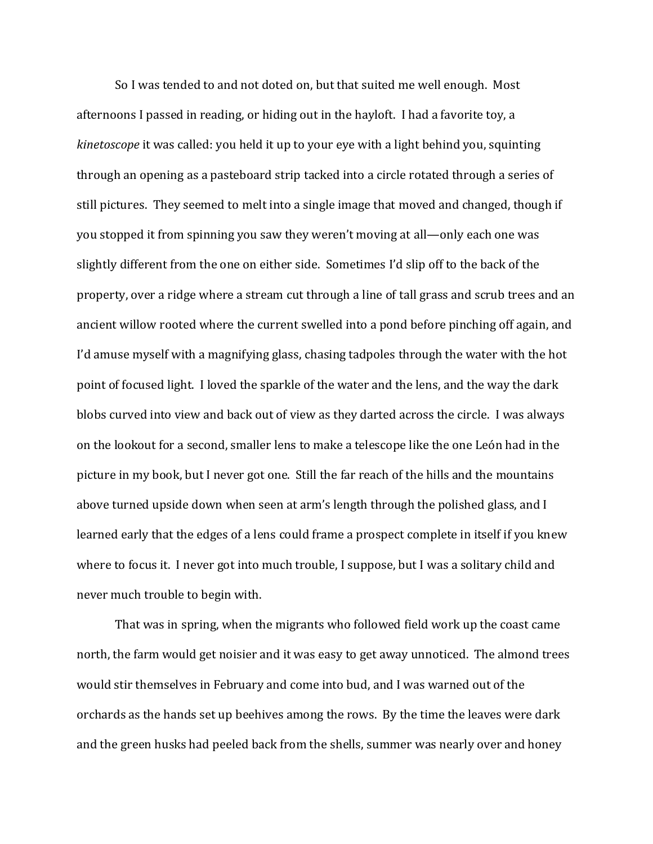So I was tended to and not doted on, but that suited me well enough. Most afternoons I passed in reading, or hiding out in the hayloft. I had a favorite toy, a *kinetoscope* it was called: you held it up to your eye with a light behind you, squinting through an opening as a pasteboard strip tacked into a circle rotated through a series of still pictures. They seemed to melt into a single image that moved and changed, though if you stopped it from spinning you saw they weren't moving at all—only each one was slightly different from the one on either side. Sometimes I'd slip off to the back of the property, over a ridge where a stream cut through a line of tall grass and scrub trees and an ancient willow rooted where the current swelled into a pond before pinching off again, and I'd amuse myself with a magnifying glass, chasing tadpoles through the water with the hot point of focused light. I loved the sparkle of the water and the lens, and the way the dark blobs curved into view and back out of view as they darted across the circle. I was always on the lookout for a second, smaller lens to make a telescope like the one León had in the picture in my book, but I never got one. Still the far reach of the hills and the mountains above turned upside down when seen at arm's length through the polished glass, and I learned early that the edges of a lens could frame a prospect complete in itself if you knew where to focus it. I never got into much trouble, I suppose, but I was a solitary child and never much trouble to begin with.

That was in spring, when the migrants who followed field work up the coast came north, the farm would get noisier and it was easy to get away unnoticed. The almond trees would stir themselves in February and come into bud, and I was warned out of the orchards as the hands set up beehives among the rows. By the time the leaves were dark and the green husks had peeled back from the shells, summer was nearly over and honey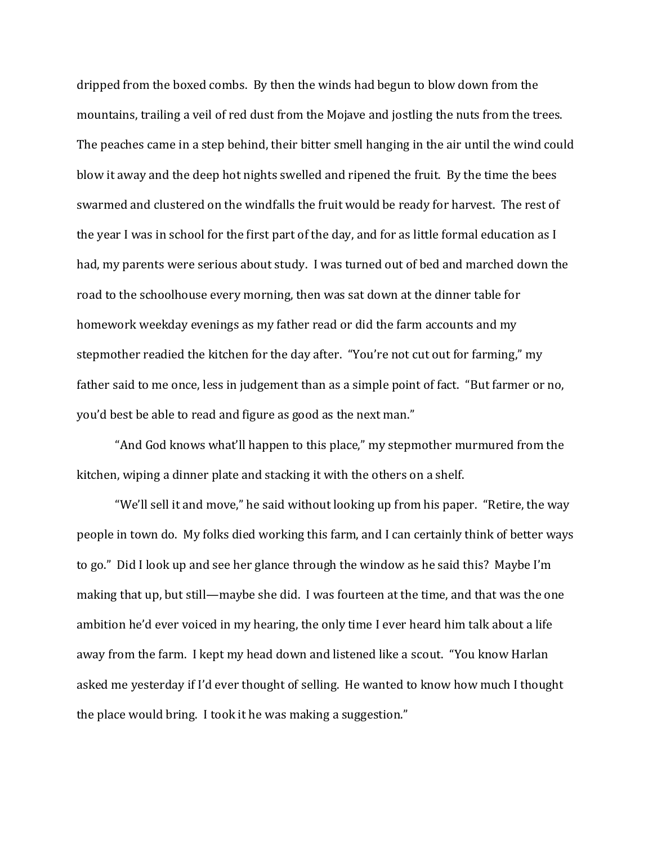dripped from the boxed combs. By then the winds had begun to blow down from the mountains, trailing a veil of red dust from the Mojave and jostling the nuts from the trees. The peaches came in a step behind, their bitter smell hanging in the air until the wind could blow it away and the deep hot nights swelled and ripened the fruit. By the time the bees swarmed and clustered on the windfalls the fruit would be ready for harvest. The rest of the year I was in school for the first part of the day, and for as little formal education as I had, my parents were serious about study. I was turned out of bed and marched down the road to the schoolhouse every morning, then was sat down at the dinner table for homework weekday evenings as my father read or did the farm accounts and my stepmother readied the kitchen for the day after. "You're not cut out for farming," my father said to me once, less in judgement than as a simple point of fact. "But farmer or no, you'd best be able to read and figure as good as the next man."

"And God knows what'll happen to this place," my stepmother murmured from the kitchen, wiping a dinner plate and stacking it with the others on a shelf.

"We'll sell it and move," he said without looking up from his paper. "Retire, the way people in town do. My folks died working this farm, and I can certainly think of better ways to go." Did I look up and see her glance through the window as he said this? Maybe I'm making that up, but still—maybe she did. I was fourteen at the time, and that was the one ambition he'd ever voiced in my hearing, the only time I ever heard him talk about a life away from the farm. I kept my head down and listened like a scout. "You know Harlan asked me yesterday if I'd ever thought of selling. He wanted to know how much I thought the place would bring. I took it he was making a suggestion."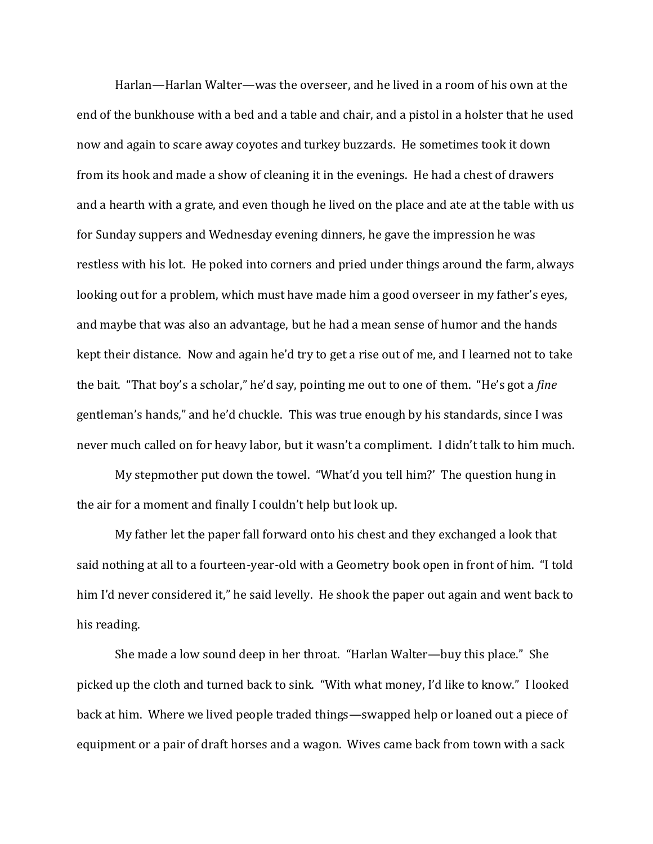Harlan—Harlan Walter—was the overseer, and he lived in a room of his own at the end of the bunkhouse with a bed and a table and chair, and a pistol in a holster that he used now and again to scare away coyotes and turkey buzzards. He sometimes took it down from its hook and made a show of cleaning it in the evenings. He had a chest of drawers and a hearth with a grate, and even though he lived on the place and ate at the table with us for Sunday suppers and Wednesday evening dinners, he gave the impression he was restless with his lot. He poked into corners and pried under things around the farm, always looking out for a problem, which must have made him a good overseer in my father's eyes, and maybe that was also an advantage, but he had a mean sense of humor and the hands kept their distance. Now and again he'd try to get a rise out of me, and I learned not to take the bait. "That boy's a scholar," he'd say, pointing me out to one of them. "He's got a *fine* gentleman's hands," and he'd chuckle. This was true enough by his standards, since I was never much called on for heavy labor, but it wasn't a compliment. I didn't talk to him much.

My stepmother put down the towel. "What'd you tell him?' The question hung in the air for a moment and finally I couldn't help but look up.

My father let the paper fall forward onto his chest and they exchanged a look that said nothing at all to a fourteen-year-old with a Geometry book open in front of him. "I told him I'd never considered it," he said levelly. He shook the paper out again and went back to his reading.

She made a low sound deep in her throat. "Harlan Walter—buy this place." She picked up the cloth and turned back to sink. "With what money, I'd like to know." I looked back at him. Where we lived people traded things—swapped help or loaned out a piece of equipment or a pair of draft horses and a wagon. Wives came back from town with a sack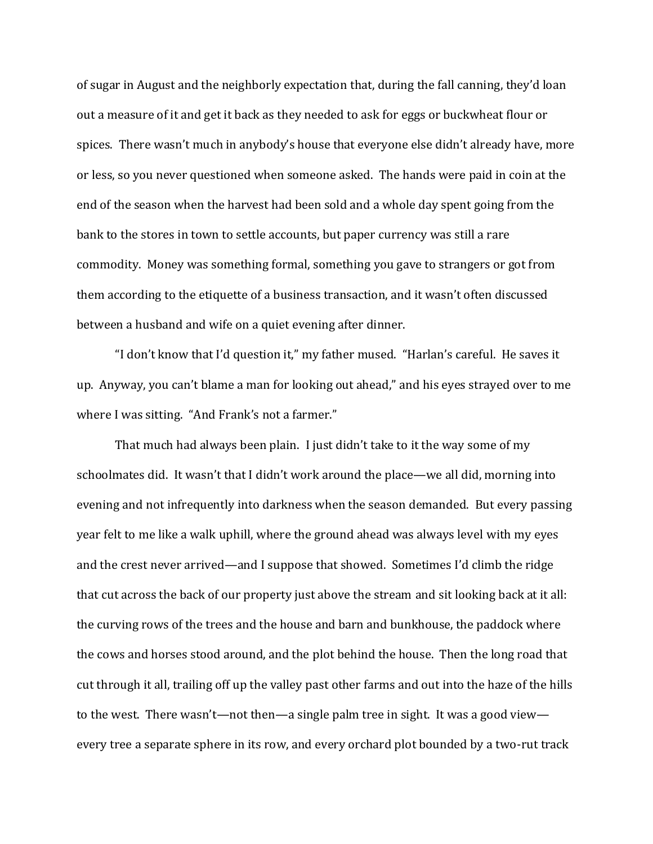of sugar in August and the neighborly expectation that, during the fall canning, they'd loan out a measure of it and get it back as they needed to ask for eggs or buckwheat flour or spices. There wasn't much in anybody's house that everyone else didn't already have, more or less, so you never questioned when someone asked. The hands were paid in coin at the end of the season when the harvest had been sold and a whole day spent going from the bank to the stores in town to settle accounts, but paper currency was still a rare commodity. Money was something formal, something you gave to strangers or got from them according to the etiquette of a business transaction, and it wasn't often discussed between a husband and wife on a quiet evening after dinner.

"I don't know that I'd question it," my father mused. "Harlan's careful. He saves it up. Anyway, you can't blame a man for looking out ahead," and his eyes strayed over to me where I was sitting. "And Frank's not a farmer."

That much had always been plain. I just didn't take to it the way some of my schoolmates did. It wasn't that I didn't work around the place—we all did, morning into evening and not infrequently into darkness when the season demanded. But every passing year felt to me like a walk uphill, where the ground ahead was always level with my eyes and the crest never arrived—and I suppose that showed. Sometimes I'd climb the ridge that cut across the back of our property just above the stream and sit looking back at it all: the curving rows of the trees and the house and barn and bunkhouse, the paddock where the cows and horses stood around, and the plot behind the house. Then the long road that cut through it all, trailing off up the valley past other farms and out into the haze of the hills to the west. There wasn't—not then—a single palm tree in sight. It was a good view every tree a separate sphere in its row, and every orchard plot bounded by a two-rut track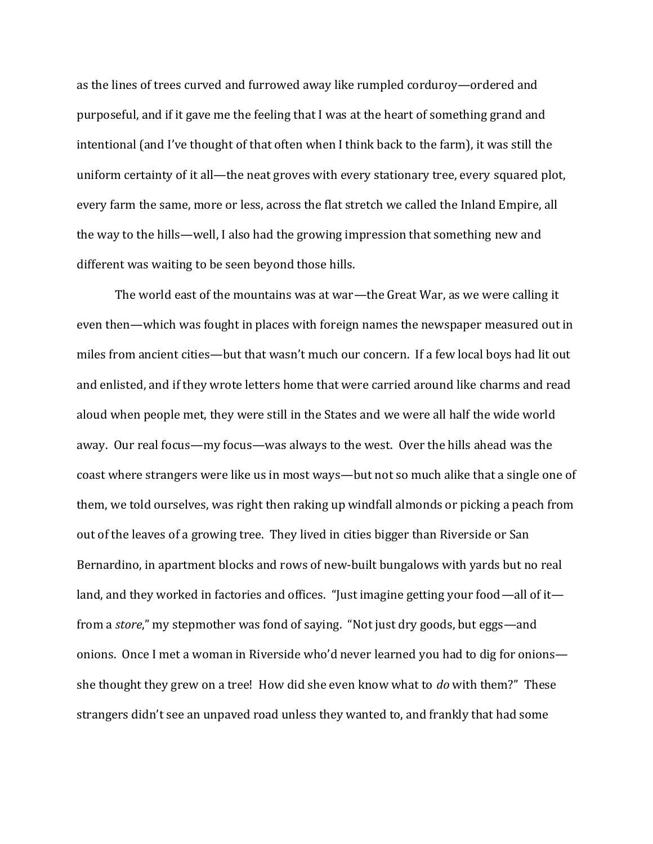as the lines of trees curved and furrowed away like rumpled corduroy—ordered and purposeful, and if it gave me the feeling that I was at the heart of something grand and intentional (and I've thought of that often when I think back to the farm), it was still the uniform certainty of it all—the neat groves with every stationary tree, every squared plot, every farm the same, more or less, across the flat stretch we called the Inland Empire, all the way to the hills—well, I also had the growing impression that something new and different was waiting to be seen beyond those hills.

The world east of the mountains was at war—the Great War, as we were calling it even then—which was fought in places with foreign names the newspaper measured out in miles from ancient cities—but that wasn't much our concern. If a few local boys had lit out and enlisted, and if they wrote letters home that were carried around like charms and read aloud when people met, they were still in the States and we were all half the wide world away. Our real focus—my focus—was always to the west. Over the hills ahead was the coast where strangers were like us in most ways—but not so much alike that a single one of them, we told ourselves, was right then raking up windfall almonds or picking a peach from out of the leaves of a growing tree. They lived in cities bigger than Riverside or San Bernardino, in apartment blocks and rows of new-built bungalows with yards but no real land, and they worked in factories and offices. "Just imagine getting your food—all of it from a *store*," my stepmother was fond of saying. "Not just dry goods, but eggs—and onions. Once I met a woman in Riverside who'd never learned you had to dig for onions she thought they grew on a tree! How did she even know what to *do* with them?" These strangers didn't see an unpaved road unless they wanted to, and frankly that had some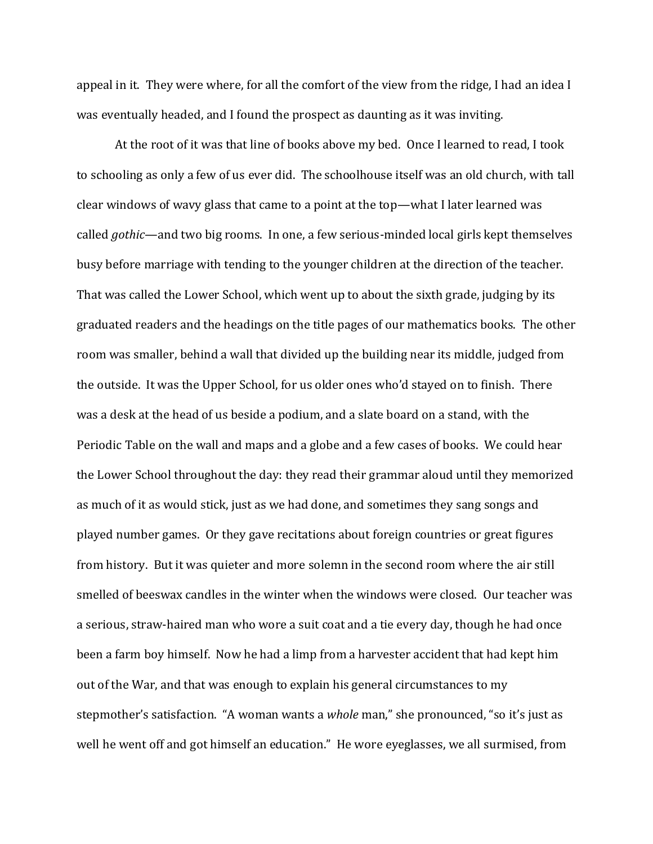appeal in it. They were where, for all the comfort of the view from the ridge, I had an idea I was eventually headed, and I found the prospect as daunting as it was inviting.

At the root of it was that line of books above my bed. Once I learned to read, I took to schooling as only a few of us ever did. The schoolhouse itself was an old church, with tall clear windows of wavy glass that came to a point at the top—what I later learned was called *gothic*—and two big rooms. In one, a few serious-minded local girls kept themselves busy before marriage with tending to the younger children at the direction of the teacher. That was called the Lower School, which went up to about the sixth grade, judging by its graduated readers and the headings on the title pages of our mathematics books. The other room was smaller, behind a wall that divided up the building near its middle, judged from the outside. It was the Upper School, for us older ones who'd stayed on to finish. There was a desk at the head of us beside a podium, and a slate board on a stand, with the Periodic Table on the wall and maps and a globe and a few cases of books. We could hear the Lower School throughout the day: they read their grammar aloud until they memorized as much of it as would stick, just as we had done, and sometimes they sang songs and played number games. Or they gave recitations about foreign countries or great figures from history. But it was quieter and more solemn in the second room where the air still smelled of beeswax candles in the winter when the windows were closed. Our teacher was a serious, straw-haired man who wore a suit coat and a tie every day, though he had once been a farm boy himself. Now he had a limp from a harvester accident that had kept him out of the War, and that was enough to explain his general circumstances to my stepmother's satisfaction. "A woman wants a *whole* man," she pronounced, "so it's just as well he went off and got himself an education." He wore eyeglasses, we all surmised, from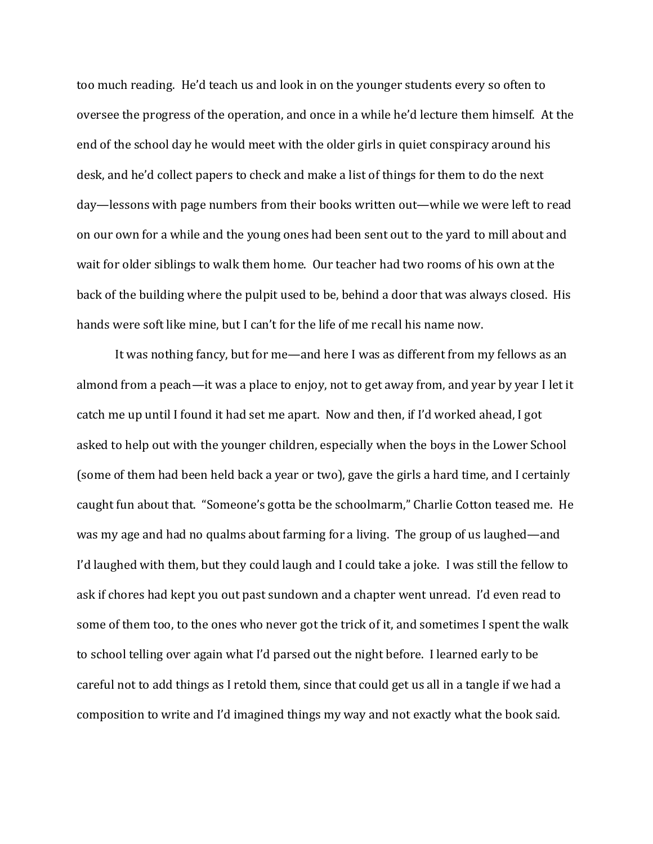too much reading. He'd teach us and look in on the younger students every so often to oversee the progress of the operation, and once in a while he'd lecture them himself. At the end of the school day he would meet with the older girls in quiet conspiracy around his desk, and he'd collect papers to check and make a list of things for them to do the next day—lessons with page numbers from their books written out—while we were left to read on our own for a while and the young ones had been sent out to the yard to mill about and wait for older siblings to walk them home. Our teacher had two rooms of his own at the back of the building where the pulpit used to be, behind a door that was always closed. His hands were soft like mine, but I can't for the life of me recall his name now.

It was nothing fancy, but for me—and here I was as different from my fellows as an almond from a peach—it was a place to enjoy, not to get away from, and year by year I let it catch me up until I found it had set me apart. Now and then, if I'd worked ahead, I got asked to help out with the younger children, especially when the boys in the Lower School (some of them had been held back a year or two), gave the girls a hard time, and I certainly caught fun about that. "Someone's gotta be the schoolmarm," Charlie Cotton teased me. He was my age and had no qualms about farming for a living. The group of us laughed—and I'd laughed with them, but they could laugh and I could take a joke. I was still the fellow to ask if chores had kept you out past sundown and a chapter went unread. I'd even read to some of them too, to the ones who never got the trick of it, and sometimes I spent the walk to school telling over again what I'd parsed out the night before. I learned early to be careful not to add things as I retold them, since that could get us all in a tangle if we had a composition to write and I'd imagined things my way and not exactly what the book said.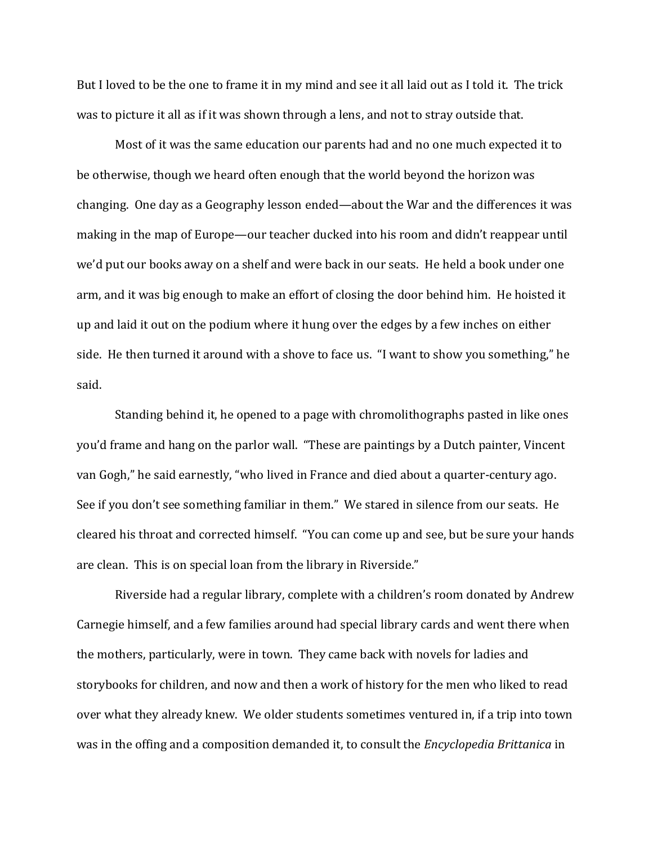But I loved to be the one to frame it in my mind and see it all laid out as I told it. The trick was to picture it all as if it was shown through a lens, and not to stray outside that.

Most of it was the same education our parents had and no one much expected it to be otherwise, though we heard often enough that the world beyond the horizon was changing. One day as a Geography lesson ended—about the War and the differences it was making in the map of Europe—our teacher ducked into his room and didn't reappear until we'd put our books away on a shelf and were back in our seats. He held a book under one arm, and it was big enough to make an effort of closing the door behind him. He hoisted it up and laid it out on the podium where it hung over the edges by a few inches on either side. He then turned it around with a shove to face us. "I want to show you something," he said.

Standing behind it, he opened to a page with chromolithographs pasted in like ones you'd frame and hang on the parlor wall. "These are paintings by a Dutch painter, Vincent van Gogh," he said earnestly, "who lived in France and died about a quarter-century ago. See if you don't see something familiar in them." We stared in silence from our seats. He cleared his throat and corrected himself. "You can come up and see, but be sure your hands are clean. This is on special loan from the library in Riverside."

Riverside had a regular library, complete with a children's room donated by Andrew Carnegie himself, and a few families around had special library cards and went there when the mothers, particularly, were in town. They came back with novels for ladies and storybooks for children, and now and then a work of history for the men who liked to read over what they already knew. We older students sometimes ventured in, if a trip into town was in the offing and a composition demanded it, to consult the *Encyclopedia Brittanica* in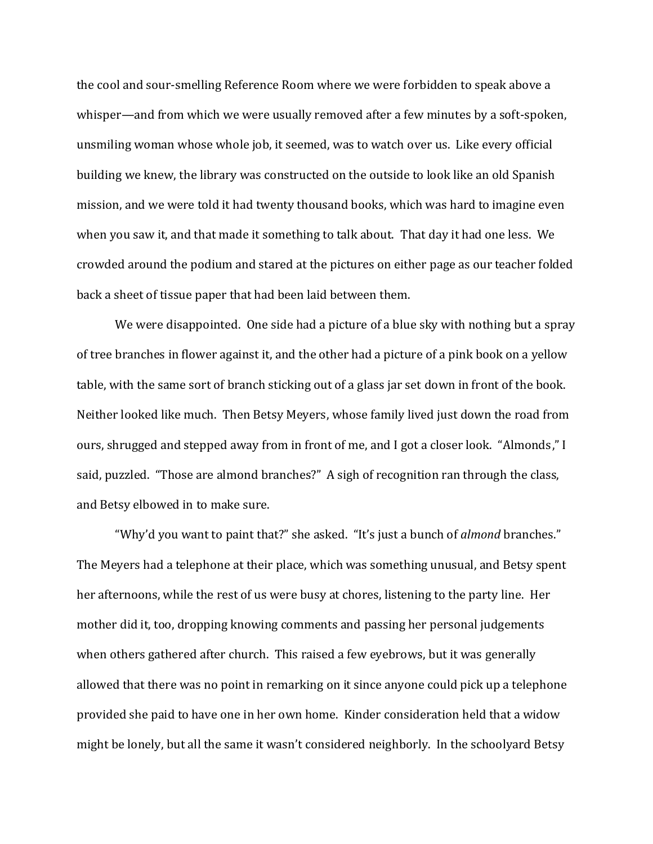the cool and sour-smelling Reference Room where we were forbidden to speak above a whisper—and from which we were usually removed after a few minutes by a soft-spoken, unsmiling woman whose whole job, it seemed, was to watch over us. Like every official building we knew, the library was constructed on the outside to look like an old Spanish mission, and we were told it had twenty thousand books, which was hard to imagine even when you saw it, and that made it something to talk about. That day it had one less. We crowded around the podium and stared at the pictures on either page as our teacher folded back a sheet of tissue paper that had been laid between them.

We were disappointed. One side had a picture of a blue sky with nothing but a spray of tree branches in flower against it, and the other had a picture of a pink book on a yellow table, with the same sort of branch sticking out of a glass jar set down in front of the book. Neither looked like much. Then Betsy Meyers, whose family lived just down the road from ours, shrugged and stepped away from in front of me, and I got a closer look. "Almonds," I said, puzzled. "Those are almond branches?" A sigh of recognition ran through the class, and Betsy elbowed in to make sure.

"Why'd you want to paint that?" she asked. "It's just a bunch of *almond* branches." The Meyers had a telephone at their place, which was something unusual, and Betsy spent her afternoons, while the rest of us were busy at chores, listening to the party line. Her mother did it, too, dropping knowing comments and passing her personal judgements when others gathered after church. This raised a few eyebrows, but it was generally allowed that there was no point in remarking on it since anyone could pick up a telephone provided she paid to have one in her own home. Kinder consideration held that a widow might be lonely, but all the same it wasn't considered neighborly. In the schoolyard Betsy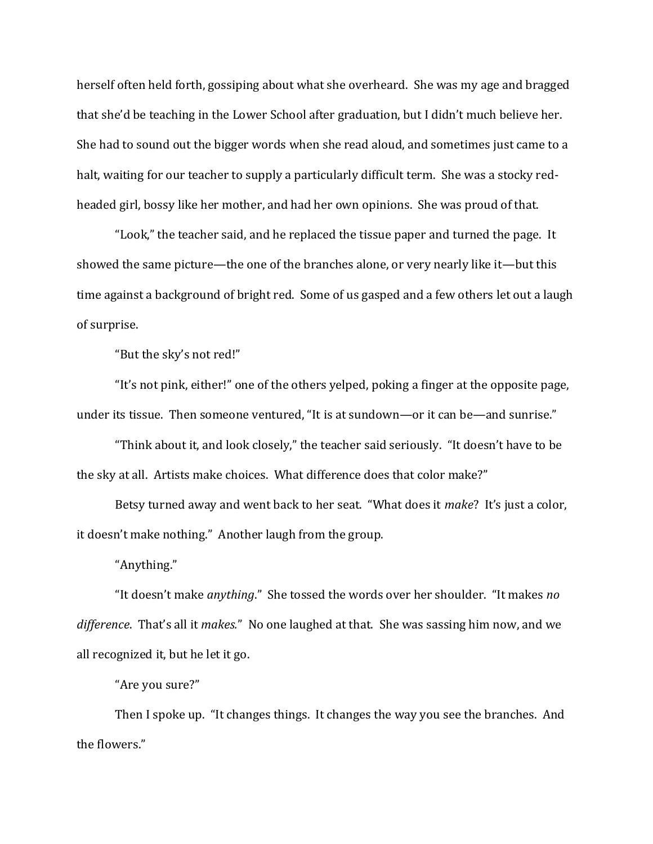herself often held forth, gossiping about what she overheard. She was my age and bragged that she'd be teaching in the Lower School after graduation, but I didn't much believe her. She had to sound out the bigger words when she read aloud, and sometimes just came to a halt, waiting for our teacher to supply a particularly difficult term. She was a stocky redheaded girl, bossy like her mother, and had her own opinions. She was proud of that.

"Look," the teacher said, and he replaced the tissue paper and turned the page. It showed the same picture—the one of the branches alone, or very nearly like it—but this time against a background of bright red. Some of us gasped and a few others let out a laugh of surprise.

"But the sky's not red!"

"It's not pink, either!" one of the others yelped, poking a finger at the opposite page, under its tissue. Then someone ventured, "It is at sundown—or it can be—and sunrise."

"Think about it, and look closely," the teacher said seriously. "It doesn't have to be the sky at all. Artists make choices. What difference does that color make?"

Betsy turned away and went back to her seat. "What does it *make*? It's just a color, it doesn't make nothing." Another laugh from the group.

"Anything."

"It doesn't make *anything*." She tossed the words over her shoulder. "It makes *no difference*. That's all it *makes.*" No one laughed at that. She was sassing him now, and we all recognized it, but he let it go.

"Are you sure?"

Then I spoke up. "It changes things. It changes the way you see the branches. And the flowers."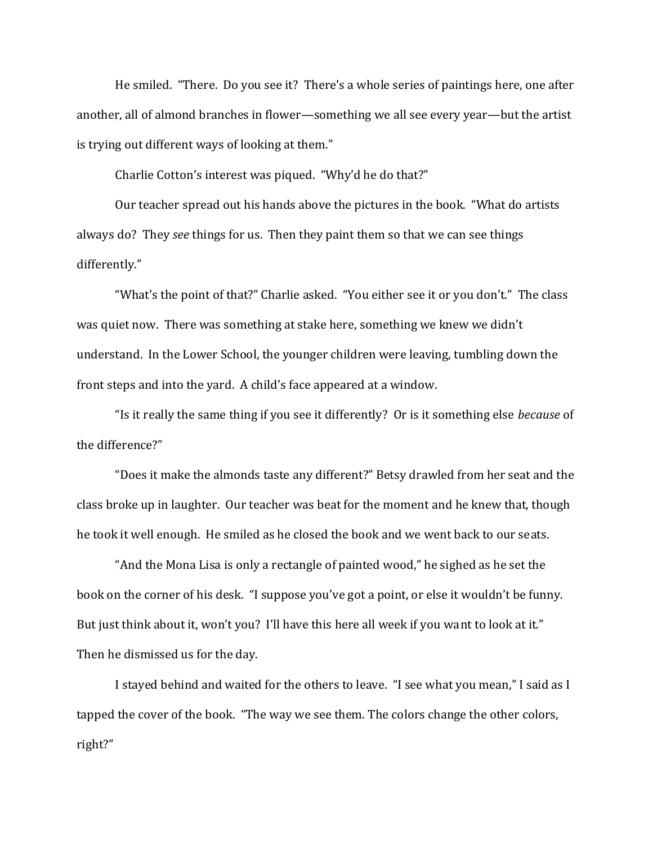He smiled. "There. Do you see it? There's a whole series of paintings here, one after another, all of almond branches in flower—something we all see every year—but the artist is trying out different ways of looking at them."

Charlie Cotton's interest was piqued. "Why'd he do that?"

Our teacher spread out his hands above the pictures in the book. "What do artists always do? They *see* things for us. Then they paint them so that we can see things differently."

"What's the point of that?" Charlie asked. "You either see it or you don't." The class was quiet now. There was something at stake here, something we knew we didn't understand. In the Lower School, the younger children were leaving, tumbling down the front steps and into the yard. A child's face appeared at a window.

"Is it really the same thing if you see it differently? Or is it something else *because* of the difference?"

"Does it make the almonds taste any different?" Betsy drawled from her seat and the class broke up in laughter. Our teacher was beat for the moment and he knew that, though he took it well enough. He smiled as he closed the book and we went back to our seats.

"And the Mona Lisa is only a rectangle of painted wood," he sighed as he set the book on the corner of his desk. "I suppose you've got a point, or else it wouldn't be funny. But just think about it, won't you? I'll have this here all week if you want to look at it." Then he dismissed us for the day.

I stayed behind and waited for the others to leave. "I see what you mean," I said as I tapped the cover of the book. "The way we see them. The colors change the other colors, right?"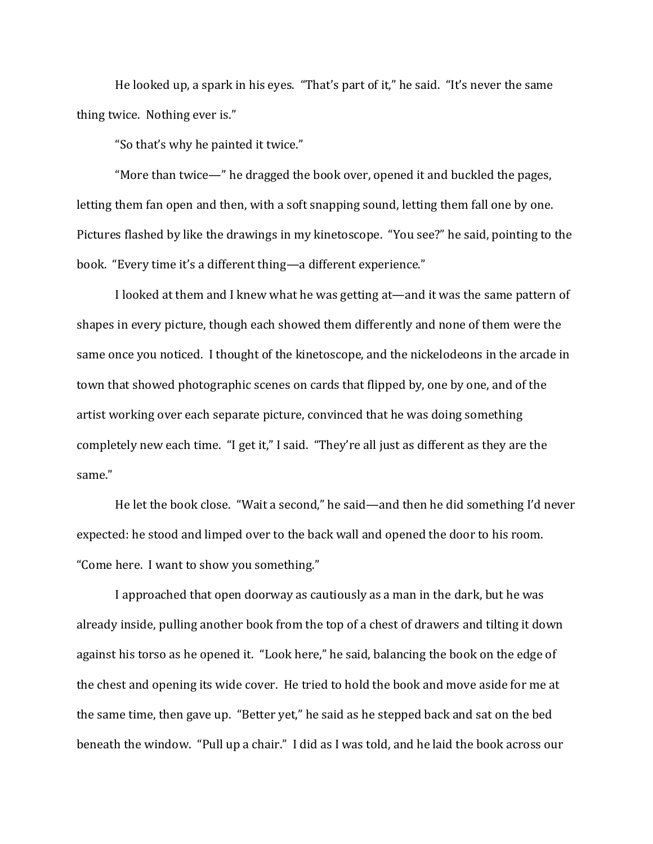He looked up, a spark in his eyes. "That's part of it," he said. "It's never the same thing twice. Nothing ever is."

"So that's why he painted it twice."

"More than twice—" he dragged the book over, opened it and buckled the pages, letting them fan open and then, with a soft snapping sound, letting them fall one by one. Pictures flashed by like the drawings in my kinetoscope. "You see?" he said, pointing to the book. "Every time it's a different thing—a different experience."

I looked at them and I knew what he was getting at—and it was the same pattern of shapes in every picture, though each showed them differently and none of them were the same once you noticed. I thought of the kinetoscope, and the nickelodeons in the arcade in town that showed photographic scenes on cards that flipped by, one by one, and of the artist working over each separate picture, convinced that he was doing something completely new each time. "I get it," I said. "They're all just as different as they are the same."

He let the book close. "Wait a second," he said—and then he did something I'd never expected: he stood and limped over to the back wall and opened the door to his room. "Come here. I want to show you something."

I approached that open doorway as cautiously as a man in the dark, but he was already inside, pulling another book from the top of a chest of drawers and tilting it down against his torso as he opened it. "Look here," he said, balancing the book on the edge of the chest and opening its wide cover. He tried to hold the book and move aside for me at the same time, then gave up. "Better yet," he said as he stepped back and sat on the bed beneath the window. "Pull up a chair." I did as I was told, and he laid the book across our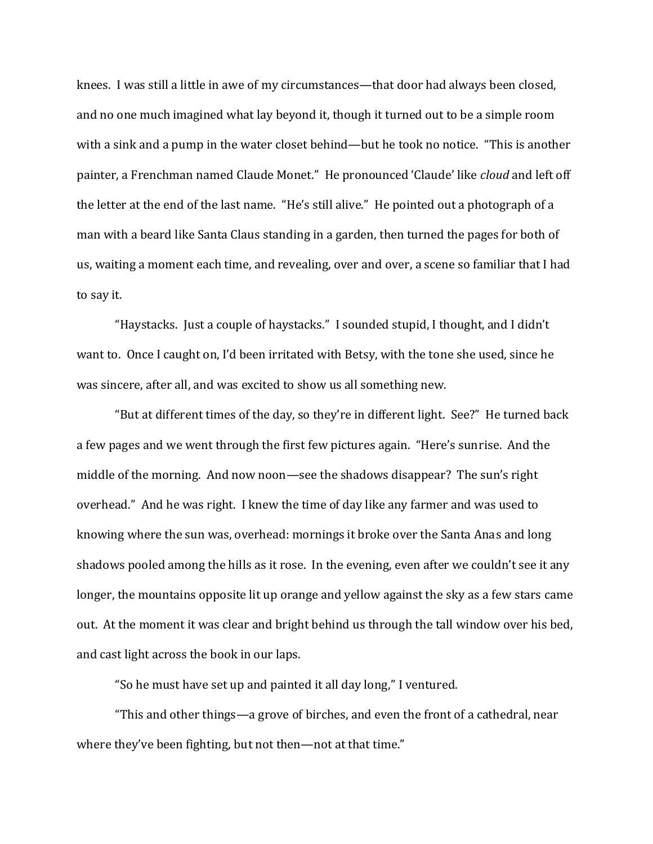knees. I was still a little in awe of my circumstances—that door had always been closed, and no one much imagined what lay beyond it, though it turned out to be a simple room with a sink and a pump in the water closet behind—but he took no notice. "This is another painter, a Frenchman named Claude Monet." He pronounced 'Claude' like *cloud* and left off the letter at the end of the last name. "He's still alive." He pointed out a photograph of a man with a beard like Santa Claus standing in a garden, then turned the pages for both of us, waiting a moment each time, and revealing, over and over, a scene so familiar that I had to say it.

"Haystacks. Just a couple of haystacks." I sounded stupid, I thought, and I didn't want to. Once I caught on, I'd been irritated with Betsy, with the tone she used, since he was sincere, after all, and was excited to show us all something new.

"But at different times of the day, so they're in different light. See?" He turned back a few pages and we went through the first few pictures again. "Here's sunrise. And the middle of the morning. And now noon—see the shadows disappear? The sun's right overhead." And he was right. I knew the time of day like any farmer and was used to knowing where the sun was, overhead: mornings it broke over the Santa Anas and long shadows pooled among the hills as it rose. In the evening, even after we couldn't see it any longer, the mountains opposite lit up orange and yellow against the sky as a few stars came out. At the moment it was clear and bright behind us through the tall window over his bed, and cast light across the book in our laps.

"So he must have set up and painted it all day long," I ventured.

"This and other things—a grove of birches, and even the front of a cathedral, near where they've been fighting, but not then—not at that time."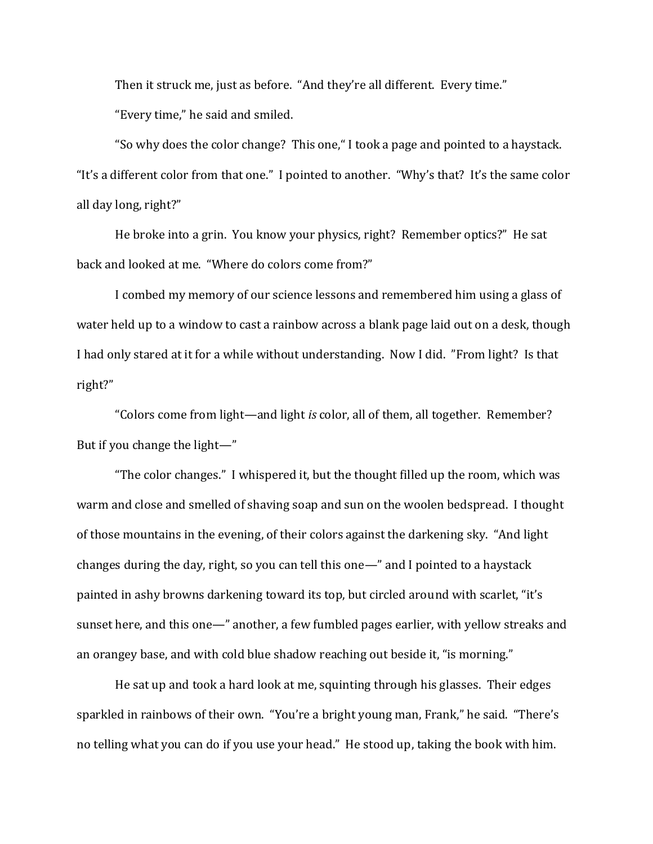Then it struck me, just as before. "And they're all different. Every time." "Every time," he said and smiled.

"So why does the color change? This one," I took a page and pointed to a haystack. "It's a different color from that one." I pointed to another. "Why's that? It's the same color all day long, right?"

He broke into a grin. You know your physics, right? Remember optics?" He sat back and looked at me. "Where do colors come from?"

I combed my memory of our science lessons and remembered him using a glass of water held up to a window to cast a rainbow across a blank page laid out on a desk, though I had only stared at it for a while without understanding. Now I did. "From light? Is that right?"

"Colors come from light—and light *is* color, all of them, all together. Remember? But if you change the light—"

"The color changes." I whispered it, but the thought filled up the room, which was warm and close and smelled of shaving soap and sun on the woolen bedspread. I thought of those mountains in the evening, of their colors against the darkening sky. "And light changes during the day, right, so you can tell this one—" and I pointed to a haystack painted in ashy browns darkening toward its top, but circled around with scarlet, "it's sunset here, and this one—" another, a few fumbled pages earlier, with yellow streaks and an orangey base, and with cold blue shadow reaching out beside it, "is morning."

He sat up and took a hard look at me, squinting through his glasses. Their edges sparkled in rainbows of their own. "You're a bright young man, Frank," he said. "There's no telling what you can do if you use your head." He stood up, taking the book with him.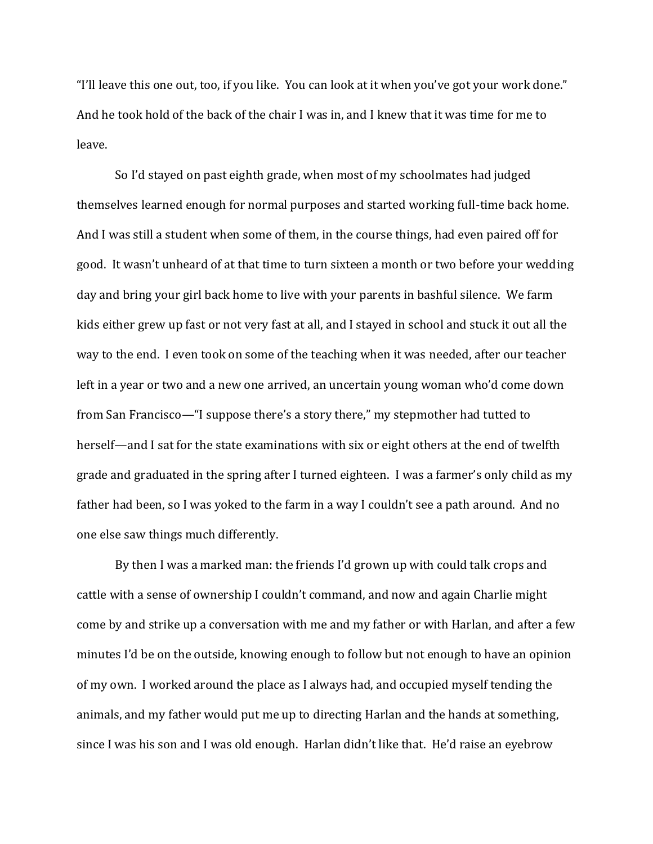"I'll leave this one out, too, if you like. You can look at it when you've got your work done." And he took hold of the back of the chair I was in, and I knew that it was time for me to leave.

So I'd stayed on past eighth grade, when most of my schoolmates had judged themselves learned enough for normal purposes and started working full-time back home. And I was still a student when some of them, in the course things, had even paired off for good. It wasn't unheard of at that time to turn sixteen a month or two before your wedding day and bring your girl back home to live with your parents in bashful silence. We farm kids either grew up fast or not very fast at all, and I stayed in school and stuck it out all the way to the end. I even took on some of the teaching when it was needed, after our teacher left in a year or two and a new one arrived, an uncertain young woman who'd come down from San Francisco—"I suppose there's a story there," my stepmother had tutted to herself—and I sat for the state examinations with six or eight others at the end of twelfth grade and graduated in the spring after I turned eighteen. I was a farmer's only child as my father had been, so I was yoked to the farm in a way I couldn't see a path around. And no one else saw things much differently.

By then I was a marked man: the friends I'd grown up with could talk crops and cattle with a sense of ownership I couldn't command, and now and again Charlie might come by and strike up a conversation with me and my father or with Harlan, and after a few minutes I'd be on the outside, knowing enough to follow but not enough to have an opinion of my own. I worked around the place as I always had, and occupied myself tending the animals, and my father would put me up to directing Harlan and the hands at something, since I was his son and I was old enough. Harlan didn't like that. He'd raise an eyebrow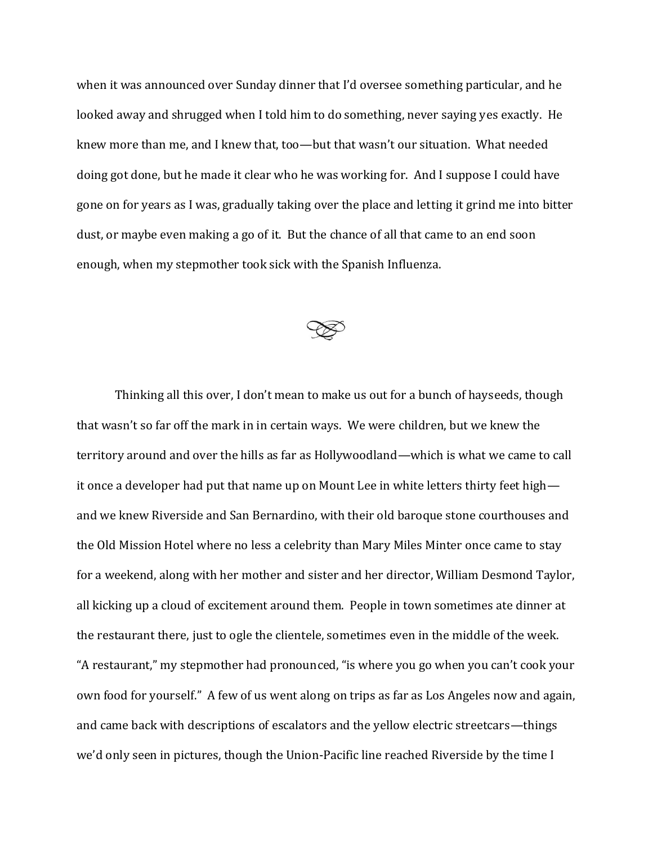when it was announced over Sunday dinner that I'd oversee something particular, and he looked away and shrugged when I told him to do something, never saying yes exactly. He knew more than me, and I knew that, too—but that wasn't our situation. What needed doing got done, but he made it clear who he was working for. And I suppose I could have gone on for years as I was, gradually taking over the place and letting it grind me into bitter dust, or maybe even making a go of it. But the chance of all that came to an end soon enough, when my stepmother took sick with the Spanish Influenza.



Thinking all this over, I don't mean to make us out for a bunch of hayseeds, though that wasn't so far off the mark in in certain ways. We were children, but we knew the territory around and over the hills as far as Hollywoodland—which is what we came to call it once a developer had put that name up on Mount Lee in white letters thirty feet high and we knew Riverside and San Bernardino, with their old baroque stone courthouses and the Old Mission Hotel where no less a celebrity than Mary Miles Minter once came to stay for a weekend, along with her mother and sister and her director, William Desmond Taylor, all kicking up a cloud of excitement around them. People in town sometimes ate dinner at the restaurant there, just to ogle the clientele, sometimes even in the middle of the week. "A restaurant," my stepmother had pronounced, "is where you go when you can't cook your own food for yourself." A few of us went along on trips as far as Los Angeles now and again, and came back with descriptions of escalators and the yellow electric streetcars—things we'd only seen in pictures, though the Union-Pacific line reached Riverside by the time I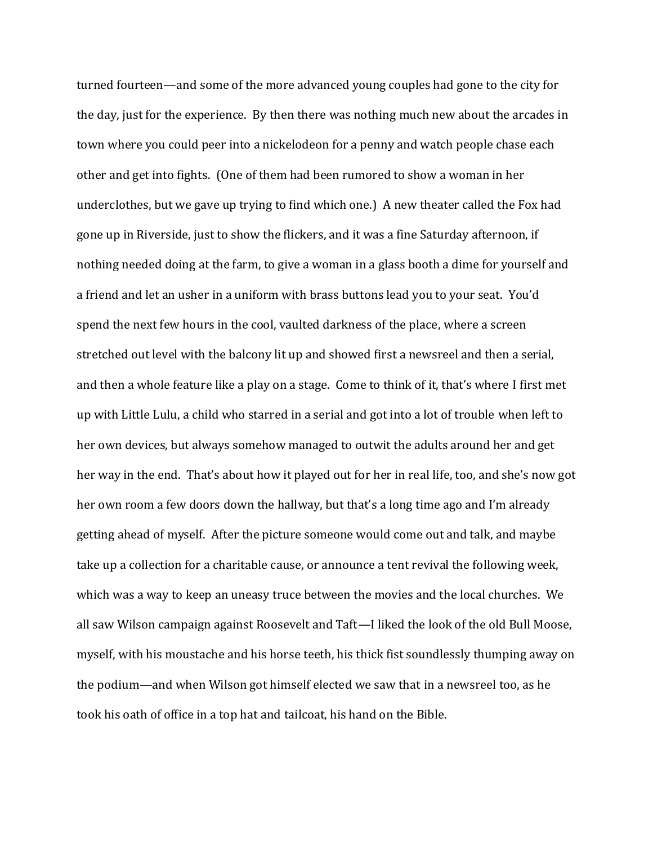turned fourteen—and some of the more advanced young couples had gone to the city for the day, just for the experience. By then there was nothing much new about the arcades in town where you could peer into a nickelodeon for a penny and watch people chase each other and get into fights. (One of them had been rumored to show a woman in her underclothes, but we gave up trying to find which one.) A new theater called the Fox had gone up in Riverside, just to show the flickers, and it was a fine Saturday afternoon, if nothing needed doing at the farm, to give a woman in a glass booth a dime for yourself and a friend and let an usher in a uniform with brass buttons lead you to your seat. You'd spend the next few hours in the cool, vaulted darkness of the place, where a screen stretched out level with the balcony lit up and showed first a newsreel and then a serial, and then a whole feature like a play on a stage. Come to think of it, that's where I first met up with Little Lulu, a child who starred in a serial and got into a lot of trouble when left to her own devices, but always somehow managed to outwit the adults around her and get her way in the end. That's about how it played out for her in real life, too, and she's now got her own room a few doors down the hallway, but that's a long time ago and I'm already getting ahead of myself. After the picture someone would come out and talk, and maybe take up a collection for a charitable cause, or announce a tent revival the following week, which was a way to keep an uneasy truce between the movies and the local churches. We all saw Wilson campaign against Roosevelt and Taft—I liked the look of the old Bull Moose, myself, with his moustache and his horse teeth, his thick fist soundlessly thumping away on the podium—and when Wilson got himself elected we saw that in a newsreel too, as he took his oath of office in a top hat and tailcoat, his hand on the Bible.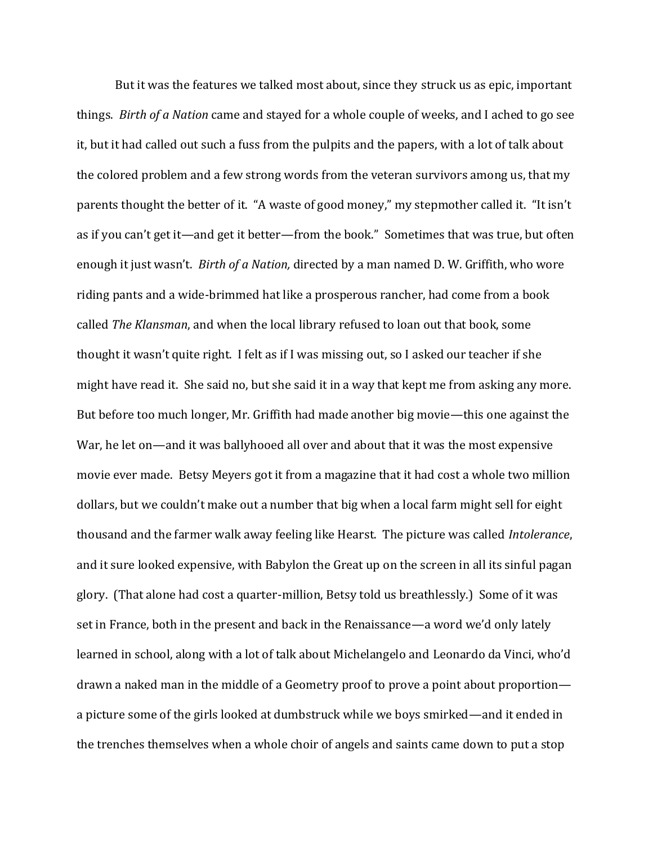But it was the features we talked most about, since they struck us as epic, important things. *Birth of a Nation* came and stayed for a whole couple of weeks, and I ached to go see it, but it had called out such a fuss from the pulpits and the papers, with a lot of talk about the colored problem and a few strong words from the veteran survivors among us, that my parents thought the better of it. "A waste of good money," my stepmother called it. "It isn't as if you can't get it—and get it better—from the book." Sometimes that was true, but often enough it just wasn't. *Birth of a Nation,* directed by a man named D. W. Griffith, who wore riding pants and a wide-brimmed hat like a prosperous rancher, had come from a book called *The Klansman*, and when the local library refused to loan out that book, some thought it wasn't quite right. I felt as if I was missing out, so I asked our teacher if she might have read it. She said no, but she said it in a way that kept me from asking any more. But before too much longer, Mr. Griffith had made another big movie—this one against the War, he let on—and it was ballyhooed all over and about that it was the most expensive movie ever made. Betsy Meyers got it from a magazine that it had cost a whole two million dollars, but we couldn't make out a number that big when a local farm might sell for eight thousand and the farmer walk away feeling like Hearst. The picture was called *Intolerance*, and it sure looked expensive, with Babylon the Great up on the screen in all its sinful pagan glory. (That alone had cost a quarter-million, Betsy told us breathlessly.) Some of it was set in France, both in the present and back in the Renaissance—a word we'd only lately learned in school, along with a lot of talk about Michelangelo and Leonardo da Vinci, who'd drawn a naked man in the middle of a Geometry proof to prove a point about proportion a picture some of the girls looked at dumbstruck while we boys smirked—and it ended in the trenches themselves when a whole choir of angels and saints came down to put a stop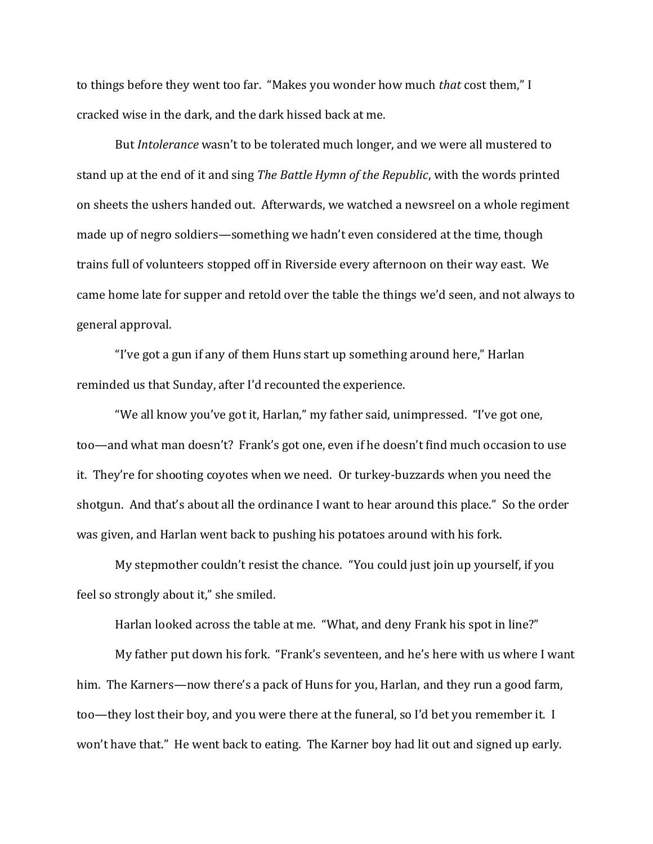to things before they went too far. "Makes you wonder how much *that* cost them," I cracked wise in the dark, and the dark hissed back at me.

But *Intolerance* wasn't to be tolerated much longer, and we were all mustered to stand up at the end of it and sing *The Battle Hymn of the Republic*, with the words printed on sheets the ushers handed out. Afterwards, we watched a newsreel on a whole regiment made up of negro soldiers—something we hadn't even considered at the time, though trains full of volunteers stopped off in Riverside every afternoon on their way east. We came home late for supper and retold over the table the things we'd seen, and not always to general approval.

"I've got a gun if any of them Huns start up something around here," Harlan reminded us that Sunday, after I'd recounted the experience.

"We all know you've got it, Harlan," my father said, unimpressed. "I've got one, too—and what man doesn't? Frank's got one, even if he doesn't find much occasion to use it. They're for shooting coyotes when we need. Or turkey-buzzards when you need the shotgun. And that's about all the ordinance I want to hear around this place." So the order was given, and Harlan went back to pushing his potatoes around with his fork.

My stepmother couldn't resist the chance. "You could just join up yourself, if you feel so strongly about it," she smiled.

Harlan looked across the table at me. "What, and deny Frank his spot in line?"

My father put down his fork. "Frank's seventeen, and he's here with us where I want him. The Karners—now there's a pack of Huns for you, Harlan, and they run a good farm, too—they lost their boy, and you were there at the funeral, so I'd bet you remember it. I won't have that." He went back to eating. The Karner boy had lit out and signed up early.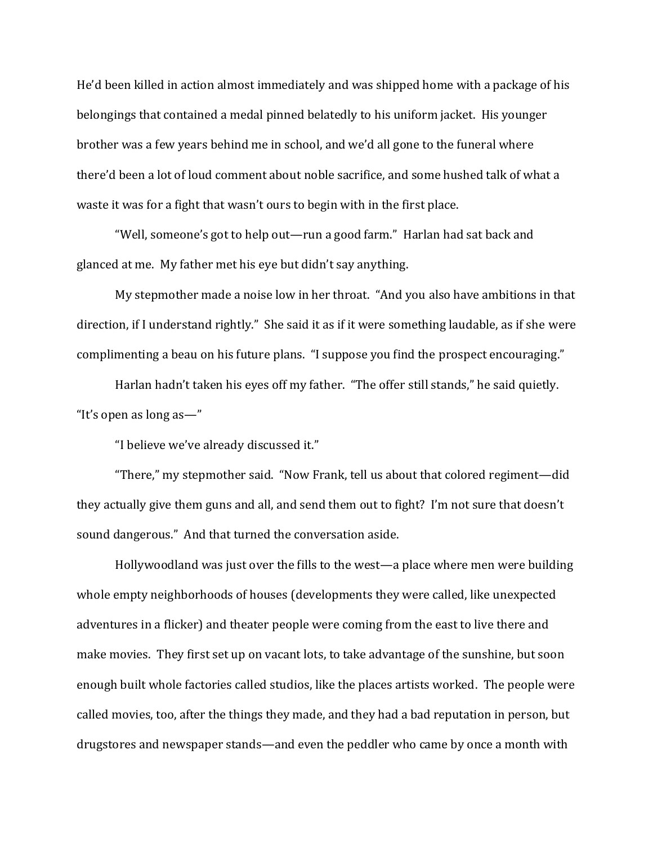He'd been killed in action almost immediately and was shipped home with a package of his belongings that contained a medal pinned belatedly to his uniform jacket. His younger brother was a few years behind me in school, and we'd all gone to the funeral where there'd been a lot of loud comment about noble sacrifice, and some hushed talk of what a waste it was for a fight that wasn't ours to begin with in the first place.

"Well, someone's got to help out—run a good farm." Harlan had sat back and glanced at me. My father met his eye but didn't say anything.

My stepmother made a noise low in her throat. "And you also have ambitions in that direction, if I understand rightly." She said it as if it were something laudable, as if she were complimenting a beau on his future plans. "I suppose you find the prospect encouraging."

Harlan hadn't taken his eyes off my father. "The offer still stands," he said quietly. "It's open as long as—"

"I believe we've already discussed it."

"There," my stepmother said. "Now Frank, tell us about that colored regiment—did they actually give them guns and all, and send them out to fight? I'm not sure that doesn't sound dangerous." And that turned the conversation aside.

Hollywoodland was just over the fills to the west—a place where men were building whole empty neighborhoods of houses (developments they were called, like unexpected adventures in a flicker) and theater people were coming from the east to live there and make movies. They first set up on vacant lots, to take advantage of the sunshine, but soon enough built whole factories called studios, like the places artists worked. The people were called movies, too, after the things they made, and they had a bad reputation in person, but drugstores and newspaper stands—and even the peddler who came by once a month with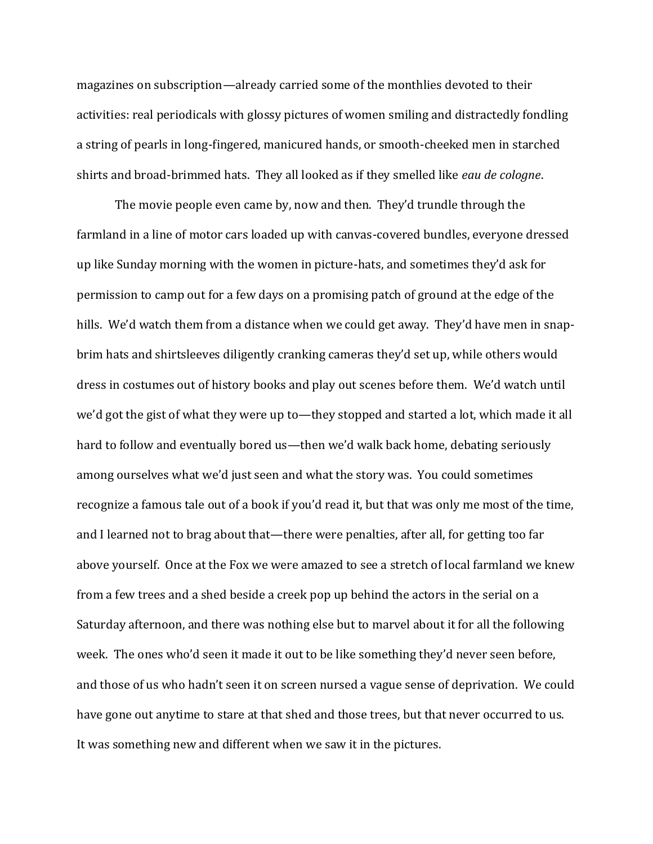magazines on subscription—already carried some of the monthlies devoted to their activities: real periodicals with glossy pictures of women smiling and distractedly fondling a string of pearls in long-fingered, manicured hands, or smooth-cheeked men in starched shirts and broad-brimmed hats. They all looked as if they smelled like *eau de cologne*.

The movie people even came by, now and then. They'd trundle through the farmland in a line of motor cars loaded up with canvas-covered bundles, everyone dressed up like Sunday morning with the women in picture-hats, and sometimes they'd ask for permission to camp out for a few days on a promising patch of ground at the edge of the hills. We'd watch them from a distance when we could get away. They'd have men in snapbrim hats and shirtsleeves diligently cranking cameras they'd set up, while others would dress in costumes out of history books and play out scenes before them. We'd watch until we'd got the gist of what they were up to—they stopped and started a lot, which made it all hard to follow and eventually bored us—then we'd walk back home, debating seriously among ourselves what we'd just seen and what the story was. You could sometimes recognize a famous tale out of a book if you'd read it, but that was only me most of the time, and I learned not to brag about that—there were penalties, after all, for getting too far above yourself. Once at the Fox we were amazed to see a stretch of local farmland we knew from a few trees and a shed beside a creek pop up behind the actors in the serial on a Saturday afternoon, and there was nothing else but to marvel about it for all the following week. The ones who'd seen it made it out to be like something they'd never seen before, and those of us who hadn't seen it on screen nursed a vague sense of deprivation. We could have gone out anytime to stare at that shed and those trees, but that never occurred to us. It was something new and different when we saw it in the pictures.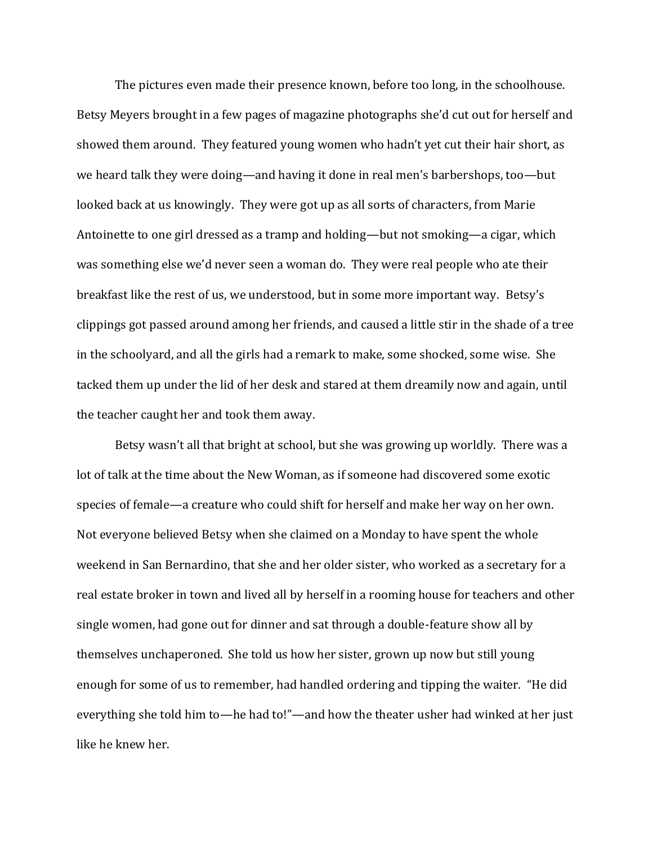The pictures even made their presence known, before too long, in the schoolhouse. Betsy Meyers brought in a few pages of magazine photographs she'd cut out for herself and showed them around. They featured young women who hadn't yet cut their hair short, as we heard talk they were doing—and having it done in real men's barbershops, too—but looked back at us knowingly. They were got up as all sorts of characters, from Marie Antoinette to one girl dressed as a tramp and holding—but not smoking—a cigar, which was something else we'd never seen a woman do. They were real people who ate their breakfast like the rest of us, we understood, but in some more important way. Betsy's clippings got passed around among her friends, and caused a little stir in the shade of a tree in the schoolyard, and all the girls had a remark to make, some shocked, some wise. She tacked them up under the lid of her desk and stared at them dreamily now and again, until the teacher caught her and took them away.

Betsy wasn't all that bright at school, but she was growing up worldly. There was a lot of talk at the time about the New Woman, as if someone had discovered some exotic species of female—a creature who could shift for herself and make her way on her own. Not everyone believed Betsy when she claimed on a Monday to have spent the whole weekend in San Bernardino, that she and her older sister, who worked as a secretary for a real estate broker in town and lived all by herself in a rooming house for teachers and other single women, had gone out for dinner and sat through a double-feature show all by themselves unchaperoned. She told us how her sister, grown up now but still young enough for some of us to remember, had handled ordering and tipping the waiter. "He did everything she told him to—he had to!"—and how the theater usher had winked at her just like he knew her.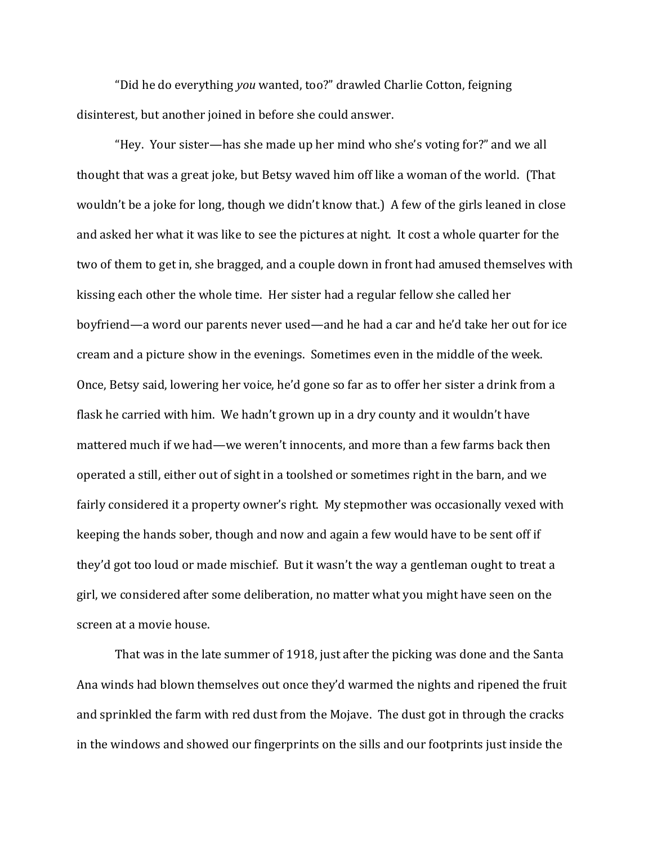"Did he do everything *you* wanted, too?" drawled Charlie Cotton, feigning disinterest, but another joined in before she could answer.

"Hey. Your sister—has she made up her mind who she's voting for?" and we all thought that was a great joke, but Betsy waved him off like a woman of the world. (That wouldn't be a joke for long, though we didn't know that.) A few of the girls leaned in close and asked her what it was like to see the pictures at night. It cost a whole quarter for the two of them to get in, she bragged, and a couple down in front had amused themselves with kissing each other the whole time. Her sister had a regular fellow she called her boyfriend—a word our parents never used—and he had a car and he'd take her out for ice cream and a picture show in the evenings. Sometimes even in the middle of the week. Once, Betsy said, lowering her voice, he'd gone so far as to offer her sister a drink from a flask he carried with him. We hadn't grown up in a dry county and it wouldn't have mattered much if we had—we weren't innocents, and more than a few farms back then operated a still, either out of sight in a toolshed or sometimes right in the barn, and we fairly considered it a property owner's right. My stepmother was occasionally vexed with keeping the hands sober, though and now and again a few would have to be sent off if they'd got too loud or made mischief. But it wasn't the way a gentleman ought to treat a girl, we considered after some deliberation, no matter what you might have seen on the screen at a movie house.

That was in the late summer of 1918, just after the picking was done and the Santa Ana winds had blown themselves out once they'd warmed the nights and ripened the fruit and sprinkled the farm with red dust from the Mojave. The dust got in through the cracks in the windows and showed our fingerprints on the sills and our footprints just inside the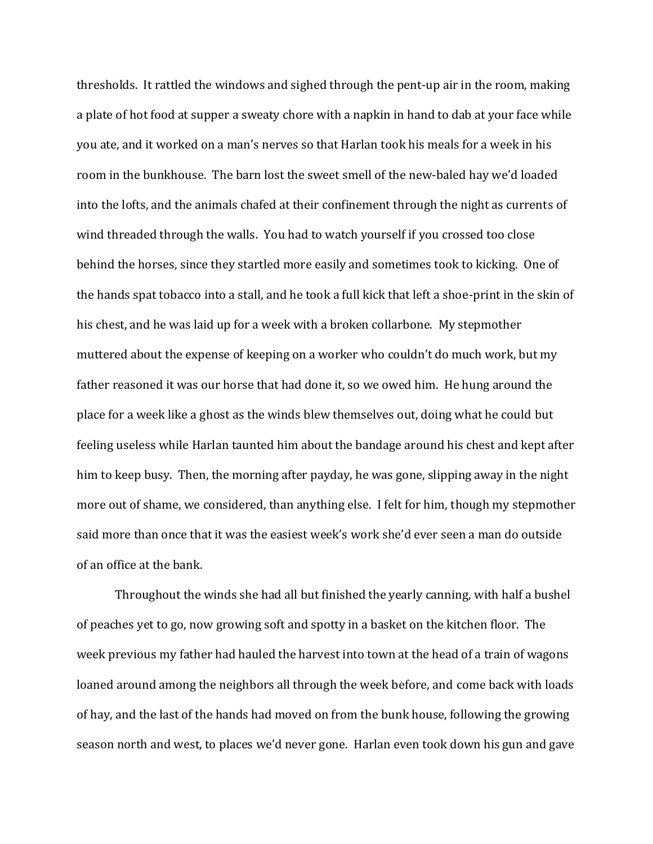thresholds. It rattled the windows and sighed through the pent-up air in the room, making a plate of hot food at supper a sweaty chore with a napkin in hand to dab at your face while you ate, and it worked on a man's nerves so that Harlan took his meals for a week in his room in the bunkhouse. The barn lost the sweet smell of the new-baled hay we'd loaded into the lofts, and the animals chafed at their confinement through the night as currents of wind threaded through the walls. You had to watch yourself if you crossed too close behind the horses, since they startled more easily and sometimes took to kicking. One of the hands spat tobacco into a stall, and he took a full kick that left a shoe-print in the skin of his chest, and he was laid up for a week with a broken collarbone. My stepmother muttered about the expense of keeping on a worker who couldn't do much work, but my father reasoned it was our horse that had done it, so we owed him. He hung around the place for a week like a ghost as the winds blew themselves out, doing what he could but feeling useless while Harlan taunted him about the bandage around his chest and kept after him to keep busy. Then, the morning after payday, he was gone, slipping away in the night more out of shame, we considered, than anything else. I felt for him, though my stepmother said more than once that it was the easiest week's work she'd ever seen a man do outside of an office at the bank.

Throughout the winds she had all but finished the yearly canning, with half a bushel of peaches yet to go, now growing soft and spotty in a basket on the kitchen floor. The week previous my father had hauled the harvest into town at the head of a train of wagons loaned around among the neighbors all through the week before, and come back with loads of hay, and the last of the hands had moved on from the bunk house, following the growing season north and west, to places we'd never gone. Harlan even took down his gun and gave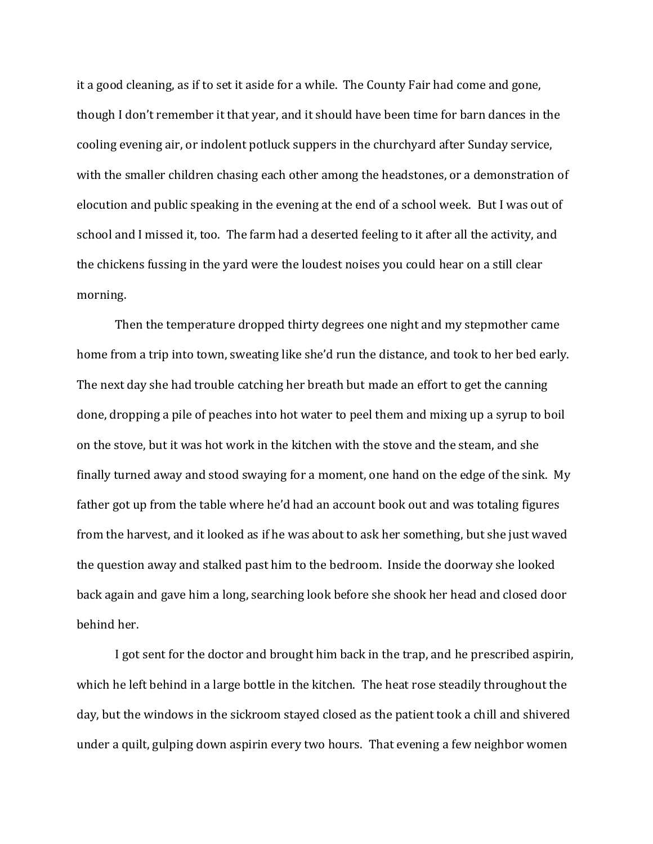it a good cleaning, as if to set it aside for a while. The County Fair had come and gone, though I don't remember it that year, and it should have been time for barn dances in the cooling evening air, or indolent potluck suppers in the churchyard after Sunday service, with the smaller children chasing each other among the headstones, or a demonstration of elocution and public speaking in the evening at the end of a school week. But I was out of school and I missed it, too. The farm had a deserted feeling to it after all the activity, and the chickens fussing in the yard were the loudest noises you could hear on a still clear morning.

Then the temperature dropped thirty degrees one night and my stepmother came home from a trip into town, sweating like she'd run the distance, and took to her bed early. The next day she had trouble catching her breath but made an effort to get the canning done, dropping a pile of peaches into hot water to peel them and mixing up a syrup to boil on the stove, but it was hot work in the kitchen with the stove and the steam, and she finally turned away and stood swaying for a moment, one hand on the edge of the sink. My father got up from the table where he'd had an account book out and was totaling figures from the harvest, and it looked as if he was about to ask her something, but she just waved the question away and stalked past him to the bedroom. Inside the doorway she looked back again and gave him a long, searching look before she shook her head and closed door behind her.

I got sent for the doctor and brought him back in the trap, and he prescribed aspirin, which he left behind in a large bottle in the kitchen. The heat rose steadily throughout the day, but the windows in the sickroom stayed closed as the patient took a chill and shivered under a quilt, gulping down aspirin every two hours. That evening a few neighbor women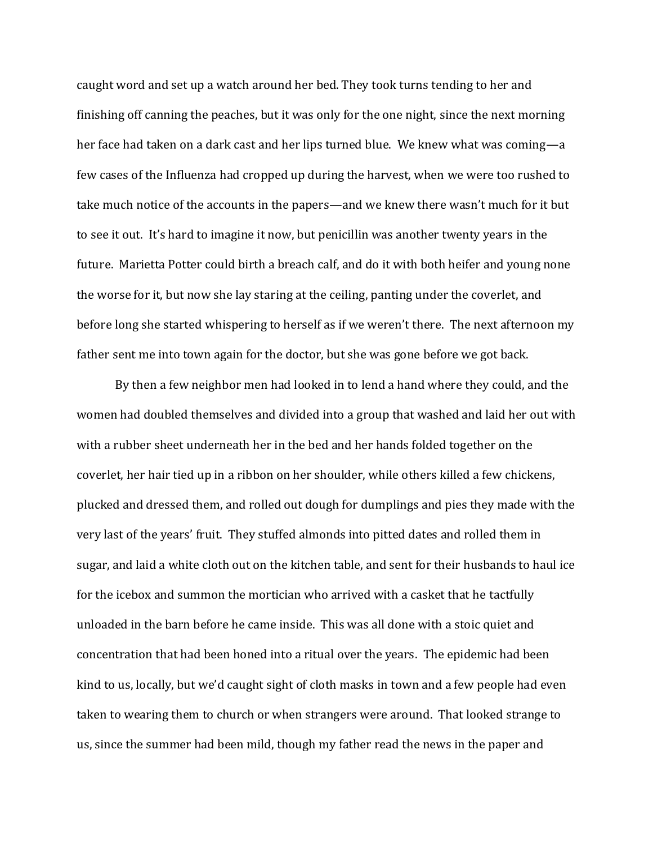caught word and set up a watch around her bed. They took turns tending to her and finishing off canning the peaches, but it was only for the one night, since the next morning her face had taken on a dark cast and her lips turned blue. We knew what was coming—a few cases of the Influenza had cropped up during the harvest, when we were too rushed to take much notice of the accounts in the papers—and we knew there wasn't much for it but to see it out. It's hard to imagine it now, but penicillin was another twenty years in the future. Marietta Potter could birth a breach calf, and do it with both heifer and young none the worse for it, but now she lay staring at the ceiling, panting under the coverlet, and before long she started whispering to herself as if we weren't there. The next afternoon my father sent me into town again for the doctor, but she was gone before we got back.

By then a few neighbor men had looked in to lend a hand where they could, and the women had doubled themselves and divided into a group that washed and laid her out with with a rubber sheet underneath her in the bed and her hands folded together on the coverlet, her hair tied up in a ribbon on her shoulder, while others killed a few chickens, plucked and dressed them, and rolled out dough for dumplings and pies they made with the very last of the years' fruit. They stuffed almonds into pitted dates and rolled them in sugar, and laid a white cloth out on the kitchen table, and sent for their husbands to haul ice for the icebox and summon the mortician who arrived with a casket that he tactfully unloaded in the barn before he came inside. This was all done with a stoic quiet and concentration that had been honed into a ritual over the years. The epidemic had been kind to us, locally, but we'd caught sight of cloth masks in town and a few people had even taken to wearing them to church or when strangers were around. That looked strange to us, since the summer had been mild, though my father read the news in the paper and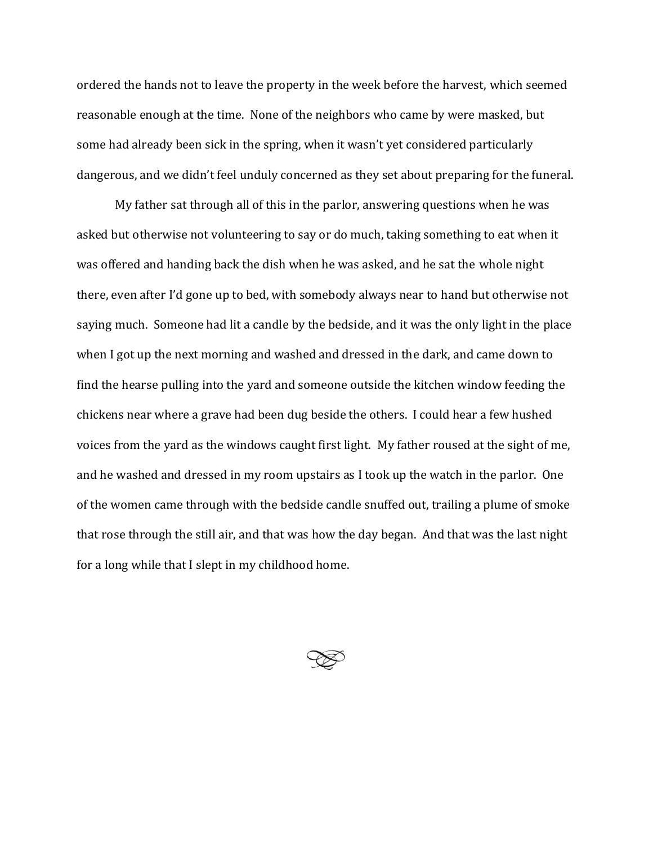ordered the hands not to leave the property in the week before the harvest, which seemed reasonable enough at the time. None of the neighbors who came by were masked, but some had already been sick in the spring, when it wasn't yet considered particularly dangerous, and we didn't feel unduly concerned as they set about preparing for the funeral.

My father sat through all of this in the parlor, answering questions when he was asked but otherwise not volunteering to say or do much, taking something to eat when it was offered and handing back the dish when he was asked, and he sat the whole night there, even after I'd gone up to bed, with somebody always near to hand but otherwise not saying much. Someone had lit a candle by the bedside, and it was the only light in the place when I got up the next morning and washed and dressed in the dark, and came down to find the hearse pulling into the yard and someone outside the kitchen window feeding the chickens near where a grave had been dug beside the others. I could hear a few hushed voices from the yard as the windows caught first light. My father roused at the sight of me, and he washed and dressed in my room upstairs as I took up the watch in the parlor. One of the women came through with the bedside candle snuffed out, trailing a plume of smoke that rose through the still air, and that was how the day began. And that was the last night for a long while that I slept in my childhood home.

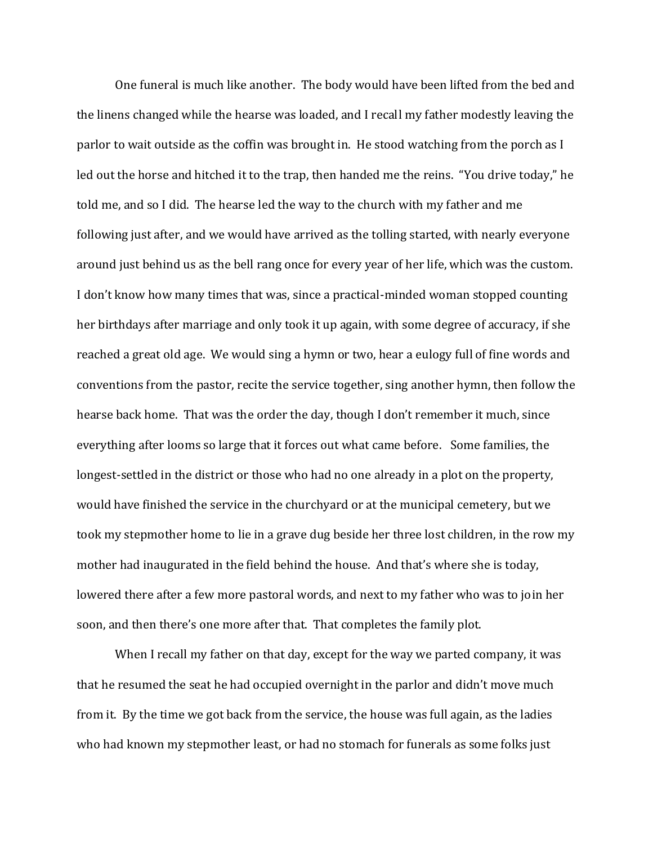One funeral is much like another. The body would have been lifted from the bed and the linens changed while the hearse was loaded, and I recall my father modestly leaving the parlor to wait outside as the coffin was brought in. He stood watching from the porch as I led out the horse and hitched it to the trap, then handed me the reins. "You drive today," he told me, and so I did. The hearse led the way to the church with my father and me following just after, and we would have arrived as the tolling started, with nearly everyone around just behind us as the bell rang once for every year of her life, which was the custom. I don't know how many times that was, since a practical-minded woman stopped counting her birthdays after marriage and only took it up again, with some degree of accuracy, if she reached a great old age. We would sing a hymn or two, hear a eulogy full of fine words and conventions from the pastor, recite the service together, sing another hymn, then follow the hearse back home. That was the order the day, though I don't remember it much, since everything after looms so large that it forces out what came before. Some families, the longest-settled in the district or those who had no one already in a plot on the property, would have finished the service in the churchyard or at the municipal cemetery, but we took my stepmother home to lie in a grave dug beside her three lost children, in the row my mother had inaugurated in the field behind the house. And that's where she is today, lowered there after a few more pastoral words, and next to my father who was to join her soon, and then there's one more after that. That completes the family plot.

When I recall my father on that day, except for the way we parted company, it was that he resumed the seat he had occupied overnight in the parlor and didn't move much from it. By the time we got back from the service, the house was full again, as the ladies who had known my stepmother least, or had no stomach for funerals as some folks just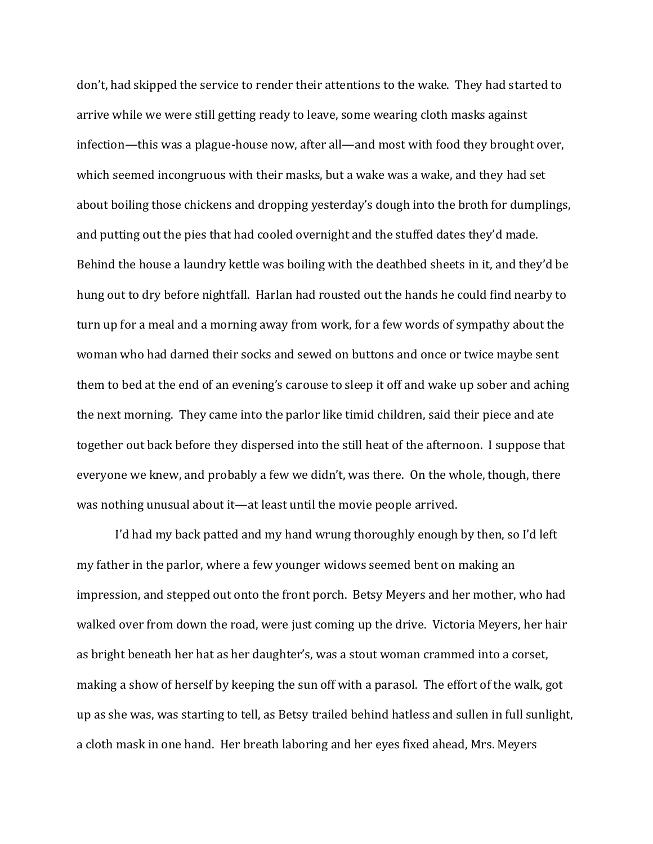don't, had skipped the service to render their attentions to the wake. They had started to arrive while we were still getting ready to leave, some wearing cloth masks against infection—this was a plague-house now, after all—and most with food they brought over, which seemed incongruous with their masks, but a wake was a wake, and they had set about boiling those chickens and dropping yesterday's dough into the broth for dumplings, and putting out the pies that had cooled overnight and the stuffed dates they'd made. Behind the house a laundry kettle was boiling with the deathbed sheets in it, and they'd be hung out to dry before nightfall. Harlan had rousted out the hands he could find nearby to turn up for a meal and a morning away from work, for a few words of sympathy about the woman who had darned their socks and sewed on buttons and once or twice maybe sent them to bed at the end of an evening's carouse to sleep it off and wake up sober and aching the next morning. They came into the parlor like timid children, said their piece and ate together out back before they dispersed into the still heat of the afternoon. I suppose that everyone we knew, and probably a few we didn't, was there. On the whole, though, there was nothing unusual about it—at least until the movie people arrived.

I'd had my back patted and my hand wrung thoroughly enough by then, so I'd left my father in the parlor, where a few younger widows seemed bent on making an impression, and stepped out onto the front porch. Betsy Meyers and her mother, who had walked over from down the road, were just coming up the drive. Victoria Meyers, her hair as bright beneath her hat as her daughter's, was a stout woman crammed into a corset, making a show of herself by keeping the sun off with a parasol. The effort of the walk, got up as she was, was starting to tell, as Betsy trailed behind hatless and sullen in full sunlight, a cloth mask in one hand. Her breath laboring and her eyes fixed ahead, Mrs. Meyers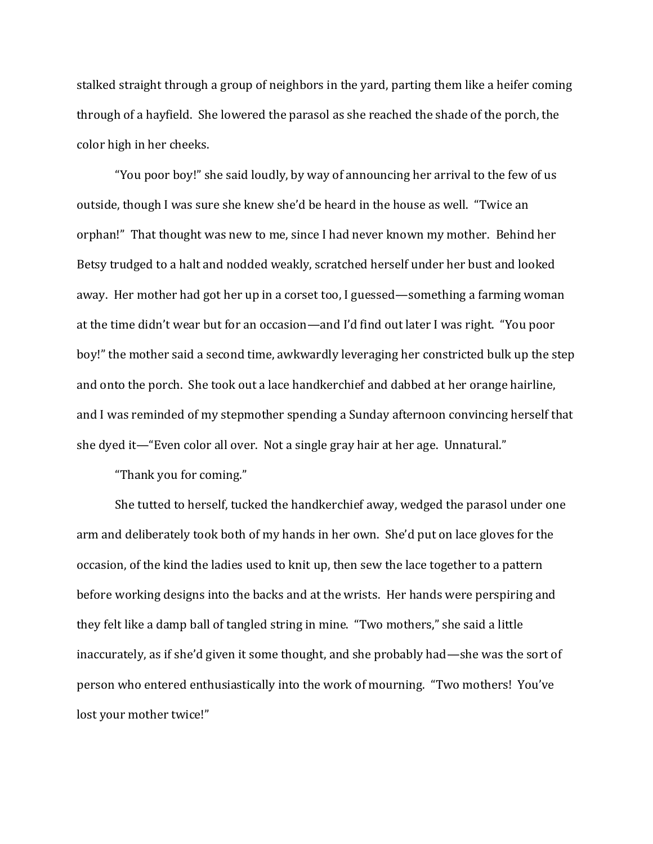stalked straight through a group of neighbors in the yard, parting them like a heifer coming through of a hayfield. She lowered the parasol as she reached the shade of the porch, the color high in her cheeks.

"You poor boy!" she said loudly, by way of announcing her arrival to the few of us outside, though I was sure she knew she'd be heard in the house as well. "Twice an orphan!" That thought was new to me, since I had never known my mother. Behind her Betsy trudged to a halt and nodded weakly, scratched herself under her bust and looked away. Her mother had got her up in a corset too, I guessed—something a farming woman at the time didn't wear but for an occasion—and I'd find out later I was right. "You poor boy!" the mother said a second time, awkwardly leveraging her constricted bulk up the step and onto the porch. She took out a lace handkerchief and dabbed at her orange hairline, and I was reminded of my stepmother spending a Sunday afternoon convincing herself that she dyed it—"Even color all over. Not a single gray hair at her age. Unnatural."

"Thank you for coming."

She tutted to herself, tucked the handkerchief away, wedged the parasol under one arm and deliberately took both of my hands in her own. She'd put on lace gloves for the occasion, of the kind the ladies used to knit up, then sew the lace together to a pattern before working designs into the backs and at the wrists. Her hands were perspiring and they felt like a damp ball of tangled string in mine. "Two mothers," she said a little inaccurately, as if she'd given it some thought, and she probably had—she was the sort of person who entered enthusiastically into the work of mourning. "Two mothers! You've lost your mother twice!"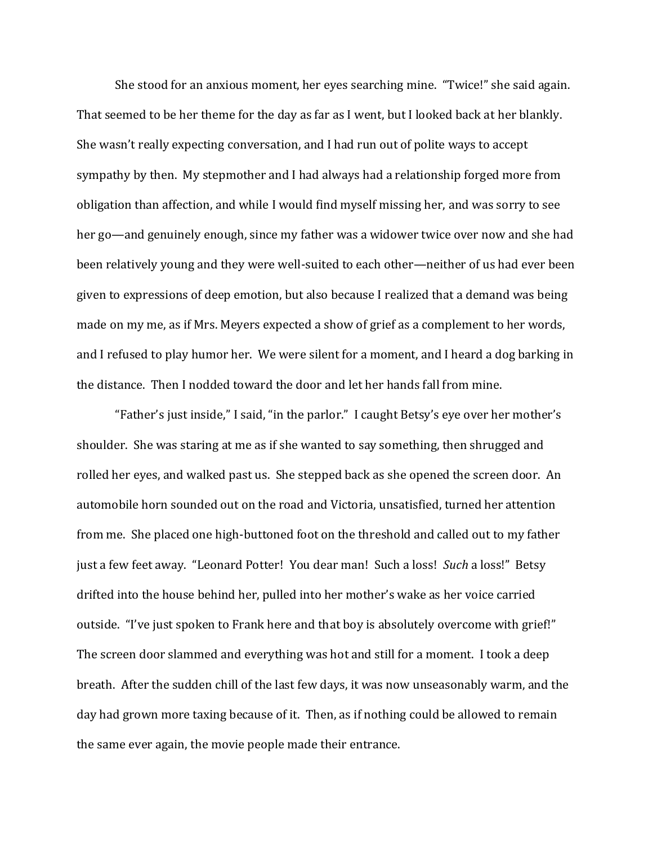She stood for an anxious moment, her eyes searching mine. "Twice!" she said again. That seemed to be her theme for the day as far as I went, but I looked back at her blankly. She wasn't really expecting conversation, and I had run out of polite ways to accept sympathy by then. My stepmother and I had always had a relationship forged more from obligation than affection, and while I would find myself missing her, and was sorry to see her go—and genuinely enough, since my father was a widower twice over now and she had been relatively young and they were well-suited to each other—neither of us had ever been given to expressions of deep emotion, but also because I realized that a demand was being made on my me, as if Mrs. Meyers expected a show of grief as a complement to her words, and I refused to play humor her. We were silent for a moment, and I heard a dog barking in the distance. Then I nodded toward the door and let her hands fall from mine.

"Father's just inside," I said, "in the parlor." I caught Betsy's eye over her mother's shoulder. She was staring at me as if she wanted to say something, then shrugged and rolled her eyes, and walked past us. She stepped back as she opened the screen door. An automobile horn sounded out on the road and Victoria, unsatisfied, turned her attention from me. She placed one high-buttoned foot on the threshold and called out to my father just a few feet away. "Leonard Potter! You dear man! Such a loss! *Such* a loss!" Betsy drifted into the house behind her, pulled into her mother's wake as her voice carried outside. "I've just spoken to Frank here and that boy is absolutely overcome with grief!" The screen door slammed and everything was hot and still for a moment. I took a deep breath. After the sudden chill of the last few days, it was now unseasonably warm, and the day had grown more taxing because of it. Then, as if nothing could be allowed to remain the same ever again, the movie people made their entrance.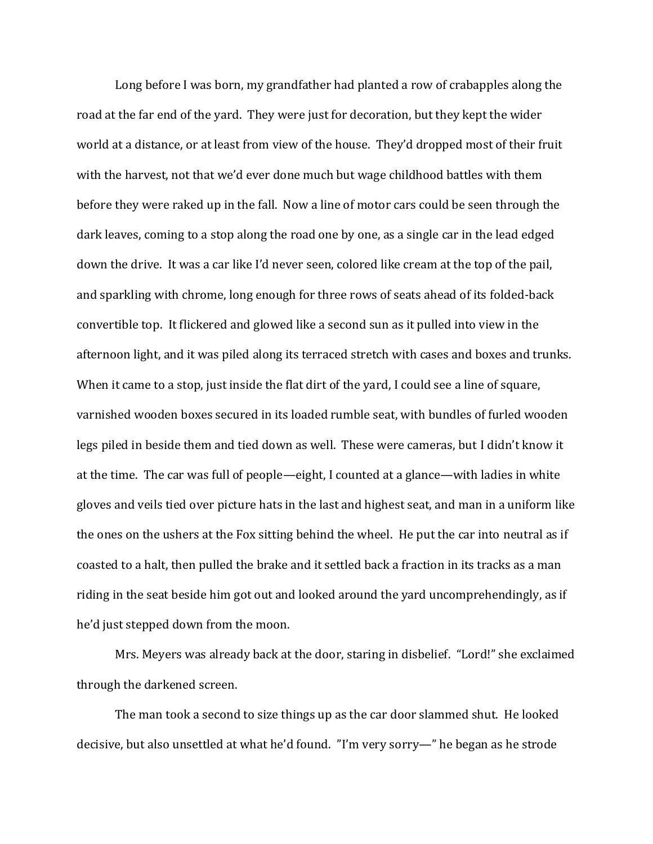Long before I was born, my grandfather had planted a row of crabapples along the road at the far end of the yard. They were just for decoration, but they kept the wider world at a distance, or at least from view of the house. They'd dropped most of their fruit with the harvest, not that we'd ever done much but wage childhood battles with them before they were raked up in the fall. Now a line of motor cars could be seen through the dark leaves, coming to a stop along the road one by one, as a single car in the lead edged down the drive. It was a car like I'd never seen, colored like cream at the top of the pail, and sparkling with chrome, long enough for three rows of seats ahead of its folded-back convertible top. It flickered and glowed like a second sun as it pulled into view in the afternoon light, and it was piled along its terraced stretch with cases and boxes and trunks. When it came to a stop, just inside the flat dirt of the yard, I could see a line of square, varnished wooden boxes secured in its loaded rumble seat, with bundles of furled wooden legs piled in beside them and tied down as well. These were cameras, but I didn't know it at the time. The car was full of people—eight, I counted at a glance—with ladies in white gloves and veils tied over picture hats in the last and highest seat, and man in a uniform like the ones on the ushers at the Fox sitting behind the wheel. He put the car into neutral as if coasted to a halt, then pulled the brake and it settled back a fraction in its tracks as a man riding in the seat beside him got out and looked around the yard uncomprehendingly, as if he'd just stepped down from the moon.

Mrs. Meyers was already back at the door, staring in disbelief. "Lord!" she exclaimed through the darkened screen.

The man took a second to size things up as the car door slammed shut. He looked decisive, but also unsettled at what he'd found. "I'm very sorry—" he began as he strode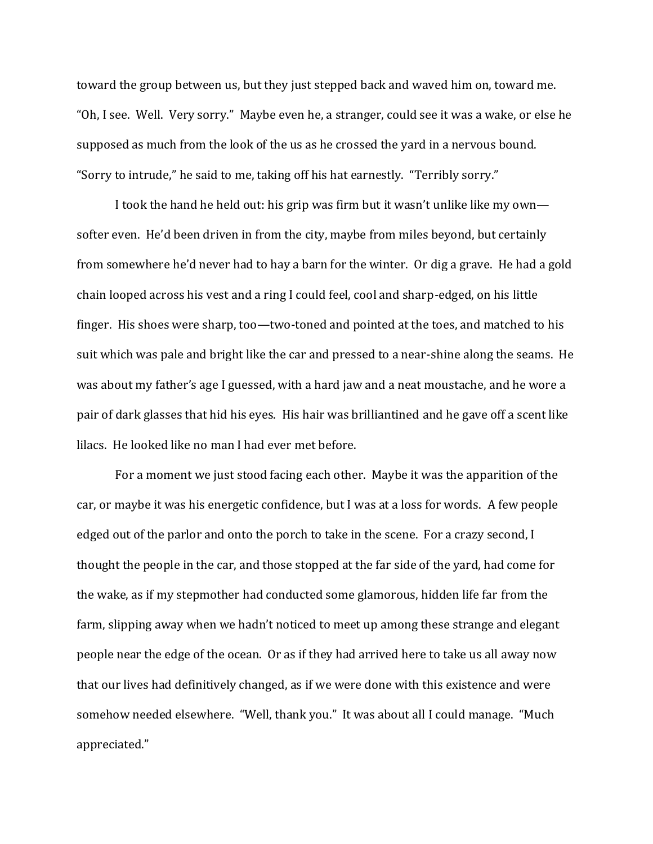toward the group between us, but they just stepped back and waved him on, toward me. "Oh, I see. Well. Very sorry." Maybe even he, a stranger, could see it was a wake, or else he supposed as much from the look of the us as he crossed the yard in a nervous bound. "Sorry to intrude," he said to me, taking off his hat earnestly. "Terribly sorry."

I took the hand he held out: his grip was firm but it wasn't unlike like my own softer even. He'd been driven in from the city, maybe from miles beyond, but certainly from somewhere he'd never had to hay a barn for the winter. Or dig a grave. He had a gold chain looped across his vest and a ring I could feel, cool and sharp-edged, on his little finger. His shoes were sharp, too—two-toned and pointed at the toes, and matched to his suit which was pale and bright like the car and pressed to a near-shine along the seams. He was about my father's age I guessed, with a hard jaw and a neat moustache, and he wore a pair of dark glasses that hid his eyes. His hair was brilliantined and he gave off a scent like lilacs. He looked like no man I had ever met before.

For a moment we just stood facing each other. Maybe it was the apparition of the car, or maybe it was his energetic confidence, but I was at a loss for words. A few people edged out of the parlor and onto the porch to take in the scene. For a crazy second, I thought the people in the car, and those stopped at the far side of the yard, had come for the wake, as if my stepmother had conducted some glamorous, hidden life far from the farm, slipping away when we hadn't noticed to meet up among these strange and elegant people near the edge of the ocean. Or as if they had arrived here to take us all away now that our lives had definitively changed, as if we were done with this existence and were somehow needed elsewhere. "Well, thank you." It was about all I could manage. "Much appreciated."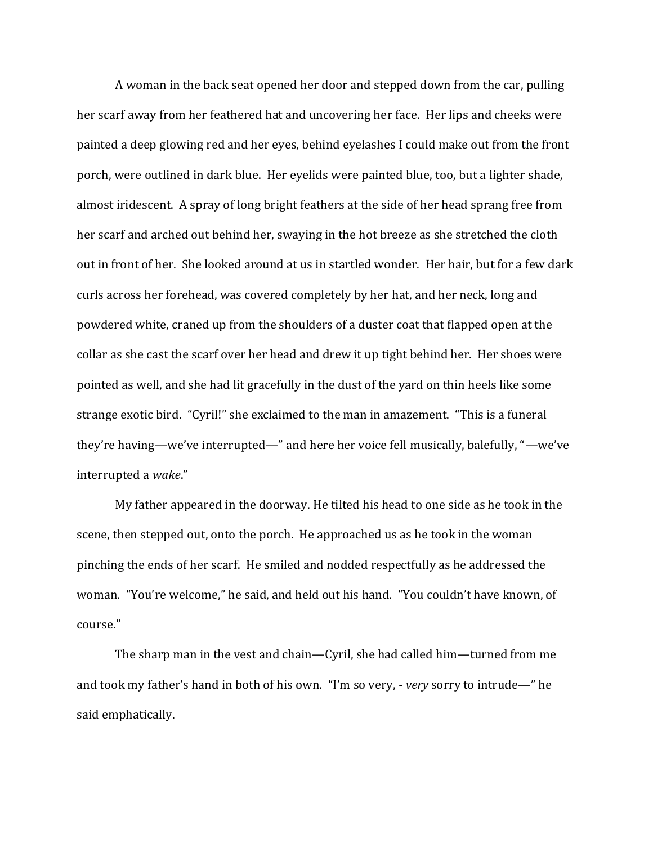A woman in the back seat opened her door and stepped down from the car, pulling her scarf away from her feathered hat and uncovering her face. Her lips and cheeks were painted a deep glowing red and her eyes, behind eyelashes I could make out from the front porch, were outlined in dark blue. Her eyelids were painted blue, too, but a lighter shade, almost iridescent. A spray of long bright feathers at the side of her head sprang free from her scarf and arched out behind her, swaying in the hot breeze as she stretched the cloth out in front of her. She looked around at us in startled wonder. Her hair, but for a few dark curls across her forehead, was covered completely by her hat, and her neck, long and powdered white, craned up from the shoulders of a duster coat that flapped open at the collar as she cast the scarf over her head and drew it up tight behind her. Her shoes were pointed as well, and she had lit gracefully in the dust of the yard on thin heels like some strange exotic bird. "Cyril!" she exclaimed to the man in amazement. "This is a funeral they're having—we've interrupted—" and here her voice fell musically, balefully, "—we've interrupted a *wake*."

My father appeared in the doorway. He tilted his head to one side as he took in the scene, then stepped out, onto the porch. He approached us as he took in the woman pinching the ends of her scarf. He smiled and nodded respectfully as he addressed the woman. "You're welcome," he said, and held out his hand. "You couldn't have known, of course."

The sharp man in the vest and chain—Cyril, she had called him—turned from me and took my father's hand in both of his own. "I'm so very, - *very* sorry to intrude—" he said emphatically.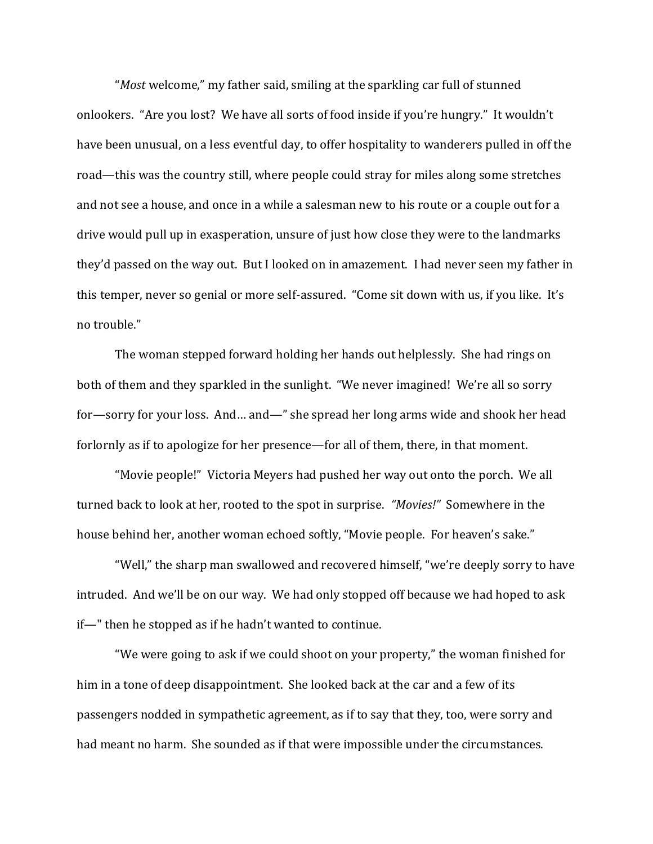"*Most* welcome," my father said, smiling at the sparkling car full of stunned onlookers. "Are you lost? We have all sorts of food inside if you're hungry." It wouldn't have been unusual, on a less eventful day, to offer hospitality to wanderers pulled in off the road—this was the country still, where people could stray for miles along some stretches and not see a house, and once in a while a salesman new to his route or a couple out for a drive would pull up in exasperation, unsure of just how close they were to the landmarks they'd passed on the way out. But I looked on in amazement. I had never seen my father in this temper, never so genial or more self-assured. "Come sit down with us, if you like. It's no trouble."

The woman stepped forward holding her hands out helplessly. She had rings on both of them and they sparkled in the sunlight. "We never imagined! We're all so sorry for—sorry for your loss. And… and—" she spread her long arms wide and shook her head forlornly as if to apologize for her presence—for all of them, there, in that moment.

"Movie people!" Victoria Meyers had pushed her way out onto the porch. We all turned back to look at her, rooted to the spot in surprise. *"Movies!"* Somewhere in the house behind her, another woman echoed softly, "Movie people. For heaven's sake."

"Well," the sharp man swallowed and recovered himself, "we're deeply sorry to have intruded. And we'll be on our way. We had only stopped off because we had hoped to ask if—" then he stopped as if he hadn't wanted to continue.

"We were going to ask if we could shoot on your property," the woman finished for him in a tone of deep disappointment. She looked back at the car and a few of its passengers nodded in sympathetic agreement, as if to say that they, too, were sorry and had meant no harm. She sounded as if that were impossible under the circumstances.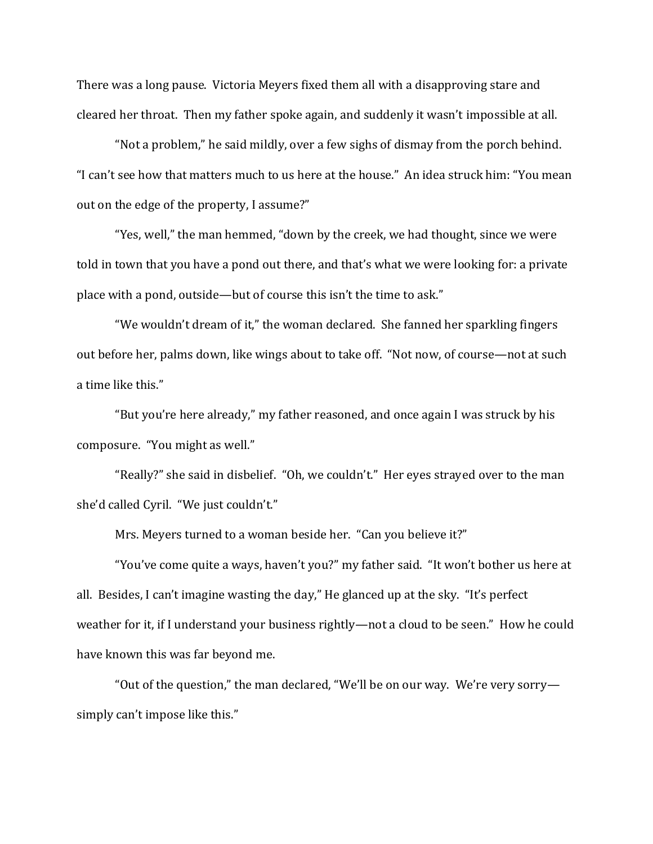There was a long pause. Victoria Meyers fixed them all with a disapproving stare and cleared her throat. Then my father spoke again, and suddenly it wasn't impossible at all.

"Not a problem," he said mildly, over a few sighs of dismay from the porch behind. "I can't see how that matters much to us here at the house." An idea struck him: "You mean out on the edge of the property, I assume?"

"Yes, well," the man hemmed, "down by the creek, we had thought, since we were told in town that you have a pond out there, and that's what we were looking for: a private place with a pond, outside—but of course this isn't the time to ask."

"We wouldn't dream of it," the woman declared. She fanned her sparkling fingers out before her, palms down, like wings about to take off. "Not now, of course—not at such a time like this."

"But you're here already," my father reasoned, and once again I was struck by his composure. "You might as well."

"Really?" she said in disbelief. "Oh, we couldn't." Her eyes strayed over to the man she'd called Cyril. "We just couldn't."

Mrs. Meyers turned to a woman beside her. "Can you believe it?"

"You've come quite a ways, haven't you?" my father said. "It won't bother us here at all. Besides, I can't imagine wasting the day," He glanced up at the sky. "It's perfect weather for it, if I understand your business rightly—not a cloud to be seen." How he could have known this was far beyond me.

"Out of the question," the man declared, "We'll be on our way. We're very sorry simply can't impose like this."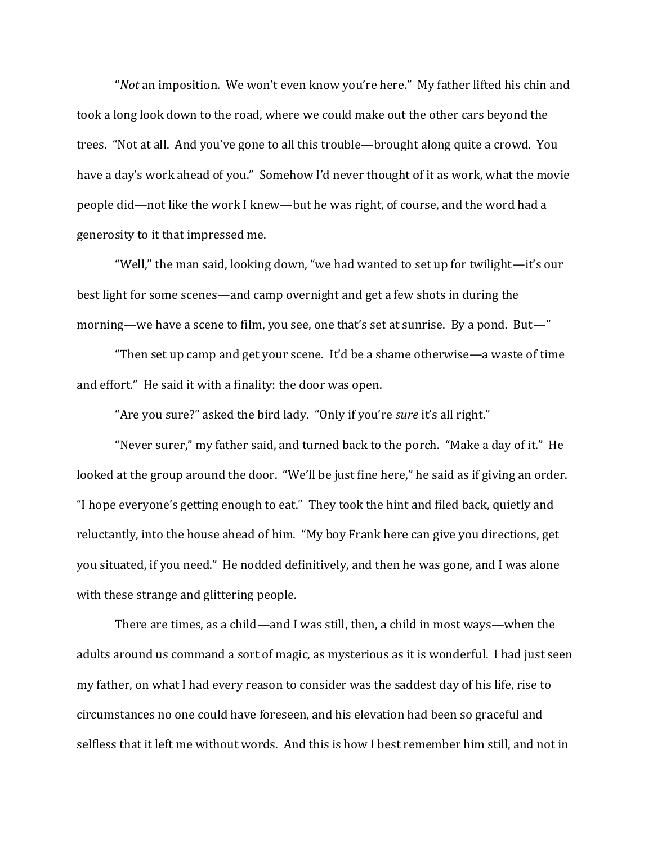"*Not* an imposition. We won't even know you're here." My father lifted his chin and took a long look down to the road, where we could make out the other cars beyond the trees. "Not at all. And you've gone to all this trouble—brought along quite a crowd. You have a day's work ahead of you." Somehow I'd never thought of it as work, what the movie people did—not like the work I knew—but he was right, of course, and the word had a generosity to it that impressed me.

"Well," the man said, looking down, "we had wanted to set up for twilight—it's our best light for some scenes—and camp overnight and get a few shots in during the morning—we have a scene to film, you see, one that's set at sunrise. By a pond. But—"

"Then set up camp and get your scene. It'd be a shame otherwise—a waste of time and effort." He said it with a finality: the door was open.

"Are you sure?" asked the bird lady. "Only if you're *sure* it's all right."

"Never surer," my father said, and turned back to the porch. "Make a day of it." He looked at the group around the door. "We'll be just fine here," he said as if giving an order. "I hope everyone's getting enough to eat." They took the hint and filed back, quietly and reluctantly, into the house ahead of him. "My boy Frank here can give you directions, get you situated, if you need." He nodded definitively, and then he was gone, and I was alone with these strange and glittering people.

There are times, as a child—and I was still, then, a child in most ways—when the adults around us command a sort of magic, as mysterious as it is wonderful. I had just seen my father, on what I had every reason to consider was the saddest day of his life, rise to circumstances no one could have foreseen, and his elevation had been so graceful and selfless that it left me without words. And this is how I best remember him still, and not in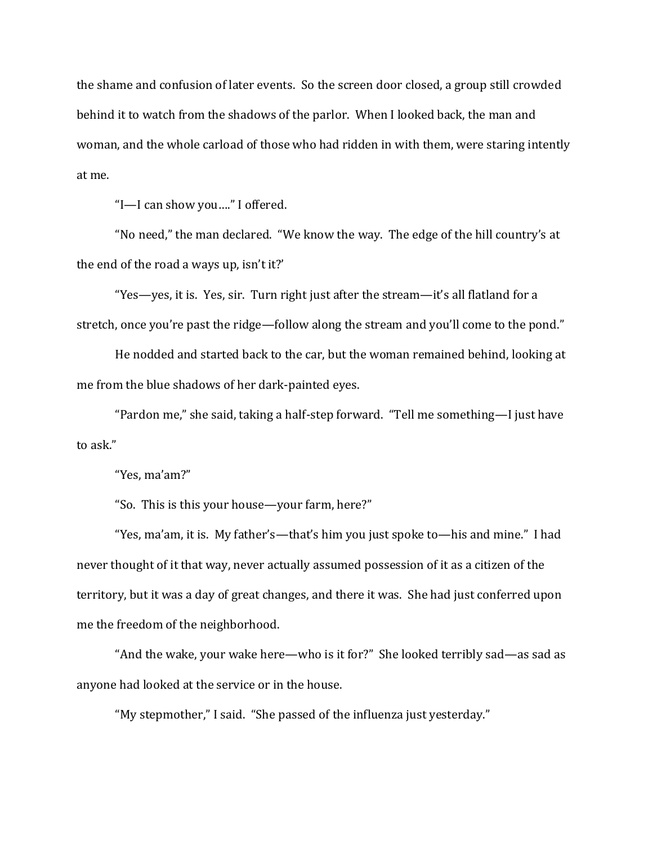the shame and confusion of later events. So the screen door closed, a group still crowded behind it to watch from the shadows of the parlor. When I looked back, the man and woman, and the whole carload of those who had ridden in with them, were staring intently at me.

"I—I can show you…." I offered.

"No need," the man declared. "We know the way. The edge of the hill country's at the end of the road a ways up, isn't it?'

"Yes—yes, it is. Yes, sir. Turn right just after the stream—it's all flatland for a stretch, once you're past the ridge—follow along the stream and you'll come to the pond."

He nodded and started back to the car, but the woman remained behind, looking at me from the blue shadows of her dark-painted eyes.

"Pardon me," she said, taking a half-step forward. "Tell me something—I just have to ask."

"Yes, ma'am?"

"So. This is this your house—your farm, here?"

"Yes, ma'am, it is. My father's—that's him you just spoke to—his and mine." I had never thought of it that way, never actually assumed possession of it as a citizen of the territory, but it was a day of great changes, and there it was. She had just conferred upon me the freedom of the neighborhood.

"And the wake, your wake here—who is it for?" She looked terribly sad—as sad as anyone had looked at the service or in the house.

"My stepmother," I said. "She passed of the influenza just yesterday."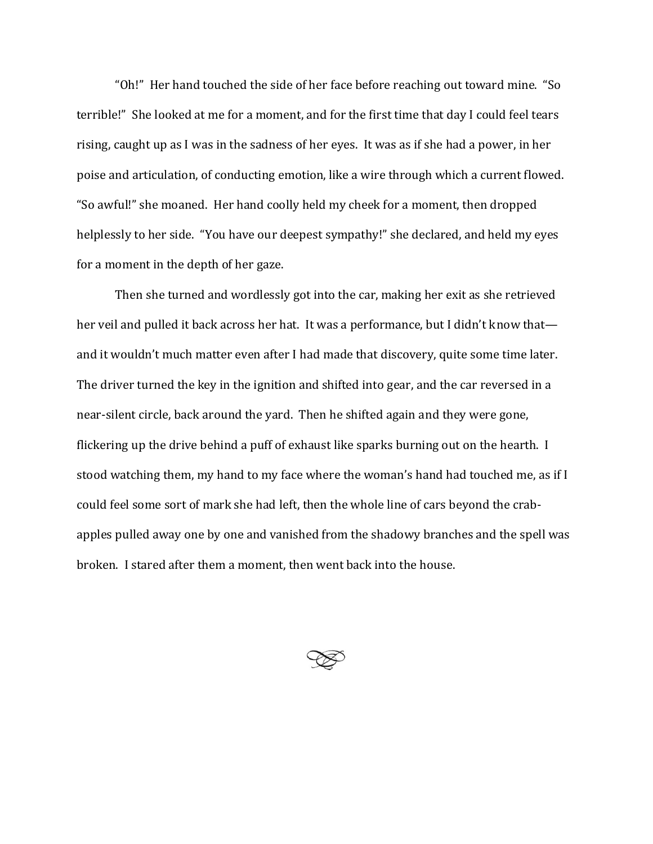"Oh!" Her hand touched the side of her face before reaching out toward mine. "So terrible!" She looked at me for a moment, and for the first time that day I could feel tears rising, caught up as I was in the sadness of her eyes. It was as if she had a power, in her poise and articulation, of conducting emotion, like a wire through which a current flowed. "So awful!" she moaned. Her hand coolly held my cheek for a moment, then dropped helplessly to her side. "You have our deepest sympathy!" she declared, and held my eyes for a moment in the depth of her gaze.

Then she turned and wordlessly got into the car, making her exit as she retrieved her veil and pulled it back across her hat. It was a performance, but I didn't know that and it wouldn't much matter even after I had made that discovery, quite some time later. The driver turned the key in the ignition and shifted into gear, and the car reversed in a near-silent circle, back around the yard. Then he shifted again and they were gone, flickering up the drive behind a puff of exhaust like sparks burning out on the hearth. I stood watching them, my hand to my face where the woman's hand had touched me, as if I could feel some sort of mark she had left, then the whole line of cars beyond the crabapples pulled away one by one and vanished from the shadowy branches and the spell was broken. I stared after them a moment, then went back into the house.

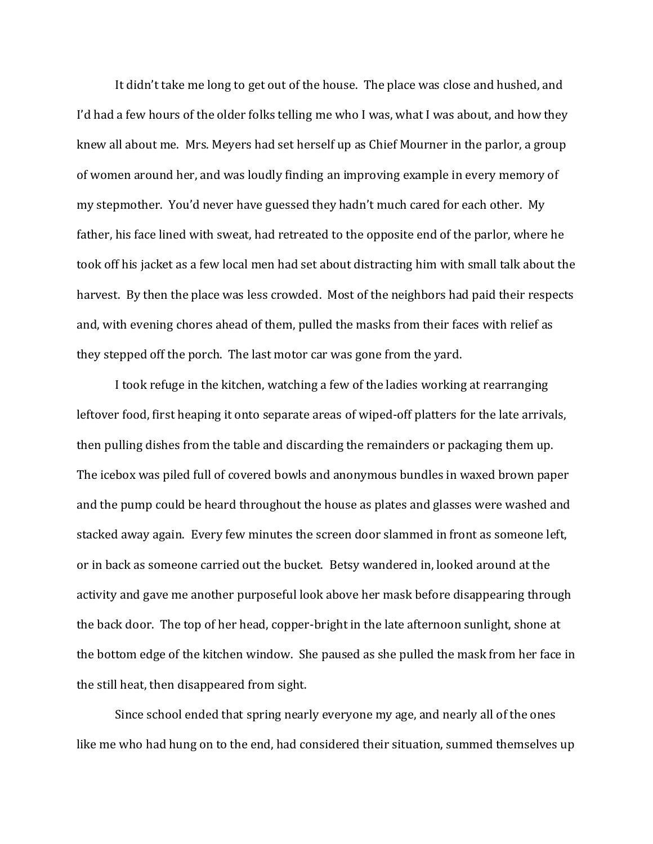It didn't take me long to get out of the house. The place was close and hushed, and I'd had a few hours of the older folks telling me who I was, what I was about, and how they knew all about me. Mrs. Meyers had set herself up as Chief Mourner in the parlor, a group of women around her, and was loudly finding an improving example in every memory of my stepmother. You'd never have guessed they hadn't much cared for each other. My father, his face lined with sweat, had retreated to the opposite end of the parlor, where he took off his jacket as a few local men had set about distracting him with small talk about the harvest. By then the place was less crowded. Most of the neighbors had paid their respects and, with evening chores ahead of them, pulled the masks from their faces with relief as they stepped off the porch. The last motor car was gone from the yard.

I took refuge in the kitchen, watching a few of the ladies working at rearranging leftover food, first heaping it onto separate areas of wiped-off platters for the late arrivals, then pulling dishes from the table and discarding the remainders or packaging them up. The icebox was piled full of covered bowls and anonymous bundles in waxed brown paper and the pump could be heard throughout the house as plates and glasses were washed and stacked away again. Every few minutes the screen door slammed in front as someone left, or in back as someone carried out the bucket. Betsy wandered in, looked around at the activity and gave me another purposeful look above her mask before disappearing through the back door. The top of her head, copper-bright in the late afternoon sunlight, shone at the bottom edge of the kitchen window. She paused as she pulled the mask from her face in the still heat, then disappeared from sight.

Since school ended that spring nearly everyone my age, and nearly all of the ones like me who had hung on to the end, had considered their situation, summed themselves up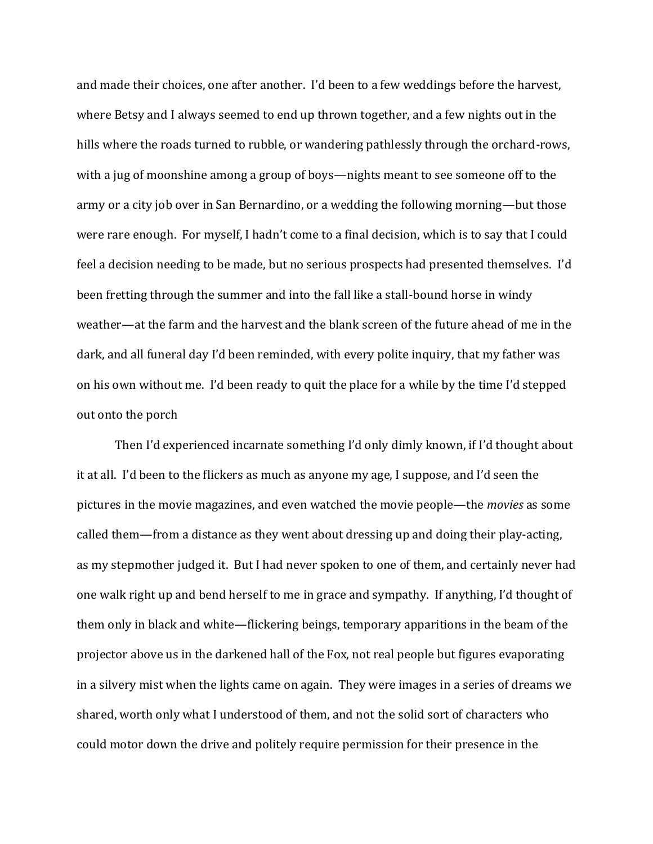and made their choices, one after another. I'd been to a few weddings before the harvest, where Betsy and I always seemed to end up thrown together, and a few nights out in the hills where the roads turned to rubble, or wandering pathlessly through the orchard-rows, with a jug of moonshine among a group of boys—nights meant to see someone off to the army or a city job over in San Bernardino, or a wedding the following morning—but those were rare enough. For myself, I hadn't come to a final decision, which is to say that I could feel a decision needing to be made, but no serious prospects had presented themselves. I'd been fretting through the summer and into the fall like a stall-bound horse in windy weather—at the farm and the harvest and the blank screen of the future ahead of me in the dark, and all funeral day I'd been reminded, with every polite inquiry, that my father was on his own without me. I'd been ready to quit the place for a while by the time I'd stepped out onto the porch

Then I'd experienced incarnate something I'd only dimly known, if I'd thought about it at all. I'd been to the flickers as much as anyone my age, I suppose, and I'd seen the pictures in the movie magazines, and even watched the movie people—the *movies* as some called them—from a distance as they went about dressing up and doing their play-acting, as my stepmother judged it. But I had never spoken to one of them, and certainly never had one walk right up and bend herself to me in grace and sympathy. If anything, I'd thought of them only in black and white—flickering beings, temporary apparitions in the beam of the projector above us in the darkened hall of the Fox, not real people but figures evaporating in a silvery mist when the lights came on again. They were images in a series of dreams we shared, worth only what I understood of them, and not the solid sort of characters who could motor down the drive and politely require permission for their presence in the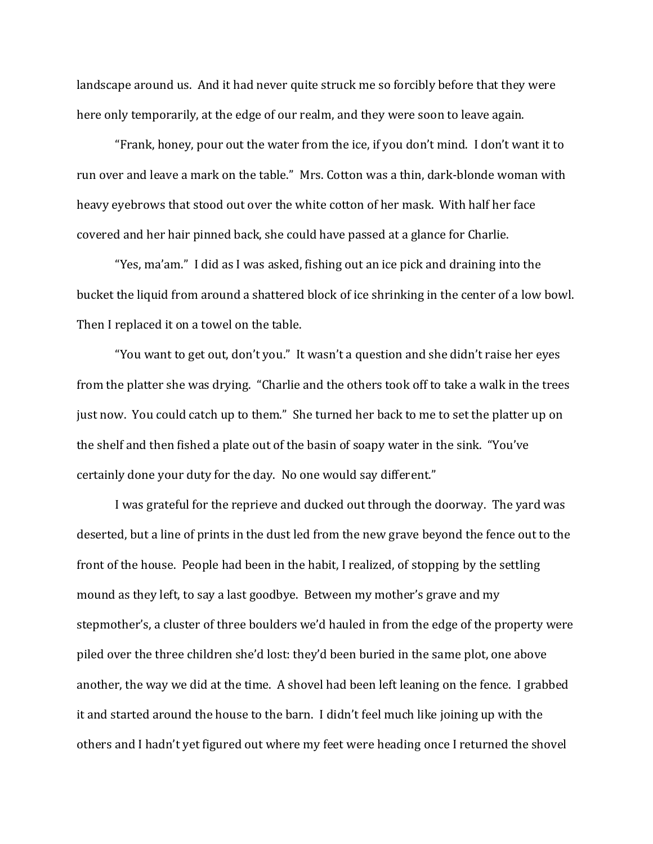landscape around us. And it had never quite struck me so forcibly before that they were here only temporarily, at the edge of our realm, and they were soon to leave again.

"Frank, honey, pour out the water from the ice, if you don't mind. I don't want it to run over and leave a mark on the table." Mrs. Cotton was a thin, dark-blonde woman with heavy eyebrows that stood out over the white cotton of her mask. With half her face covered and her hair pinned back, she could have passed at a glance for Charlie.

"Yes, ma'am." I did as I was asked, fishing out an ice pick and draining into the bucket the liquid from around a shattered block of ice shrinking in the center of a low bowl. Then I replaced it on a towel on the table.

"You want to get out, don't you." It wasn't a question and she didn't raise her eyes from the platter she was drying. "Charlie and the others took off to take a walk in the trees just now. You could catch up to them." She turned her back to me to set the platter up on the shelf and then fished a plate out of the basin of soapy water in the sink. "You've certainly done your duty for the day. No one would say different."

I was grateful for the reprieve and ducked out through the doorway. The yard was deserted, but a line of prints in the dust led from the new grave beyond the fence out to the front of the house. People had been in the habit, I realized, of stopping by the settling mound as they left, to say a last goodbye. Between my mother's grave and my stepmother's, a cluster of three boulders we'd hauled in from the edge of the property were piled over the three children she'd lost: they'd been buried in the same plot, one above another, the way we did at the time. A shovel had been left leaning on the fence. I grabbed it and started around the house to the barn. I didn't feel much like joining up with the others and I hadn't yet figured out where my feet were heading once I returned the shovel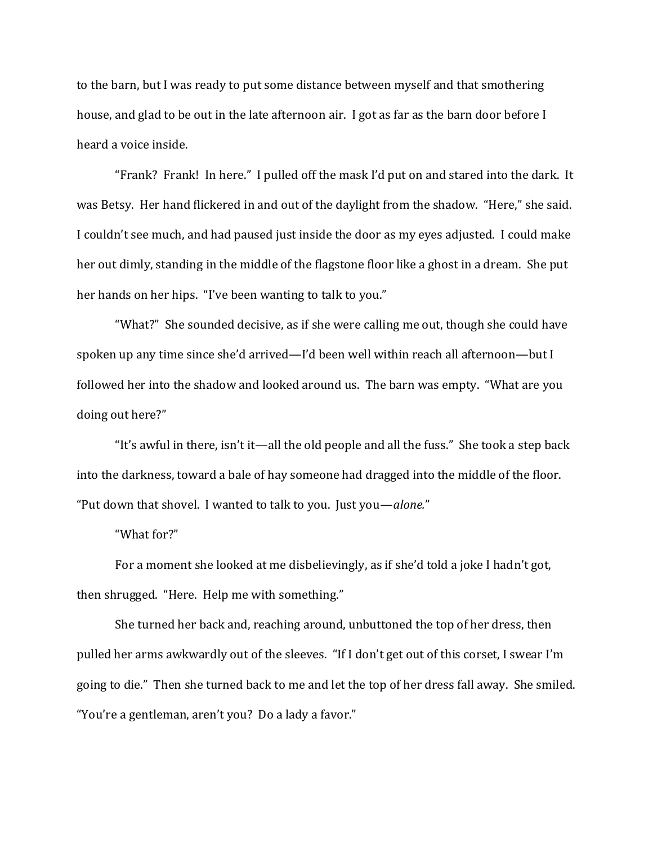to the barn, but I was ready to put some distance between myself and that smothering house, and glad to be out in the late afternoon air. I got as far as the barn door before I heard a voice inside.

"Frank? Frank! In here." I pulled off the mask I'd put on and stared into the dark. It was Betsy. Her hand flickered in and out of the daylight from the shadow. "Here," she said. I couldn't see much, and had paused just inside the door as my eyes adjusted. I could make her out dimly, standing in the middle of the flagstone floor like a ghost in a dream. She put her hands on her hips. "I've been wanting to talk to you."

"What?" She sounded decisive, as if she were calling me out, though she could have spoken up any time since she'd arrived—I'd been well within reach all afternoon—but I followed her into the shadow and looked around us. The barn was empty. "What are you doing out here?"

"It's awful in there, isn't it—all the old people and all the fuss." She took a step back into the darkness, toward a bale of hay someone had dragged into the middle of the floor. "Put down that shovel. I wanted to talk to you. Just you—*alone.*"

"What for?"

For a moment she looked at me disbelievingly, as if she'd told a joke I hadn't got, then shrugged. "Here. Help me with something."

She turned her back and, reaching around, unbuttoned the top of her dress, then pulled her arms awkwardly out of the sleeves. "If I don't get out of this corset, I swear I'm going to die." Then she turned back to me and let the top of her dress fall away. She smiled. "You're a gentleman, aren't you? Do a lady a favor."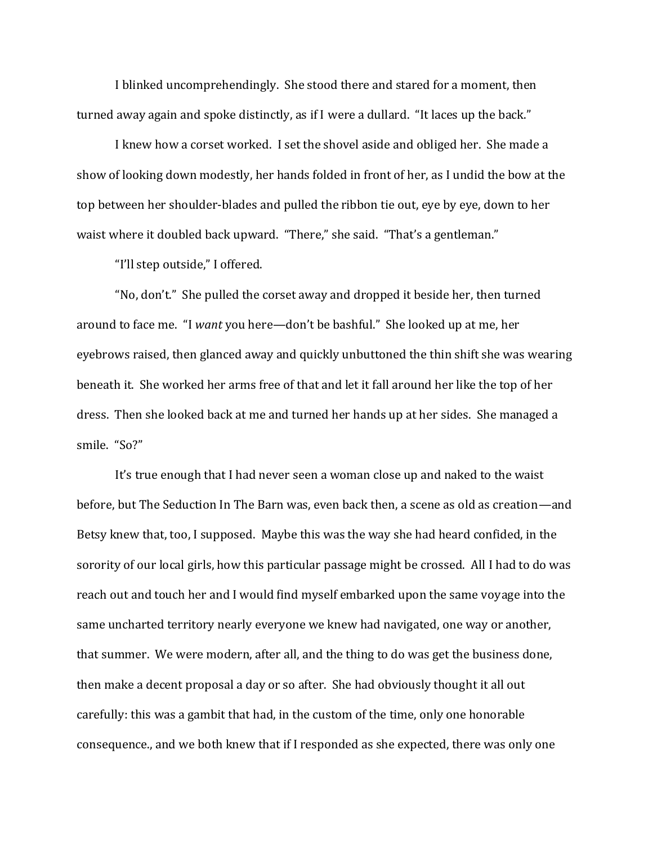I blinked uncomprehendingly. She stood there and stared for a moment, then turned away again and spoke distinctly, as if I were a dullard. "It laces up the back."

I knew how a corset worked. I set the shovel aside and obliged her. She made a show of looking down modestly, her hands folded in front of her, as I undid the bow at the top between her shoulder-blades and pulled the ribbon tie out, eye by eye, down to her waist where it doubled back upward. "There," she said. "That's a gentleman."

"I'll step outside," I offered.

"No, don't." She pulled the corset away and dropped it beside her, then turned around to face me. "I *want* you here—don't be bashful." She looked up at me, her eyebrows raised, then glanced away and quickly unbuttoned the thin shift she was wearing beneath it. She worked her arms free of that and let it fall around her like the top of her dress. Then she looked back at me and turned her hands up at her sides. She managed a smile. "So?"

It's true enough that I had never seen a woman close up and naked to the waist before, but The Seduction In The Barn was, even back then, a scene as old as creation—and Betsy knew that, too, I supposed. Maybe this was the way she had heard confided, in the sorority of our local girls, how this particular passage might be crossed. All I had to do was reach out and touch her and I would find myself embarked upon the same voyage into the same uncharted territory nearly everyone we knew had navigated, one way or another, that summer. We were modern, after all, and the thing to do was get the business done, then make a decent proposal a day or so after. She had obviously thought it all out carefully: this was a gambit that had, in the custom of the time, only one honorable consequence., and we both knew that if I responded as she expected, there was only one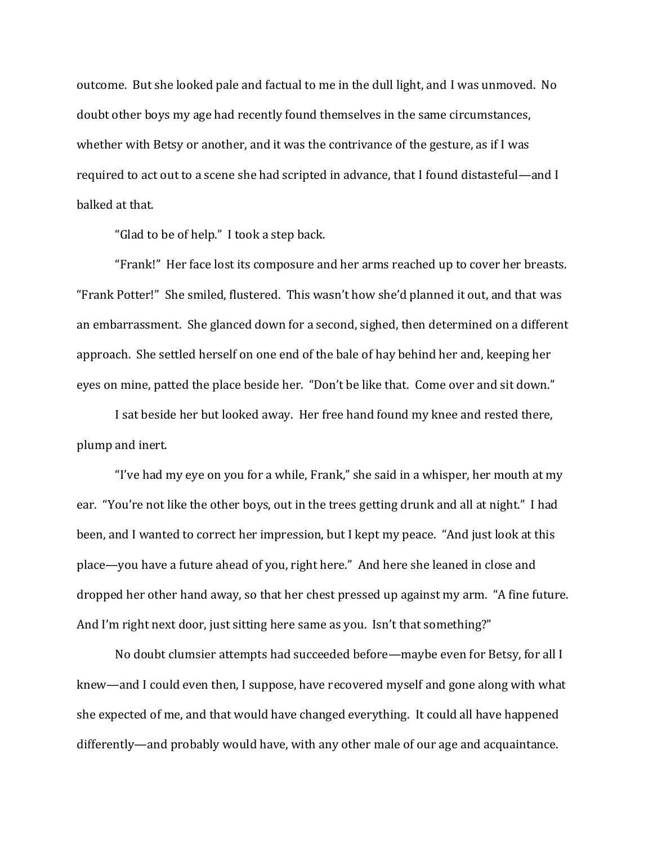outcome. But she looked pale and factual to me in the dull light, and I was unmoved. No doubt other boys my age had recently found themselves in the same circumstances, whether with Betsy or another, and it was the contrivance of the gesture, as if I was required to act out to a scene she had scripted in advance, that I found distasteful—and I balked at that.

"Glad to be of help." I took a step back.

"Frank!" Her face lost its composure and her arms reached up to cover her breasts. "Frank Potter!" She smiled, flustered. This wasn't how she'd planned it out, and that was an embarrassment. She glanced down for a second, sighed, then determined on a different approach. She settled herself on one end of the bale of hay behind her and, keeping her eyes on mine, patted the place beside her. "Don't be like that. Come over and sit down."

I sat beside her but looked away. Her free hand found my knee and rested there, plump and inert.

"I've had my eye on you for a while, Frank," she said in a whisper, her mouth at my ear. "You're not like the other boys, out in the trees getting drunk and all at night." I had been, and I wanted to correct her impression, but I kept my peace. "And just look at this place—you have a future ahead of you, right here." And here she leaned in close and dropped her other hand away, so that her chest pressed up against my arm. "A fine future. And I'm right next door, just sitting here same as you. Isn't that something?"

No doubt clumsier attempts had succeeded before—maybe even for Betsy, for all I knew—and I could even then, I suppose, have recovered myself and gone along with what she expected of me, and that would have changed everything. It could all have happened differently—and probably would have, with any other male of our age and acquaintance.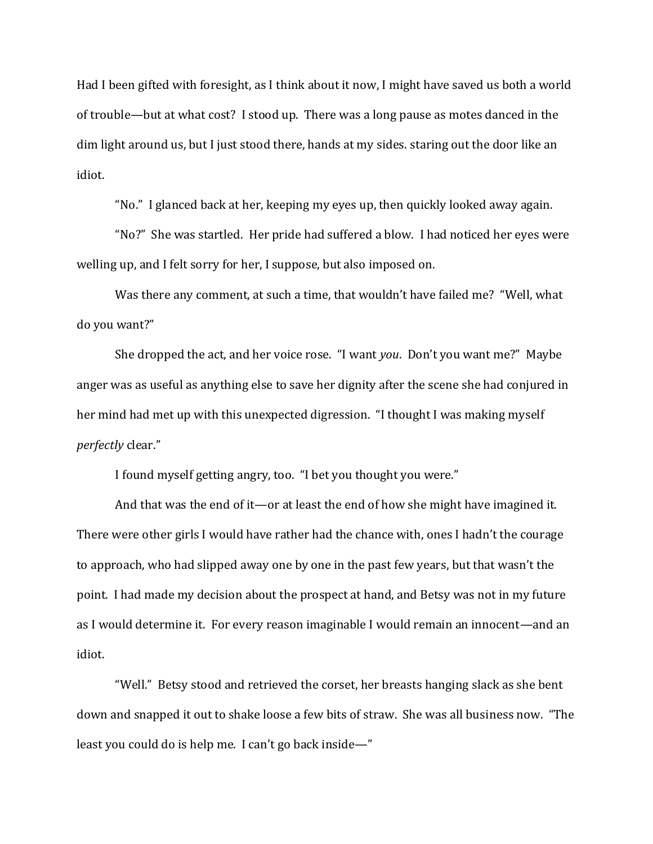Had I been gifted with foresight, as I think about it now, I might have saved us both a world of trouble—but at what cost? I stood up. There was a long pause as motes danced in the dim light around us, but I just stood there, hands at my sides. staring out the door like an idiot.

"No." I glanced back at her, keeping my eyes up, then quickly looked away again.

"No?" She was startled. Her pride had suffered a blow. I had noticed her eyes were welling up, and I felt sorry for her, I suppose, but also imposed on.

Was there any comment, at such a time, that wouldn't have failed me? "Well, what do you want?"

She dropped the act, and her voice rose. "I want *you*. Don't you want me?" Maybe anger was as useful as anything else to save her dignity after the scene she had conjured in her mind had met up with this unexpected digression. "I thought I was making myself *perfectly* clear."

I found myself getting angry, too. "I bet you thought you were."

And that was the end of it—or at least the end of how she might have imagined it. There were other girls I would have rather had the chance with, ones I hadn't the courage to approach, who had slipped away one by one in the past few years, but that wasn't the point. I had made my decision about the prospect at hand, and Betsy was not in my future as I would determine it. For every reason imaginable I would remain an innocent—and an idiot.

"Well." Betsy stood and retrieved the corset, her breasts hanging slack as she bent down and snapped it out to shake loose a few bits of straw. She was all business now. "The least you could do is help me. I can't go back inside—"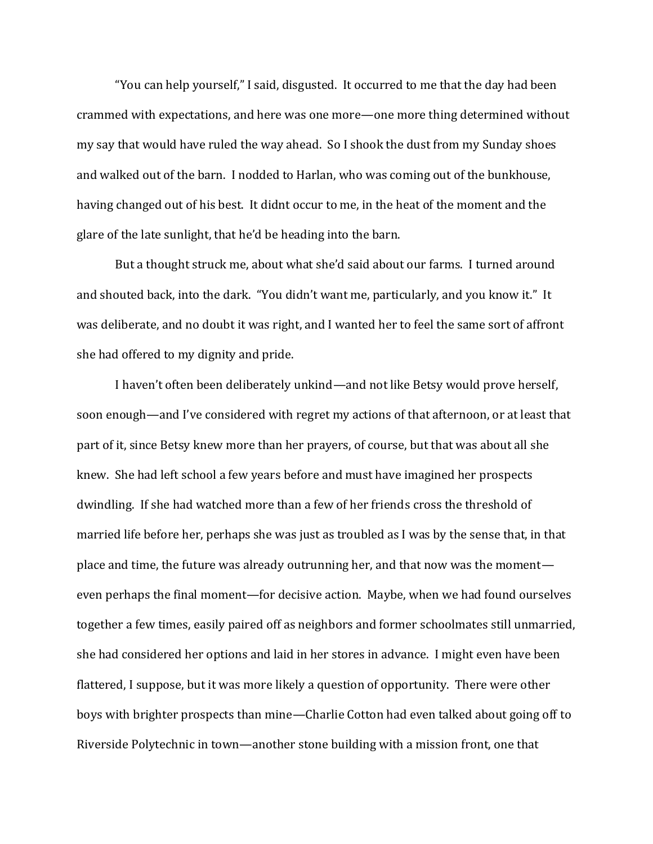"You can help yourself," I said, disgusted. It occurred to me that the day had been crammed with expectations, and here was one more—one more thing determined without my say that would have ruled the way ahead. So I shook the dust from my Sunday shoes and walked out of the barn. I nodded to Harlan, who was coming out of the bunkhouse, having changed out of his best. It didnt occur to me, in the heat of the moment and the glare of the late sunlight, that he'd be heading into the barn.

But a thought struck me, about what she'd said about our farms. I turned around and shouted back, into the dark. "You didn't want me, particularly, and you know it." It was deliberate, and no doubt it was right, and I wanted her to feel the same sort of affront she had offered to my dignity and pride.

I haven't often been deliberately unkind—and not like Betsy would prove herself, soon enough—and I've considered with regret my actions of that afternoon, or at least that part of it, since Betsy knew more than her prayers, of course, but that was about all she knew. She had left school a few years before and must have imagined her prospects dwindling. If she had watched more than a few of her friends cross the threshold of married life before her, perhaps she was just as troubled as I was by the sense that, in that place and time, the future was already outrunning her, and that now was the moment even perhaps the final moment—for decisive action. Maybe, when we had found ourselves together a few times, easily paired off as neighbors and former schoolmates still unmarried, she had considered her options and laid in her stores in advance. I might even have been flattered, I suppose, but it was more likely a question of opportunity. There were other boys with brighter prospects than mine—Charlie Cotton had even talked about going off to Riverside Polytechnic in town—another stone building with a mission front, one that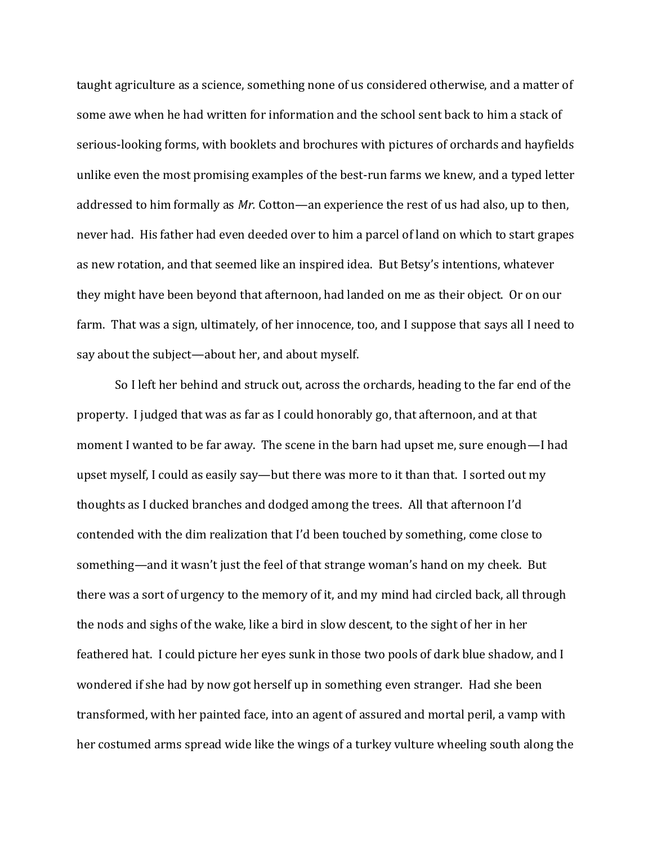taught agriculture as a science, something none of us considered otherwise, and a matter of some awe when he had written for information and the school sent back to him a stack of serious-looking forms, with booklets and brochures with pictures of orchards and hayfields unlike even the most promising examples of the best-run farms we knew, and a typed letter addressed to him formally as *Mr.* Cotton—an experience the rest of us had also, up to then, never had. His father had even deeded over to him a parcel of land on which to start grapes as new rotation, and that seemed like an inspired idea. But Betsy's intentions, whatever they might have been beyond that afternoon, had landed on me as their object. Or on our farm. That was a sign, ultimately, of her innocence, too, and I suppose that says all I need to say about the subject—about her, and about myself.

So I left her behind and struck out, across the orchards, heading to the far end of the property. I judged that was as far as I could honorably go, that afternoon, and at that moment I wanted to be far away. The scene in the barn had upset me, sure enough—I had upset myself, I could as easily say—but there was more to it than that. I sorted out my thoughts as I ducked branches and dodged among the trees. All that afternoon I'd contended with the dim realization that I'd been touched by something, come close to something—and it wasn't just the feel of that strange woman's hand on my cheek. But there was a sort of urgency to the memory of it, and my mind had circled back, all through the nods and sighs of the wake, like a bird in slow descent, to the sight of her in her feathered hat. I could picture her eyes sunk in those two pools of dark blue shadow, and I wondered if she had by now got herself up in something even stranger. Had she been transformed, with her painted face, into an agent of assured and mortal peril, a vamp with her costumed arms spread wide like the wings of a turkey vulture wheeling south along the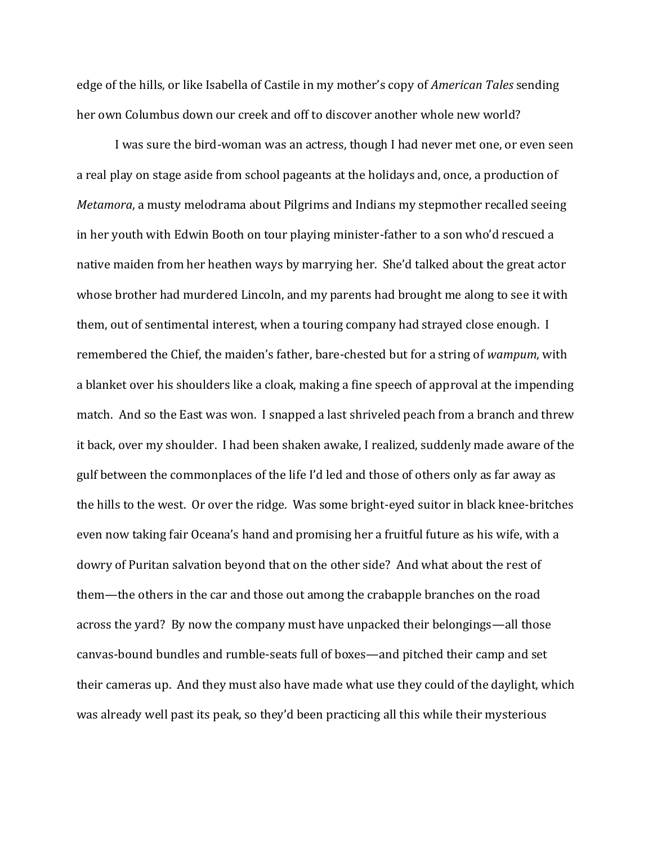edge of the hills, or like Isabella of Castile in my mother's copy of *American Tales* sending her own Columbus down our creek and off to discover another whole new world?

I was sure the bird-woman was an actress, though I had never met one, or even seen a real play on stage aside from school pageants at the holidays and, once, a production of *Metamora*, a musty melodrama about Pilgrims and Indians my stepmother recalled seeing in her youth with Edwin Booth on tour playing minister-father to a son who'd rescued a native maiden from her heathen ways by marrying her. She'd talked about the great actor whose brother had murdered Lincoln, and my parents had brought me along to see it with them, out of sentimental interest, when a touring company had strayed close enough. I remembered the Chief, the maiden's father, bare-chested but for a string of *wampum*, with a blanket over his shoulders like a cloak, making a fine speech of approval at the impending match. And so the East was won. I snapped a last shriveled peach from a branch and threw it back, over my shoulder. I had been shaken awake, I realized, suddenly made aware of the gulf between the commonplaces of the life I'd led and those of others only as far away as the hills to the west. Or over the ridge. Was some bright-eyed suitor in black knee-britches even now taking fair Oceana's hand and promising her a fruitful future as his wife, with a dowry of Puritan salvation beyond that on the other side? And what about the rest of them—the others in the car and those out among the crabapple branches on the road across the yard? By now the company must have unpacked their belongings—all those canvas-bound bundles and rumble-seats full of boxes—and pitched their camp and set their cameras up. And they must also have made what use they could of the daylight, which was already well past its peak, so they'd been practicing all this while their mysterious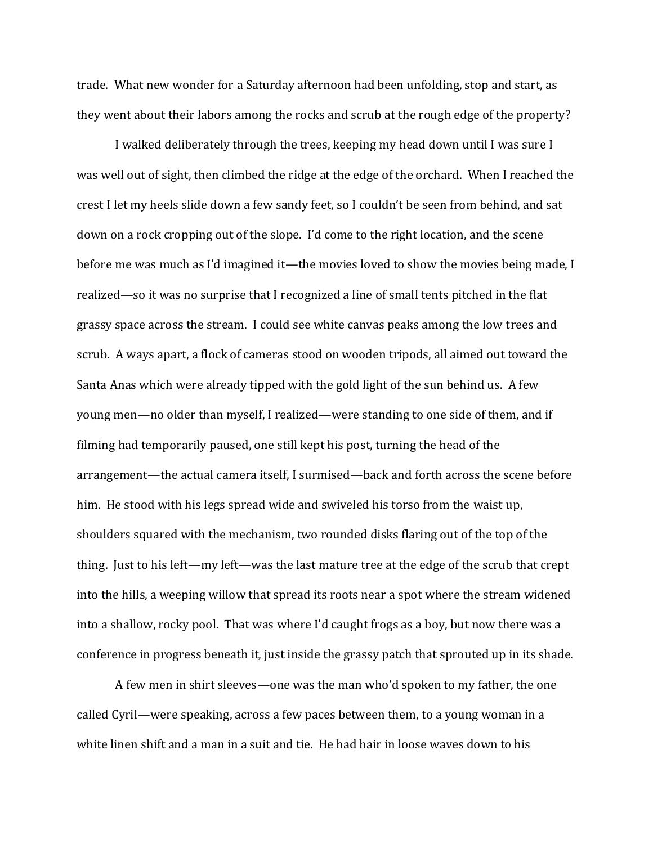trade. What new wonder for a Saturday afternoon had been unfolding, stop and start, as they went about their labors among the rocks and scrub at the rough edge of the property?

I walked deliberately through the trees, keeping my head down until I was sure I was well out of sight, then climbed the ridge at the edge of the orchard. When I reached the crest I let my heels slide down a few sandy feet, so I couldn't be seen from behind, and sat down on a rock cropping out of the slope. I'd come to the right location, and the scene before me was much as I'd imagined it—the movies loved to show the movies being made, I realized—so it was no surprise that I recognized a line of small tents pitched in the flat grassy space across the stream. I could see white canvas peaks among the low trees and scrub. A ways apart, a flock of cameras stood on wooden tripods, all aimed out toward the Santa Anas which were already tipped with the gold light of the sun behind us. A few young men—no older than myself, I realized—were standing to one side of them, and if filming had temporarily paused, one still kept his post, turning the head of the arrangement—the actual camera itself, I surmised—back and forth across the scene before him. He stood with his legs spread wide and swiveled his torso from the waist up, shoulders squared with the mechanism, two rounded disks flaring out of the top of the thing. Just to his left—my left—was the last mature tree at the edge of the scrub that crept into the hills, a weeping willow that spread its roots near a spot where the stream widened into a shallow, rocky pool. That was where I'd caught frogs as a boy, but now there was a conference in progress beneath it, just inside the grassy patch that sprouted up in its shade.

A few men in shirt sleeves—one was the man who'd spoken to my father, the one called Cyril—were speaking, across a few paces between them, to a young woman in a white linen shift and a man in a suit and tie. He had hair in loose waves down to his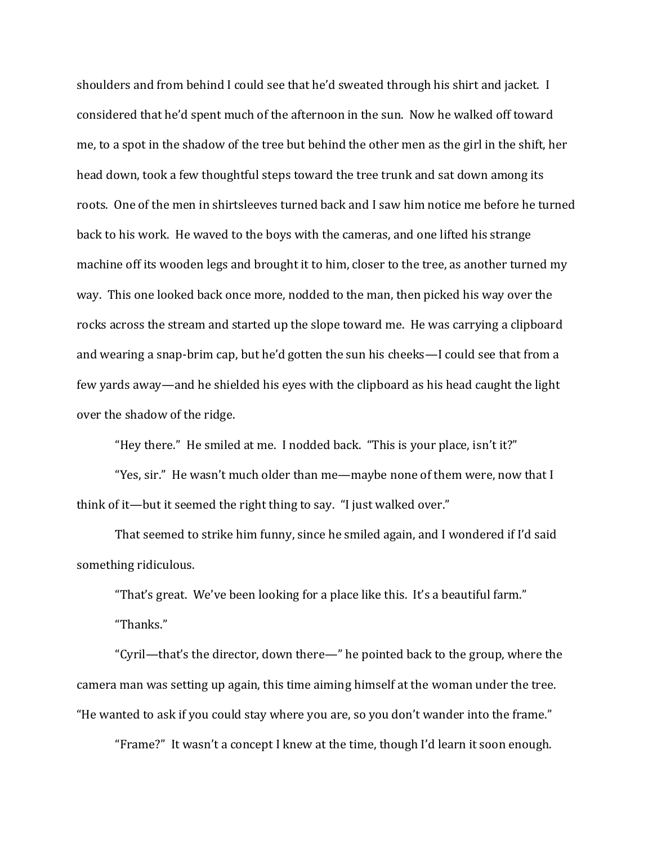shoulders and from behind I could see that he'd sweated through his shirt and jacket. I considered that he'd spent much of the afternoon in the sun. Now he walked off toward me, to a spot in the shadow of the tree but behind the other men as the girl in the shift, her head down, took a few thoughtful steps toward the tree trunk and sat down among its roots. One of the men in shirtsleeves turned back and I saw him notice me before he turned back to his work. He waved to the boys with the cameras, and one lifted his strange machine off its wooden legs and brought it to him, closer to the tree, as another turned my way. This one looked back once more, nodded to the man, then picked his way over the rocks across the stream and started up the slope toward me. He was carrying a clipboard and wearing a snap-brim cap, but he'd gotten the sun his cheeks—I could see that from a few yards away—and he shielded his eyes with the clipboard as his head caught the light over the shadow of the ridge.

"Hey there." He smiled at me. I nodded back. "This is your place, isn't it?"

"Yes, sir." He wasn't much older than me—maybe none of them were, now that I think of it—but it seemed the right thing to say. "I just walked over."

That seemed to strike him funny, since he smiled again, and I wondered if I'd said something ridiculous.

"That's great. We've been looking for a place like this. It's a beautiful farm."

"Thanks."

"Cyril—that's the director, down there—" he pointed back to the group, where the camera man was setting up again, this time aiming himself at the woman under the tree. "He wanted to ask if you could stay where you are, so you don't wander into the frame."

"Frame?" It wasn't a concept I knew at the time, though I'd learn it soon enough.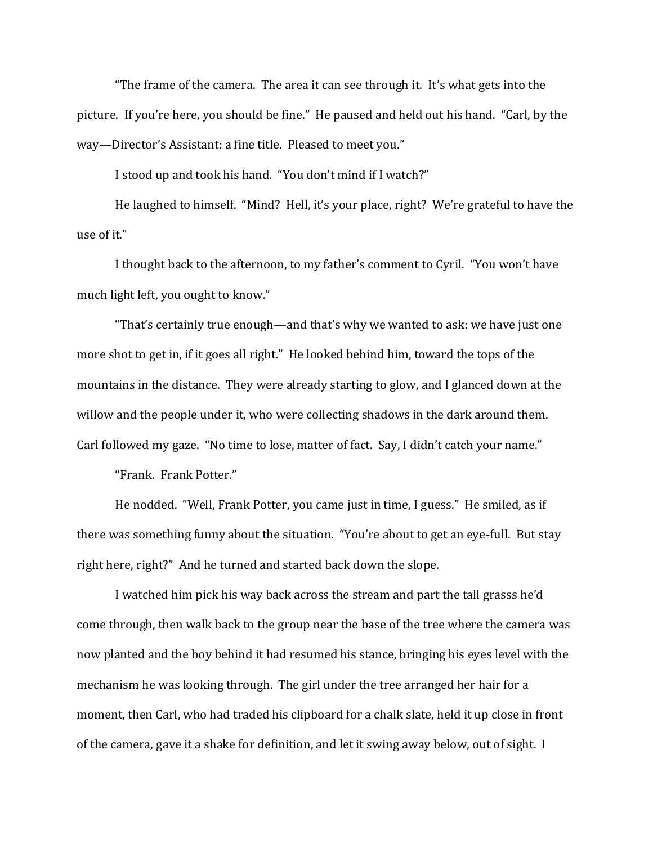"The frame of the camera. The area it can see through it. It's what gets into the picture. If you're here, you should be fine." He paused and held out his hand. "Carl, by the way—Director's Assistant: a fine title. Pleased to meet you."

I stood up and took his hand. "You don't mind if I watch?"

He laughed to himself. "Mind? Hell, it's your place, right? We're grateful to have the use of it."

I thought back to the afternoon, to my father's comment to Cyril. "You won't have much light left, you ought to know."

"That's certainly true enough—and that's why we wanted to ask: we have just one more shot to get in, if it goes all right." He looked behind him, toward the tops of the mountains in the distance. They were already starting to glow, and I glanced down at the willow and the people under it, who were collecting shadows in the dark around them. Carl followed my gaze. "No time to lose, matter of fact. Say, I didn't catch your name."

"Frank. Frank Potter."

He nodded. "Well, Frank Potter, you came just in time, I guess." He smiled, as if there was something funny about the situation. "You're about to get an eye-full. But stay right here, right?" And he turned and started back down the slope.

I watched him pick his way back across the stream and part the tall grasss he'd come through, then walk back to the group near the base of the tree where the camera was now planted and the boy behind it had resumed his stance, bringing his eyes level with the mechanism he was looking through. The girl under the tree arranged her hair for a moment, then Carl, who had traded his clipboard for a chalk slate, held it up close in front of the camera, gave it a shake for definition, and let it swing away below, out of sight. I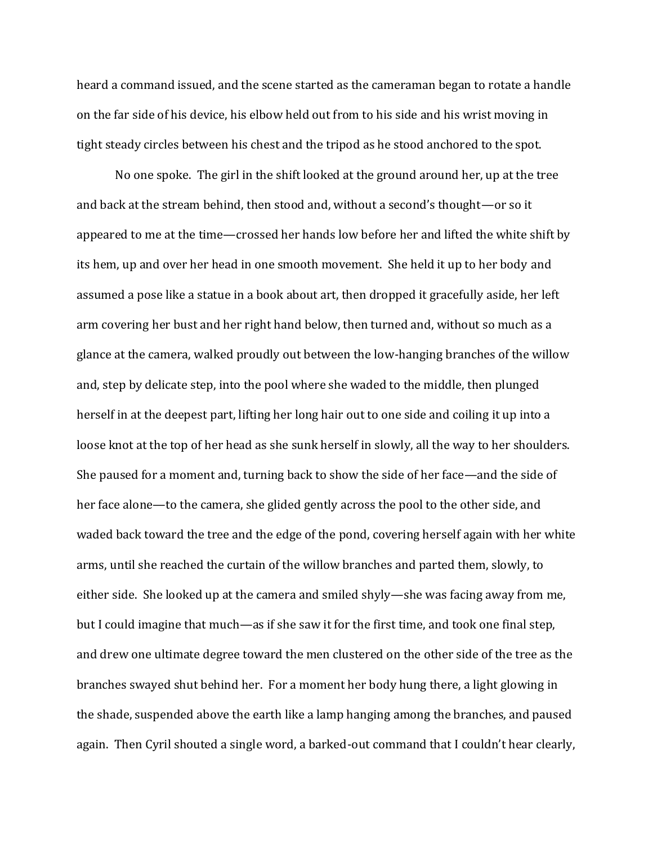heard a command issued, and the scene started as the cameraman began to rotate a handle on the far side of his device, his elbow held out from to his side and his wrist moving in tight steady circles between his chest and the tripod as he stood anchored to the spot.

No one spoke. The girl in the shift looked at the ground around her, up at the tree and back at the stream behind, then stood and, without a second's thought—or so it appeared to me at the time—crossed her hands low before her and lifted the white shift by its hem, up and over her head in one smooth movement. She held it up to her body and assumed a pose like a statue in a book about art, then dropped it gracefully aside, her left arm covering her bust and her right hand below, then turned and, without so much as a glance at the camera, walked proudly out between the low-hanging branches of the willow and, step by delicate step, into the pool where she waded to the middle, then plunged herself in at the deepest part, lifting her long hair out to one side and coiling it up into a loose knot at the top of her head as she sunk herself in slowly, all the way to her shoulders. She paused for a moment and, turning back to show the side of her face—and the side of her face alone—to the camera, she glided gently across the pool to the other side, and waded back toward the tree and the edge of the pond, covering herself again with her white arms, until she reached the curtain of the willow branches and parted them, slowly, to either side. She looked up at the camera and smiled shyly—she was facing away from me, but I could imagine that much—as if she saw it for the first time, and took one final step, and drew one ultimate degree toward the men clustered on the other side of the tree as the branches swayed shut behind her. For a moment her body hung there, a light glowing in the shade, suspended above the earth like a lamp hanging among the branches, and paused again. Then Cyril shouted a single word, a barked-out command that I couldn't hear clearly,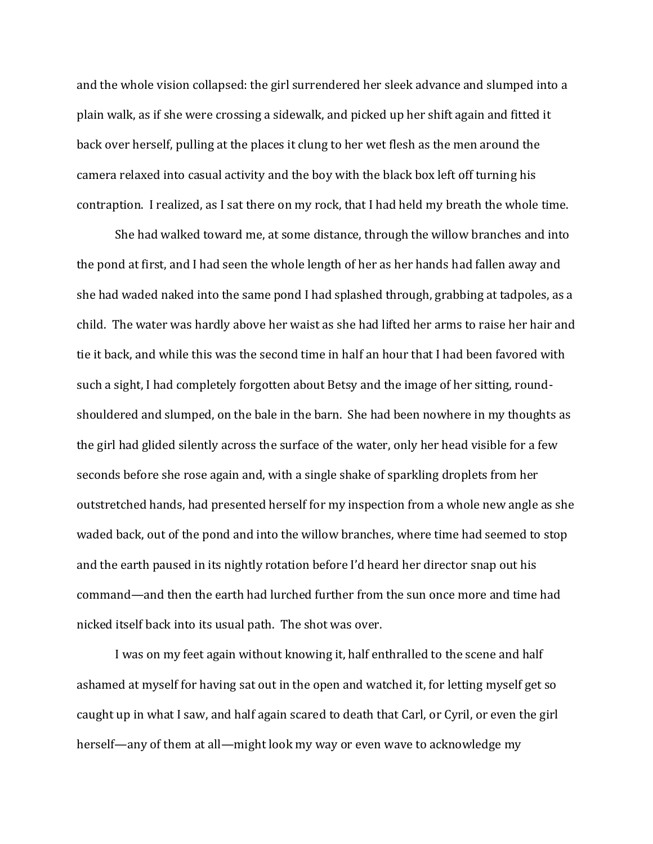and the whole vision collapsed: the girl surrendered her sleek advance and slumped into a plain walk, as if she were crossing a sidewalk, and picked up her shift again and fitted it back over herself, pulling at the places it clung to her wet flesh as the men around the camera relaxed into casual activity and the boy with the black box left off turning his contraption. I realized, as I sat there on my rock, that I had held my breath the whole time.

She had walked toward me, at some distance, through the willow branches and into the pond at first, and I had seen the whole length of her as her hands had fallen away and she had waded naked into the same pond I had splashed through, grabbing at tadpoles, as a child. The water was hardly above her waist as she had lifted her arms to raise her hair and tie it back, and while this was the second time in half an hour that I had been favored with such a sight, I had completely forgotten about Betsy and the image of her sitting, roundshouldered and slumped, on the bale in the barn. She had been nowhere in my thoughts as the girl had glided silently across the surface of the water, only her head visible for a few seconds before she rose again and, with a single shake of sparkling droplets from her outstretched hands, had presented herself for my inspection from a whole new angle as she waded back, out of the pond and into the willow branches, where time had seemed to stop and the earth paused in its nightly rotation before I'd heard her director snap out his command—and then the earth had lurched further from the sun once more and time had nicked itself back into its usual path. The shot was over.

I was on my feet again without knowing it, half enthralled to the scene and half ashamed at myself for having sat out in the open and watched it, for letting myself get so caught up in what I saw, and half again scared to death that Carl, or Cyril, or even the girl herself—any of them at all—might look my way or even wave to acknowledge my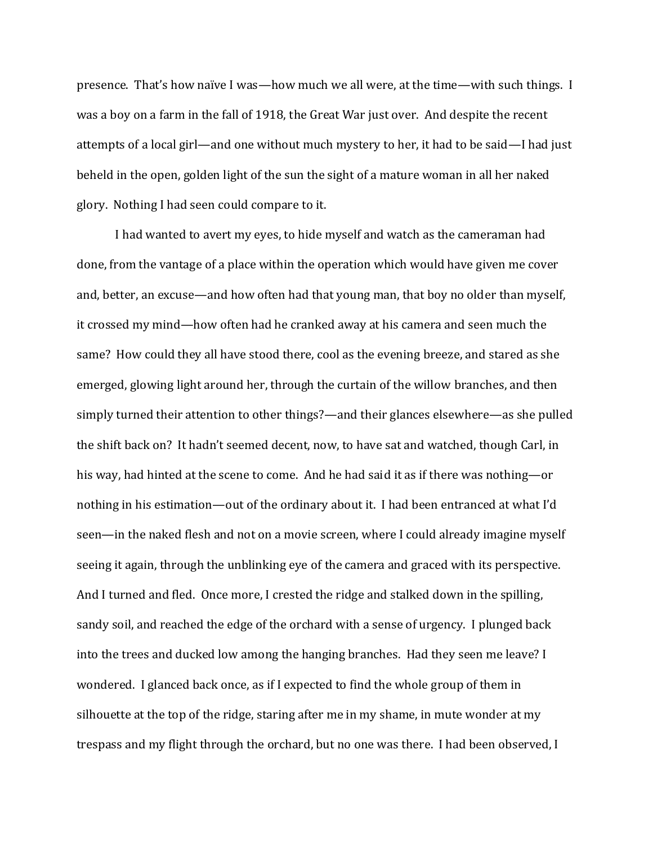presence. That's how naïve I was—how much we all were, at the time—with such things. I was a boy on a farm in the fall of 1918, the Great War just over. And despite the recent attempts of a local girl—and one without much mystery to her, it had to be said—I had just beheld in the open, golden light of the sun the sight of a mature woman in all her naked glory. Nothing I had seen could compare to it.

I had wanted to avert my eyes, to hide myself and watch as the cameraman had done, from the vantage of a place within the operation which would have given me cover and, better, an excuse—and how often had that young man, that boy no older than myself, it crossed my mind—how often had he cranked away at his camera and seen much the same? How could they all have stood there, cool as the evening breeze, and stared as she emerged, glowing light around her, through the curtain of the willow branches, and then simply turned their attention to other things?—and their glances elsewhere—as she pulled the shift back on? It hadn't seemed decent, now, to have sat and watched, though Carl, in his way, had hinted at the scene to come. And he had said it as if there was nothing—or nothing in his estimation—out of the ordinary about it. I had been entranced at what I'd seen—in the naked flesh and not on a movie screen, where I could already imagine myself seeing it again, through the unblinking eye of the camera and graced with its perspective. And I turned and fled. Once more, I crested the ridge and stalked down in the spilling, sandy soil, and reached the edge of the orchard with a sense of urgency. I plunged back into the trees and ducked low among the hanging branches. Had they seen me leave? I wondered. I glanced back once, as if I expected to find the whole group of them in silhouette at the top of the ridge, staring after me in my shame, in mute wonder at my trespass and my flight through the orchard, but no one was there. I had been observed, I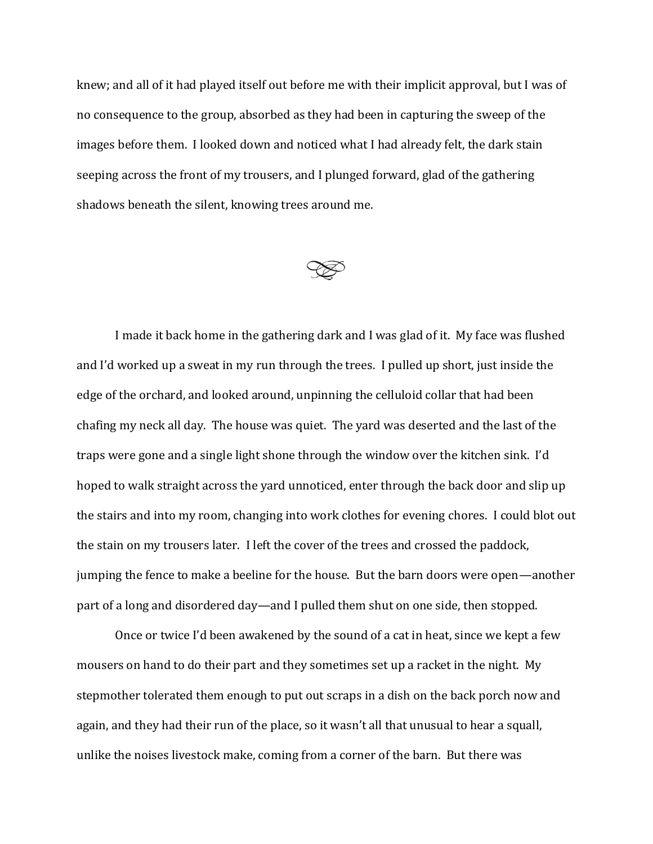knew; and all of it had played itself out before me with their implicit approval, but I was of no consequence to the group, absorbed as they had been in capturing the sweep of the images before them. I looked down and noticed what I had already felt, the dark stain seeping across the front of my trousers, and I plunged forward, glad of the gathering shadows beneath the silent, knowing trees around me.



I made it back home in the gathering dark and I was glad of it. My face was flushed and I'd worked up a sweat in my run through the trees. I pulled up short, just inside the edge of the orchard, and looked around, unpinning the celluloid collar that had been chafing my neck all day. The house was quiet. The yard was deserted and the last of the traps were gone and a single light shone through the window over the kitchen sink. I'd hoped to walk straight across the yard unnoticed, enter through the back door and slip up the stairs and into my room, changing into work clothes for evening chores. I could blot out the stain on my trousers later. I left the cover of the trees and crossed the paddock, jumping the fence to make a beeline for the house. But the barn doors were open—another part of a long and disordered day—and I pulled them shut on one side, then stopped.

Once or twice I'd been awakened by the sound of a cat in heat, since we kept a few mousers on hand to do their part and they sometimes set up a racket in the night. My stepmother tolerated them enough to put out scraps in a dish on the back porch now and again, and they had their run of the place, so it wasn't all that unusual to hear a squall, unlike the noises livestock make, coming from a corner of the barn. But there was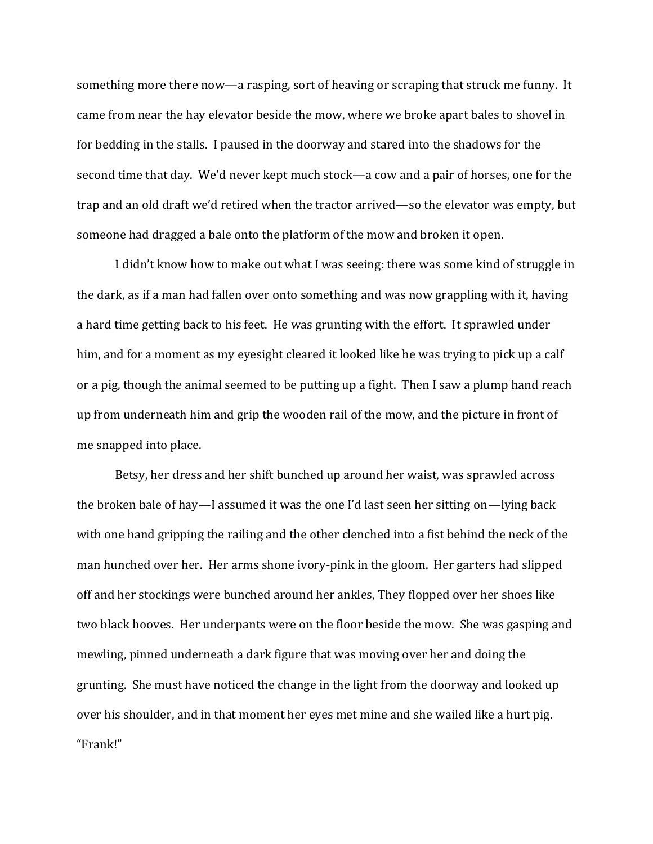something more there now—a rasping, sort of heaving or scraping that struck me funny. It came from near the hay elevator beside the mow, where we broke apart bales to shovel in for bedding in the stalls. I paused in the doorway and stared into the shadows for the second time that day. We'd never kept much stock—a cow and a pair of horses, one for the trap and an old draft we'd retired when the tractor arrived—so the elevator was empty, but someone had dragged a bale onto the platform of the mow and broken it open.

I didn't know how to make out what I was seeing: there was some kind of struggle in the dark, as if a man had fallen over onto something and was now grappling with it, having a hard time getting back to his feet. He was grunting with the effort. It sprawled under him, and for a moment as my eyesight cleared it looked like he was trying to pick up a calf or a pig, though the animal seemed to be putting up a fight. Then I saw a plump hand reach up from underneath him and grip the wooden rail of the mow, and the picture in front of me snapped into place.

Betsy, her dress and her shift bunched up around her waist, was sprawled across the broken bale of hay—I assumed it was the one I'd last seen her sitting on—lying back with one hand gripping the railing and the other clenched into a fist behind the neck of the man hunched over her. Her arms shone ivory-pink in the gloom. Her garters had slipped off and her stockings were bunched around her ankles, They flopped over her shoes like two black hooves. Her underpants were on the floor beside the mow. She was gasping and mewling, pinned underneath a dark figure that was moving over her and doing the grunting. She must have noticed the change in the light from the doorway and looked up over his shoulder, and in that moment her eyes met mine and she wailed like a hurt pig. "Frank!"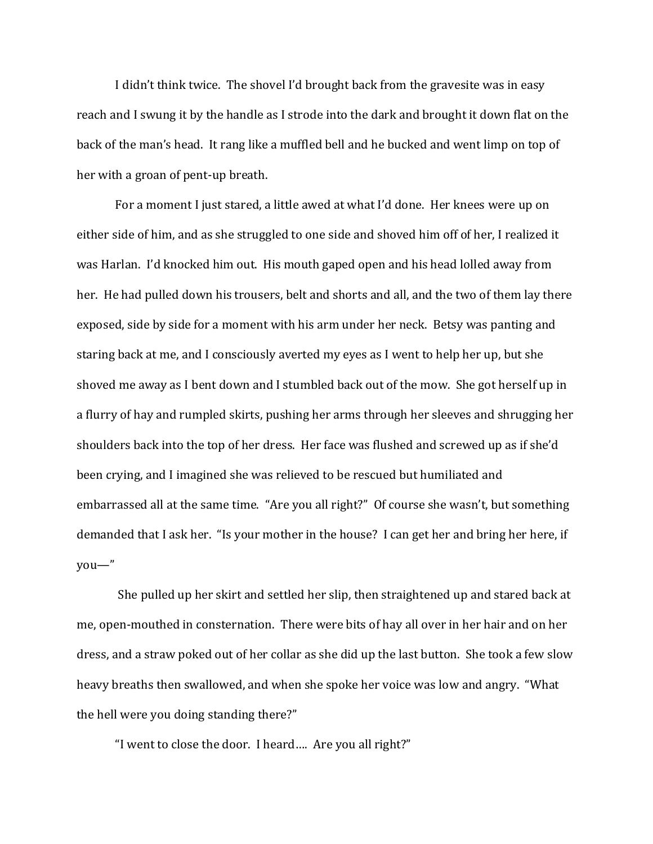I didn't think twice. The shovel I'd brought back from the gravesite was in easy reach and I swung it by the handle as I strode into the dark and brought it down flat on the back of the man's head. It rang like a muffled bell and he bucked and went limp on top of her with a groan of pent-up breath.

For a moment I just stared, a little awed at what I'd done. Her knees were up on either side of him, and as she struggled to one side and shoved him off of her, I realized it was Harlan. I'd knocked him out. His mouth gaped open and his head lolled away from her. He had pulled down his trousers, belt and shorts and all, and the two of them lay there exposed, side by side for a moment with his arm under her neck. Betsy was panting and staring back at me, and I consciously averted my eyes as I went to help her up, but she shoved me away as I bent down and I stumbled back out of the mow. She got herself up in a flurry of hay and rumpled skirts, pushing her arms through her sleeves and shrugging her shoulders back into the top of her dress. Her face was flushed and screwed up as if she'd been crying, and I imagined she was relieved to be rescued but humiliated and embarrassed all at the same time. "Are you all right?" Of course she wasn't, but something demanded that I ask her. "Is your mother in the house? I can get her and bring her here, if you—"

She pulled up her skirt and settled her slip, then straightened up and stared back at me, open-mouthed in consternation. There were bits of hay all over in her hair and on her dress, and a straw poked out of her collar as she did up the last button. She took a few slow heavy breaths then swallowed, and when she spoke her voice was low and angry. "What the hell were you doing standing there?"

"I went to close the door. I heard…. Are you all right?"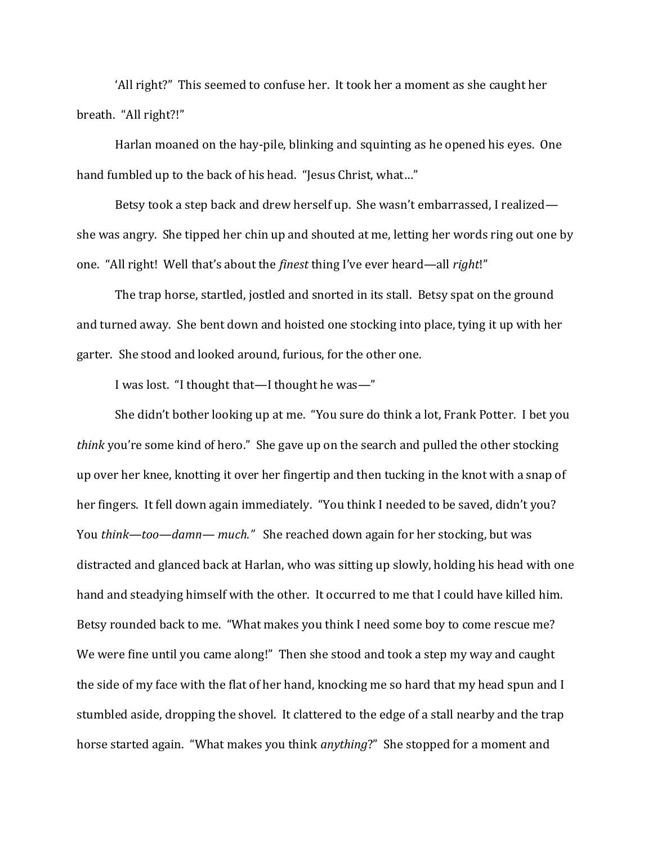'All right?" This seemed to confuse her. It took her a moment as she caught her breath. "All right?!"

Harlan moaned on the hay-pile, blinking and squinting as he opened his eyes. One hand fumbled up to the back of his head. "Jesus Christ, what..."

Betsy took a step back and drew herself up. She wasn't embarrassed, I realized she was angry. She tipped her chin up and shouted at me, letting her words ring out one by one. "All right! Well that's about the *finest* thing I've ever heard—all *right*!"

The trap horse, startled, jostled and snorted in its stall. Betsy spat on the ground and turned away. She bent down and hoisted one stocking into place, tying it up with her garter. She stood and looked around, furious, for the other one.

I was lost. "I thought that—I thought he was—"

She didn't bother looking up at me. "You sure do think a lot, Frank Potter. I bet you *think* you're some kind of hero." She gave up on the search and pulled the other stocking up over her knee, knotting it over her fingertip and then tucking in the knot with a snap of her fingers. It fell down again immediately. "You think I needed to be saved, didn't you? You *think*—*too—damn— much."* She reached down again for her stocking, but was distracted and glanced back at Harlan, who was sitting up slowly, holding his head with one hand and steadying himself with the other. It occurred to me that I could have killed him. Betsy rounded back to me. "What makes you think I need some boy to come rescue me? We were fine until you came along!" Then she stood and took a step my way and caught the side of my face with the flat of her hand, knocking me so hard that my head spun and I stumbled aside, dropping the shovel. It clattered to the edge of a stall nearby and the trap horse started again. "What makes you think *anything*?" She stopped for a moment and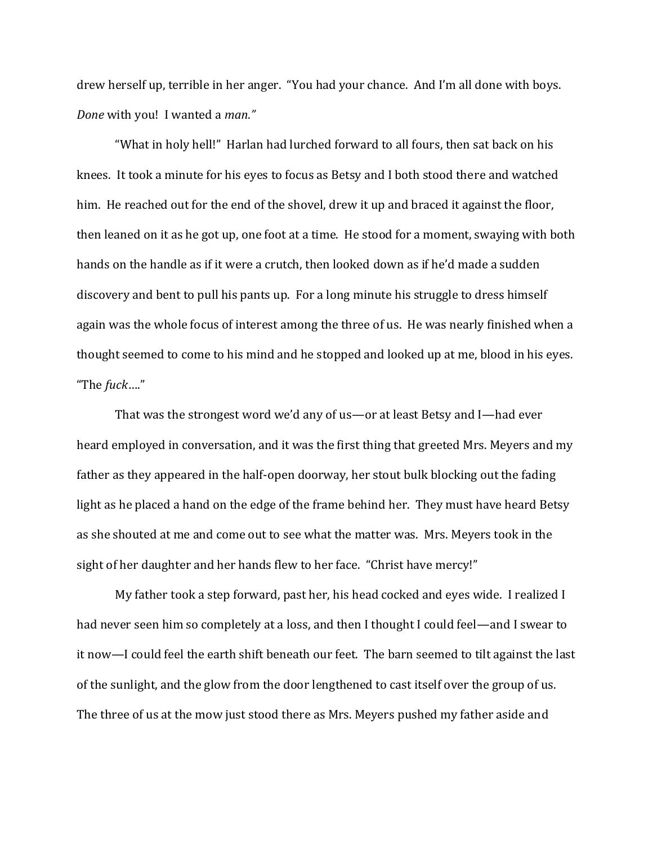drew herself up, terrible in her anger. "You had your chance. And I'm all done with boys. *Done* with you! I wanted a *man."*

"What in holy hell!" Harlan had lurched forward to all fours, then sat back on his knees. It took a minute for his eyes to focus as Betsy and I both stood there and watched him. He reached out for the end of the shovel, drew it up and braced it against the floor, then leaned on it as he got up, one foot at a time. He stood for a moment, swaying with both hands on the handle as if it were a crutch, then looked down as if he'd made a sudden discovery and bent to pull his pants up. For a long minute his struggle to dress himself again was the whole focus of interest among the three of us. He was nearly finished when a thought seemed to come to his mind and he stopped and looked up at me, blood in his eyes. "The *fuck*…."

That was the strongest word we'd any of us—or at least Betsy and I—had ever heard employed in conversation, and it was the first thing that greeted Mrs. Meyers and my father as they appeared in the half-open doorway, her stout bulk blocking out the fading light as he placed a hand on the edge of the frame behind her. They must have heard Betsy as she shouted at me and come out to see what the matter was. Mrs. Meyers took in the sight of her daughter and her hands flew to her face. "Christ have mercy!"

My father took a step forward, past her, his head cocked and eyes wide. I realized I had never seen him so completely at a loss, and then I thought I could feel—and I swear to it now—I could feel the earth shift beneath our feet. The barn seemed to tilt against the last of the sunlight, and the glow from the door lengthened to cast itself over the group of us. The three of us at the mow just stood there as Mrs. Meyers pushed my father aside and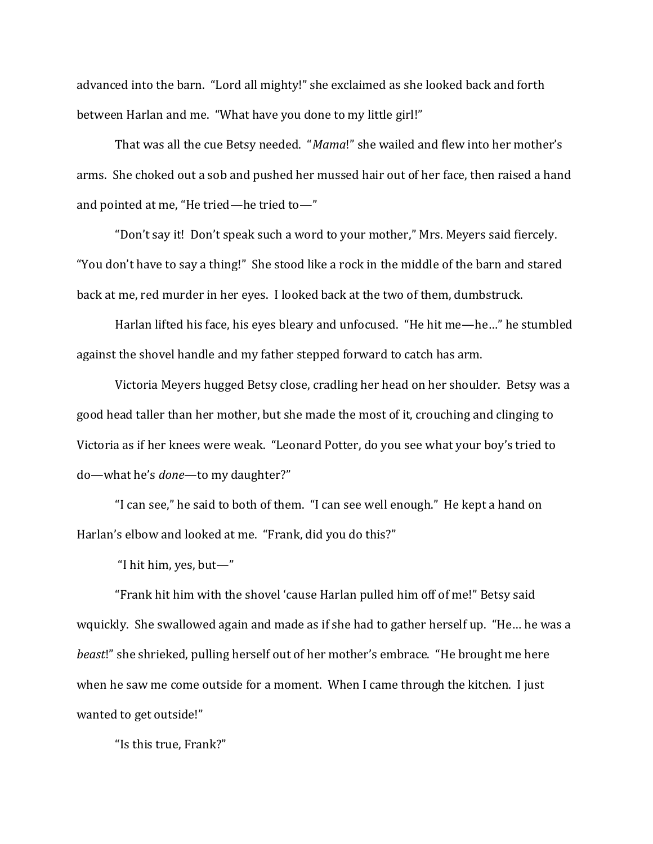advanced into the barn. "Lord all mighty!" she exclaimed as she looked back and forth between Harlan and me. "What have you done to my little girl!"

That was all the cue Betsy needed. "*Mama*!" she wailed and flew into her mother's arms. She choked out a sob and pushed her mussed hair out of her face, then raised a hand and pointed at me, "He tried—he tried to—"

"Don't say it! Don't speak such a word to your mother," Mrs. Meyers said fiercely. "You don't have to say a thing!" She stood like a rock in the middle of the barn and stared back at me, red murder in her eyes. I looked back at the two of them, dumbstruck.

Harlan lifted his face, his eyes bleary and unfocused. "He hit me—he…" he stumbled against the shovel handle and my father stepped forward to catch has arm.

Victoria Meyers hugged Betsy close, cradling her head on her shoulder. Betsy was a good head taller than her mother, but she made the most of it, crouching and clinging to Victoria as if her knees were weak. "Leonard Potter, do you see what your boy's tried to do—what he's *done*—to my daughter?"

"I can see," he said to both of them. "I can see well enough." He kept a hand on Harlan's elbow and looked at me. "Frank, did you do this?"

"I hit him, yes, but—"

"Frank hit him with the shovel 'cause Harlan pulled him off of me!" Betsy said wquickly. She swallowed again and made as if she had to gather herself up. "He… he was a *beast*!" she shrieked, pulling herself out of her mother's embrace. "He brought me here when he saw me come outside for a moment. When I came through the kitchen. I just wanted to get outside!"

"Is this true, Frank?"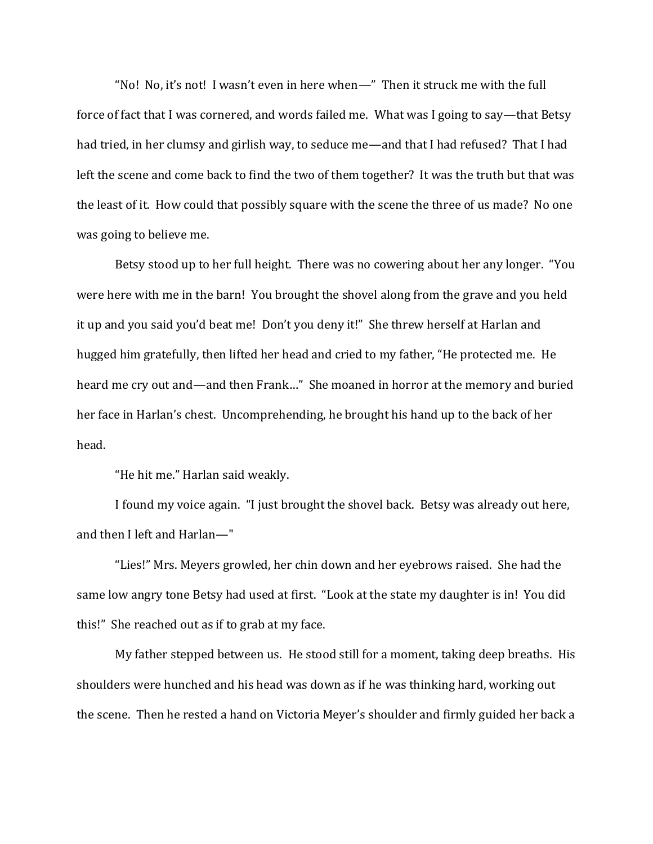"No! No, it's not! I wasn't even in here when—" Then it struck me with the full force of fact that I was cornered, and words failed me. What was I going to say—that Betsy had tried, in her clumsy and girlish way, to seduce me—and that I had refused? That I had left the scene and come back to find the two of them together? It was the truth but that was the least of it. How could that possibly square with the scene the three of us made? No one was going to believe me.

Betsy stood up to her full height. There was no cowering about her any longer. "You were here with me in the barn! You brought the shovel along from the grave and you held it up and you said you'd beat me! Don't you deny it!" She threw herself at Harlan and hugged him gratefully, then lifted her head and cried to my father, "He protected me. He heard me cry out and—and then Frank…" She moaned in horror at the memory and buried her face in Harlan's chest. Uncomprehending, he brought his hand up to the back of her head.

"He hit me." Harlan said weakly.

I found my voice again. "I just brought the shovel back. Betsy was already out here, and then I left and Harlan—"

"Lies!" Mrs. Meyers growled, her chin down and her eyebrows raised. She had the same low angry tone Betsy had used at first. "Look at the state my daughter is in! You did this!" She reached out as if to grab at my face.

My father stepped between us. He stood still for a moment, taking deep breaths. His shoulders were hunched and his head was down as if he was thinking hard, working out the scene. Then he rested a hand on Victoria Meyer's shoulder and firmly guided her back a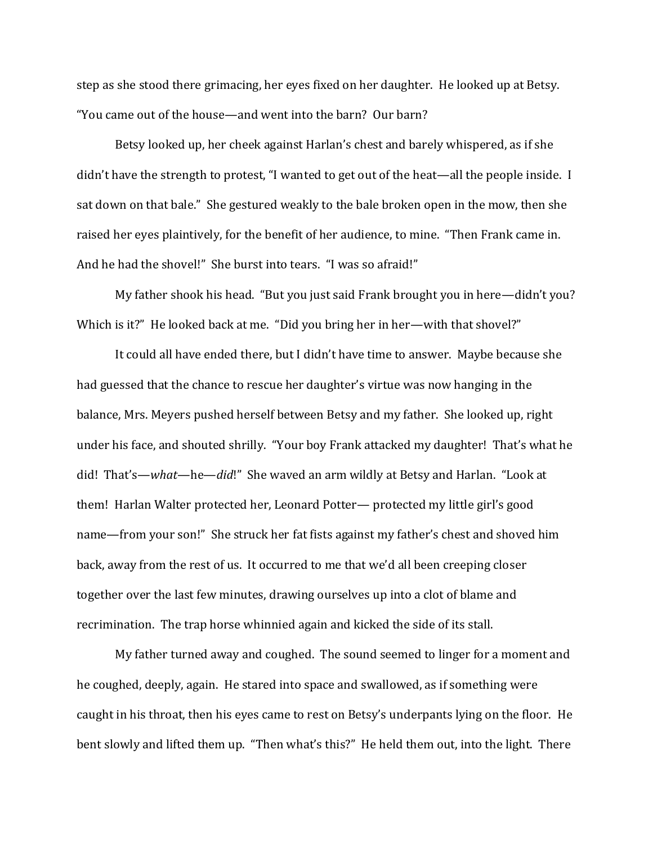step as she stood there grimacing, her eyes fixed on her daughter. He looked up at Betsy. "You came out of the house—and went into the barn? Our barn?

Betsy looked up, her cheek against Harlan's chest and barely whispered, as if she didn't have the strength to protest, "I wanted to get out of the heat—all the people inside. I sat down on that bale." She gestured weakly to the bale broken open in the mow, then she raised her eyes plaintively, for the benefit of her audience, to mine. "Then Frank came in. And he had the shovel!" She burst into tears. "I was so afraid!"

My father shook his head. "But you just said Frank brought you in here—didn't you? Which is it?" He looked back at me. "Did you bring her in her—with that shovel?"

It could all have ended there, but I didn't have time to answer. Maybe because she had guessed that the chance to rescue her daughter's virtue was now hanging in the balance, Mrs. Meyers pushed herself between Betsy and my father. She looked up, right under his face, and shouted shrilly. "Your boy Frank attacked my daughter! That's what he did! That's—*what*—he—*did*!" She waved an arm wildly at Betsy and Harlan. "Look at them! Harlan Walter protected her, Leonard Potter— protected my little girl's good name—from your son!" She struck her fat fists against my father's chest and shoved him back, away from the rest of us. It occurred to me that we'd all been creeping closer together over the last few minutes, drawing ourselves up into a clot of blame and recrimination. The trap horse whinnied again and kicked the side of its stall.

My father turned away and coughed. The sound seemed to linger for a moment and he coughed, deeply, again. He stared into space and swallowed, as if something were caught in his throat, then his eyes came to rest on Betsy's underpants lying on the floor. He bent slowly and lifted them up. "Then what's this?" He held them out, into the light. There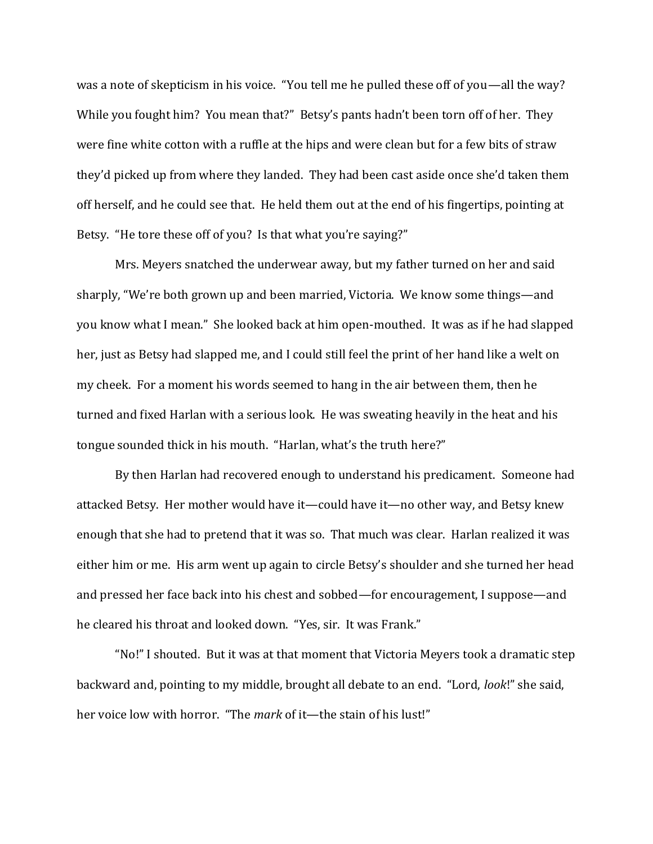was a note of skepticism in his voice. "You tell me he pulled these off of you—all the way? While you fought him? You mean that?" Betsy's pants hadn't been torn off of her. They were fine white cotton with a ruffle at the hips and were clean but for a few bits of straw they'd picked up from where they landed. They had been cast aside once she'd taken them off herself, and he could see that. He held them out at the end of his fingertips, pointing at Betsy. "He tore these off of you? Is that what you're saying?"

Mrs. Meyers snatched the underwear away, but my father turned on her and said sharply, "We're both grown up and been married, Victoria. We know some things—and you know what I mean." She looked back at him open-mouthed. It was as if he had slapped her, just as Betsy had slapped me, and I could still feel the print of her hand like a welt on my cheek. For a moment his words seemed to hang in the air between them, then he turned and fixed Harlan with a serious look. He was sweating heavily in the heat and his tongue sounded thick in his mouth. "Harlan, what's the truth here?"

By then Harlan had recovered enough to understand his predicament. Someone had attacked Betsy. Her mother would have it—could have it—no other way, and Betsy knew enough that she had to pretend that it was so. That much was clear. Harlan realized it was either him or me. His arm went up again to circle Betsy's shoulder and she turned her head and pressed her face back into his chest and sobbed—for encouragement, I suppose—and he cleared his throat and looked down. "Yes, sir. It was Frank."

"No!" I shouted. But it was at that moment that Victoria Meyers took a dramatic step backward and, pointing to my middle, brought all debate to an end. "Lord, *look*!" she said, her voice low with horror. "The *mark* of it—the stain of his lust!"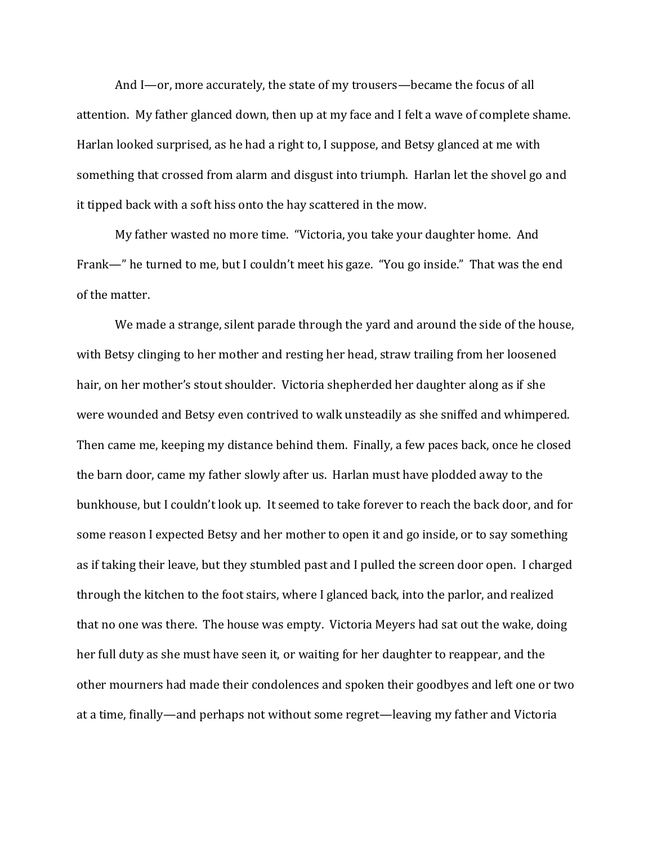And I—or, more accurately, the state of my trousers—became the focus of all attention. My father glanced down, then up at my face and I felt a wave of complete shame. Harlan looked surprised, as he had a right to, I suppose, and Betsy glanced at me with something that crossed from alarm and disgust into triumph. Harlan let the shovel go and it tipped back with a soft hiss onto the hay scattered in the mow.

My father wasted no more time. "Victoria, you take your daughter home. And Frank—" he turned to me, but I couldn't meet his gaze. "You go inside." That was the end of the matter.

We made a strange, silent parade through the yard and around the side of the house, with Betsy clinging to her mother and resting her head, straw trailing from her loosened hair, on her mother's stout shoulder. Victoria shepherded her daughter along as if she were wounded and Betsy even contrived to walk unsteadily as she sniffed and whimpered. Then came me, keeping my distance behind them. Finally, a few paces back, once he closed the barn door, came my father slowly after us. Harlan must have plodded away to the bunkhouse, but I couldn't look up. It seemed to take forever to reach the back door, and for some reason I expected Betsy and her mother to open it and go inside, or to say something as if taking their leave, but they stumbled past and I pulled the screen door open. I charged through the kitchen to the foot stairs, where I glanced back, into the parlor, and realized that no one was there. The house was empty. Victoria Meyers had sat out the wake, doing her full duty as she must have seen it, or waiting for her daughter to reappear, and the other mourners had made their condolences and spoken their goodbyes and left one or two at a time, finally—and perhaps not without some regret—leaving my father and Victoria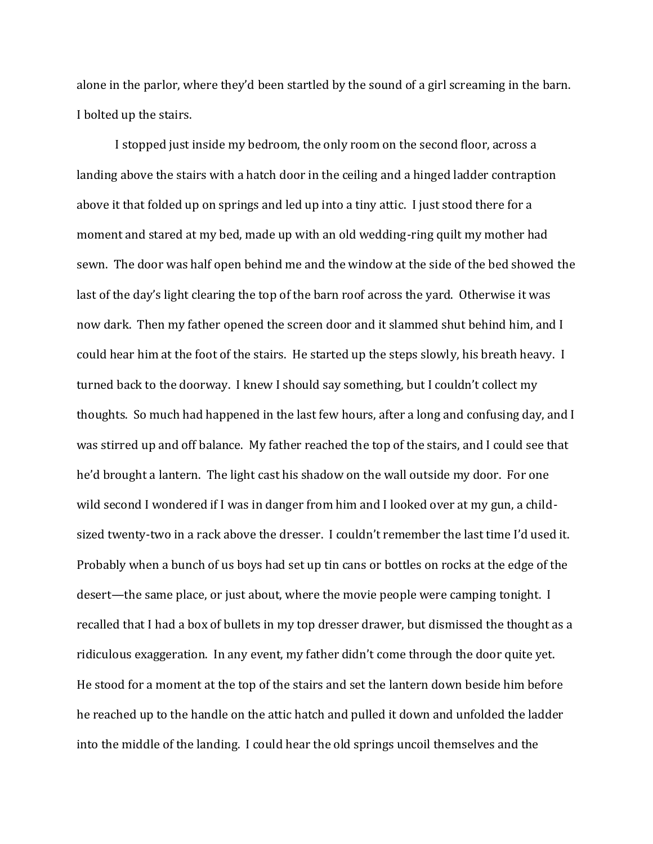alone in the parlor, where they'd been startled by the sound of a girl screaming in the barn. I bolted up the stairs.

I stopped just inside my bedroom, the only room on the second floor, across a landing above the stairs with a hatch door in the ceiling and a hinged ladder contraption above it that folded up on springs and led up into a tiny attic. I just stood there for a moment and stared at my bed, made up with an old wedding-ring quilt my mother had sewn. The door was half open behind me and the window at the side of the bed showed the last of the day's light clearing the top of the barn roof across the yard. Otherwise it was now dark. Then my father opened the screen door and it slammed shut behind him, and I could hear him at the foot of the stairs. He started up the steps slowly, his breath heavy. I turned back to the doorway. I knew I should say something, but I couldn't collect my thoughts. So much had happened in the last few hours, after a long and confusing day, and I was stirred up and off balance. My father reached the top of the stairs, and I could see that he'd brought a lantern. The light cast his shadow on the wall outside my door. For one wild second I wondered if I was in danger from him and I looked over at my gun, a childsized twenty-two in a rack above the dresser. I couldn't remember the last time I'd used it. Probably when a bunch of us boys had set up tin cans or bottles on rocks at the edge of the desert—the same place, or just about, where the movie people were camping tonight. I recalled that I had a box of bullets in my top dresser drawer, but dismissed the thought as a ridiculous exaggeration. In any event, my father didn't come through the door quite yet. He stood for a moment at the top of the stairs and set the lantern down beside him before he reached up to the handle on the attic hatch and pulled it down and unfolded the ladder into the middle of the landing. I could hear the old springs uncoil themselves and the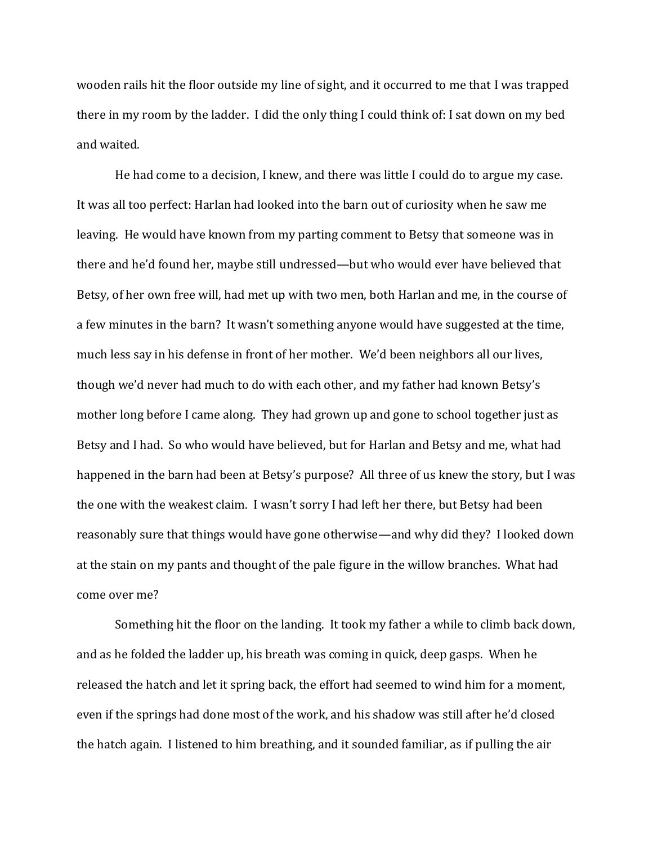wooden rails hit the floor outside my line of sight, and it occurred to me that I was trapped there in my room by the ladder. I did the only thing I could think of: I sat down on my bed and waited.

He had come to a decision, I knew, and there was little I could do to argue my case. It was all too perfect: Harlan had looked into the barn out of curiosity when he saw me leaving. He would have known from my parting comment to Betsy that someone was in there and he'd found her, maybe still undressed—but who would ever have believed that Betsy, of her own free will, had met up with two men, both Harlan and me, in the course of a few minutes in the barn? It wasn't something anyone would have suggested at the time, much less say in his defense in front of her mother. We'd been neighbors all our lives, though we'd never had much to do with each other, and my father had known Betsy's mother long before I came along. They had grown up and gone to school together just as Betsy and I had. So who would have believed, but for Harlan and Betsy and me, what had happened in the barn had been at Betsy's purpose? All three of us knew the story, but I was the one with the weakest claim. I wasn't sorry I had left her there, but Betsy had been reasonably sure that things would have gone otherwise—and why did they? I looked down at the stain on my pants and thought of the pale figure in the willow branches. What had come over me?

Something hit the floor on the landing. It took my father a while to climb back down, and as he folded the ladder up, his breath was coming in quick, deep gasps. When he released the hatch and let it spring back, the effort had seemed to wind him for a moment, even if the springs had done most of the work, and his shadow was still after he'd closed the hatch again. I listened to him breathing, and it sounded familiar, as if pulling the air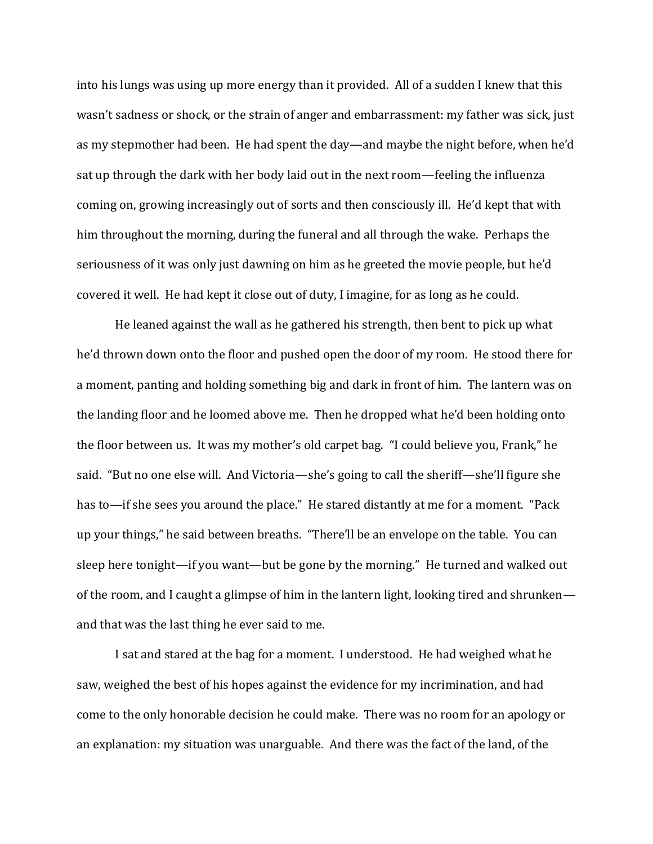into his lungs was using up more energy than it provided. All of a sudden I knew that this wasn't sadness or shock, or the strain of anger and embarrassment: my father was sick, just as my stepmother had been. He had spent the day—and maybe the night before, when he'd sat up through the dark with her body laid out in the next room—feeling the influenza coming on, growing increasingly out of sorts and then consciously ill. He'd kept that with him throughout the morning, during the funeral and all through the wake. Perhaps the seriousness of it was only just dawning on him as he greeted the movie people, but he'd covered it well. He had kept it close out of duty, I imagine, for as long as he could.

He leaned against the wall as he gathered his strength, then bent to pick up what he'd thrown down onto the floor and pushed open the door of my room. He stood there for a moment, panting and holding something big and dark in front of him. The lantern was on the landing floor and he loomed above me. Then he dropped what he'd been holding onto the floor between us. It was my mother's old carpet bag. "I could believe you, Frank," he said. "But no one else will. And Victoria—she's going to call the sheriff—she'll figure she has to—if she sees you around the place." He stared distantly at me for a moment. "Pack up your things," he said between breaths. "There'll be an envelope on the table. You can sleep here tonight—if you want—but be gone by the morning." He turned and walked out of the room, and I caught a glimpse of him in the lantern light, looking tired and shrunken and that was the last thing he ever said to me.

I sat and stared at the bag for a moment. I understood. He had weighed what he saw, weighed the best of his hopes against the evidence for my incrimination, and had come to the only honorable decision he could make. There was no room for an apology or an explanation: my situation was unarguable. And there was the fact of the land, of the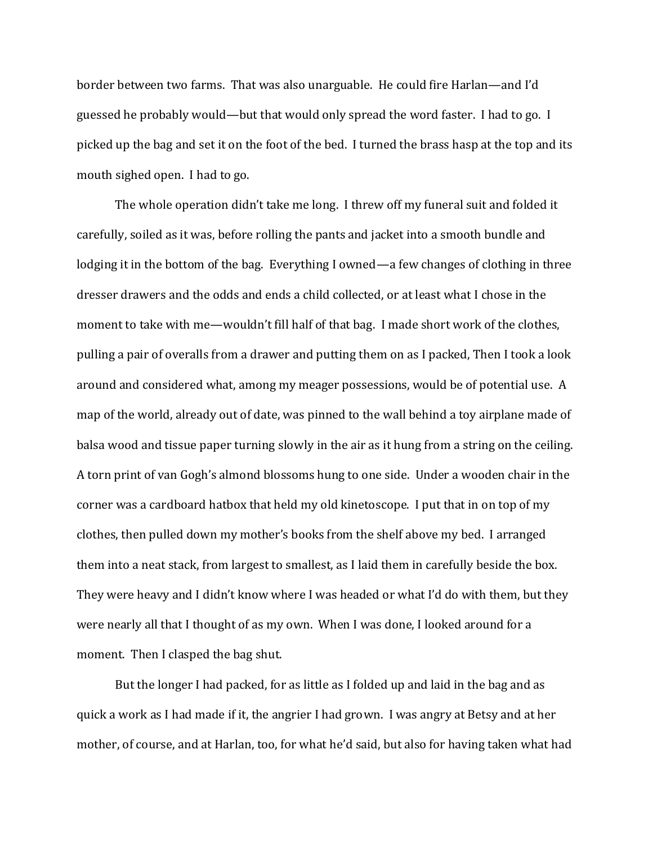border between two farms. That was also unarguable. He could fire Harlan—and I'd guessed he probably would—but that would only spread the word faster. I had to go. I picked up the bag and set it on the foot of the bed. I turned the brass hasp at the top and its mouth sighed open. I had to go.

The whole operation didn't take me long. I threw off my funeral suit and folded it carefully, soiled as it was, before rolling the pants and jacket into a smooth bundle and lodging it in the bottom of the bag. Everything I owned—a few changes of clothing in three dresser drawers and the odds and ends a child collected, or at least what I chose in the moment to take with me—wouldn't fill half of that bag. I made short work of the clothes, pulling a pair of overalls from a drawer and putting them on as I packed, Then I took a look around and considered what, among my meager possessions, would be of potential use. A map of the world, already out of date, was pinned to the wall behind a toy airplane made of balsa wood and tissue paper turning slowly in the air as it hung from a string on the ceiling. A torn print of van Gogh's almond blossoms hung to one side. Under a wooden chair in the corner was a cardboard hatbox that held my old kinetoscope. I put that in on top of my clothes, then pulled down my mother's books from the shelf above my bed. I arranged them into a neat stack, from largest to smallest, as I laid them in carefully beside the box. They were heavy and I didn't know where I was headed or what I'd do with them, but they were nearly all that I thought of as my own. When I was done, I looked around for a moment. Then I clasped the bag shut.

But the longer I had packed, for as little as I folded up and laid in the bag and as quick a work as I had made if it, the angrier I had grown. I was angry at Betsy and at her mother, of course, and at Harlan, too, for what he'd said, but also for having taken what had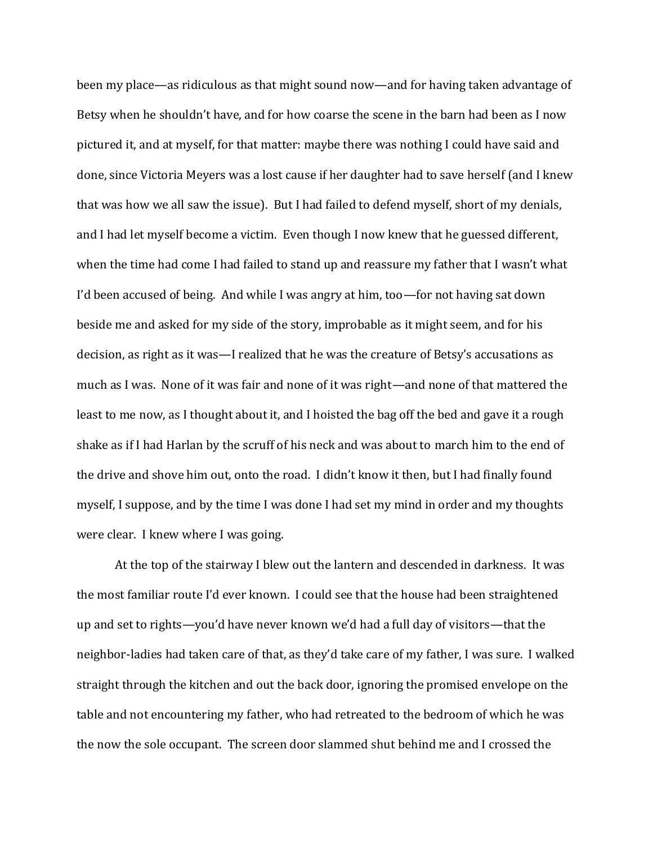been my place—as ridiculous as that might sound now—and for having taken advantage of Betsy when he shouldn't have, and for how coarse the scene in the barn had been as I now pictured it, and at myself, for that matter: maybe there was nothing I could have said and done, since Victoria Meyers was a lost cause if her daughter had to save herself (and I knew that was how we all saw the issue). But I had failed to defend myself, short of my denials, and I had let myself become a victim. Even though I now knew that he guessed different, when the time had come I had failed to stand up and reassure my father that I wasn't what I'd been accused of being. And while I was angry at him, too—for not having sat down beside me and asked for my side of the story, improbable as it might seem, and for his decision, as right as it was—I realized that he was the creature of Betsy's accusations as much as I was. None of it was fair and none of it was right—and none of that mattered the least to me now, as I thought about it, and I hoisted the bag off the bed and gave it a rough shake as if I had Harlan by the scruff of his neck and was about to march him to the end of the drive and shove him out, onto the road. I didn't know it then, but I had finally found myself, I suppose, and by the time I was done I had set my mind in order and my thoughts were clear. I knew where I was going.

At the top of the stairway I blew out the lantern and descended in darkness. It was the most familiar route I'd ever known. I could see that the house had been straightened up and set to rights—you'd have never known we'd had a full day of visitors—that the neighbor-ladies had taken care of that, as they'd take care of my father, I was sure. I walked straight through the kitchen and out the back door, ignoring the promised envelope on the table and not encountering my father, who had retreated to the bedroom of which he was the now the sole occupant. The screen door slammed shut behind me and I crossed the